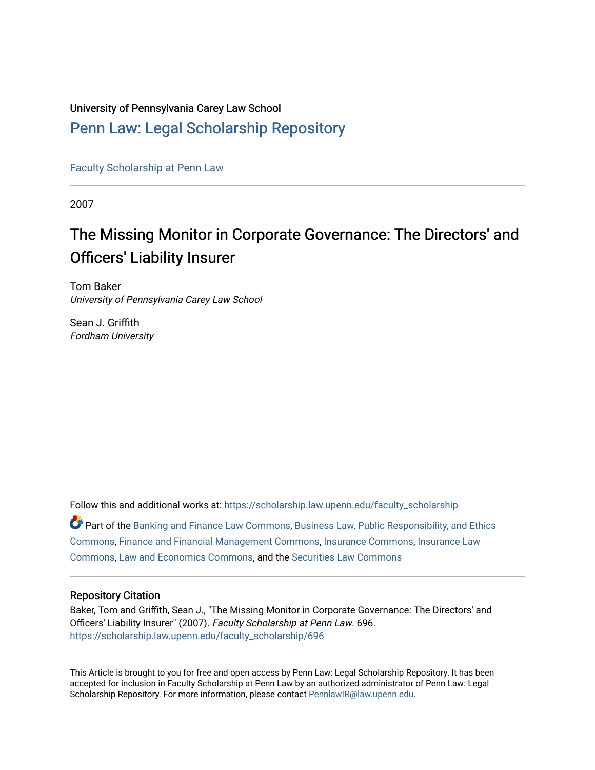# University of Pennsylvania Carey Law School

# [Penn Law: Legal Scholarship Repository](https://scholarship.law.upenn.edu/)

[Faculty Scholarship at Penn Law](https://scholarship.law.upenn.edu/faculty_scholarship)

2007

# The Missing Monitor in Corporate Governance: The Directors' and Officers' Liability Insurer

Tom Baker University of Pennsylvania Carey Law School

Sean J. Griffith Fordham University

Follow this and additional works at: [https://scholarship.law.upenn.edu/faculty\\_scholarship](https://scholarship.law.upenn.edu/faculty_scholarship?utm_source=scholarship.law.upenn.edu%2Ffaculty_scholarship%2F696&utm_medium=PDF&utm_campaign=PDFCoverPages)   $\bullet$  Part of the [Banking and Finance Law Commons,](http://network.bepress.com/hgg/discipline/833?utm_source=scholarship.law.upenn.edu%2Ffaculty_scholarship%2F696&utm_medium=PDF&utm_campaign=PDFCoverPages) Business Law, Public Responsibility, and Ethics [Commons](http://network.bepress.com/hgg/discipline/628?utm_source=scholarship.law.upenn.edu%2Ffaculty_scholarship%2F696&utm_medium=PDF&utm_campaign=PDFCoverPages), [Finance and Financial Management Commons,](http://network.bepress.com/hgg/discipline/631?utm_source=scholarship.law.upenn.edu%2Ffaculty_scholarship%2F696&utm_medium=PDF&utm_campaign=PDFCoverPages) [Insurance Commons,](http://network.bepress.com/hgg/discipline/645?utm_source=scholarship.law.upenn.edu%2Ffaculty_scholarship%2F696&utm_medium=PDF&utm_campaign=PDFCoverPages) [Insurance Law](http://network.bepress.com/hgg/discipline/607?utm_source=scholarship.law.upenn.edu%2Ffaculty_scholarship%2F696&utm_medium=PDF&utm_campaign=PDFCoverPages) [Commons](http://network.bepress.com/hgg/discipline/607?utm_source=scholarship.law.upenn.edu%2Ffaculty_scholarship%2F696&utm_medium=PDF&utm_campaign=PDFCoverPages), [Law and Economics Commons](http://network.bepress.com/hgg/discipline/612?utm_source=scholarship.law.upenn.edu%2Ffaculty_scholarship%2F696&utm_medium=PDF&utm_campaign=PDFCoverPages), and the [Securities Law Commons](http://network.bepress.com/hgg/discipline/619?utm_source=scholarship.law.upenn.edu%2Ffaculty_scholarship%2F696&utm_medium=PDF&utm_campaign=PDFCoverPages) 

# Repository Citation

Baker, Tom and Griffith, Sean J., "The Missing Monitor in Corporate Governance: The Directors' and Officers' Liability Insurer" (2007). Faculty Scholarship at Penn Law. 696. [https://scholarship.law.upenn.edu/faculty\\_scholarship/696](https://scholarship.law.upenn.edu/faculty_scholarship/696?utm_source=scholarship.law.upenn.edu%2Ffaculty_scholarship%2F696&utm_medium=PDF&utm_campaign=PDFCoverPages) 

This Article is brought to you for free and open access by Penn Law: Legal Scholarship Repository. It has been accepted for inclusion in Faculty Scholarship at Penn Law by an authorized administrator of Penn Law: Legal Scholarship Repository. For more information, please contact [PennlawIR@law.upenn.edu.](mailto:PennlawIR@law.upenn.edu)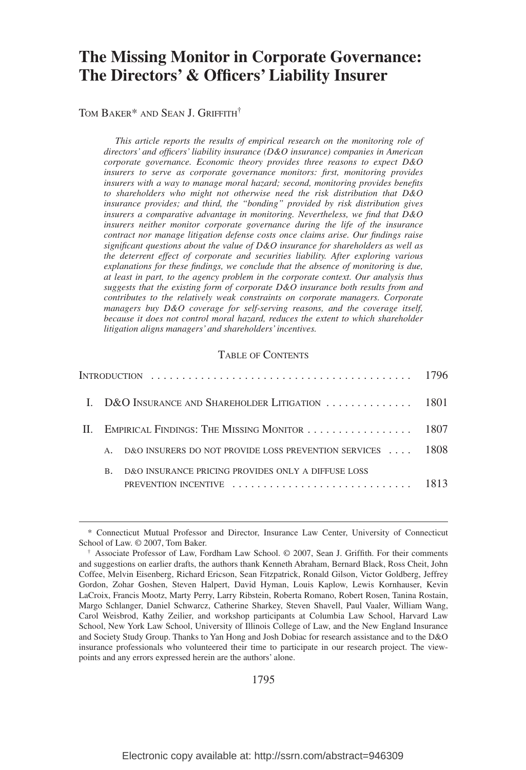# **The Missing Monitor in Corporate Governance: The Directors' & Officers' Liability Insurer**

TOM BAKER<sup>\*</sup> AND SEAN J. GRIFFITH<sup>†</sup>

*This article reports the results of empirical research on the monitoring role of directors' and officers' liability insurance (D&O insurance) companies in American corporate governance. Economic theory provides three reasons to expect D&O insurers to serve as corporate governance monitors: first, monitoring provides insurers with a way to manage moral hazard; second, monitoring provides benefits to shareholders who might not otherwise need the risk distribution that D&O insurance provides; and third, the "bonding" provided by risk distribution gives insurers a comparative advantage in monitoring. Nevertheless, we find that D&O insurers neither monitor corporate governance during the life of the insurance contract nor manage litigation defense costs once claims arise. Our findings raise significant questions about the value of D&O insurance for shareholders as well as the deterrent effect of corporate and securities liability. After exploring various explanations for these findings, we conclude that the absence of monitoring is due, at least in part, to the agency problem in the corporate context. Our analysis thus suggests that the existing form of corporate D&O insurance both results from and contributes to the relatively weak constraints on corporate managers. Corporate managers buy D&O coverage for self-serving reasons, and the coverage itself, because it does not control moral hazard, reduces the extent to which shareholder litigation aligns managers' and shareholders' incentives.*

#### TABLE OF CONTENTS

|  |                                                   | I. D&O INSURANCE AND SHAREHOLDER LITIGATION  1801          |  |
|--|---------------------------------------------------|------------------------------------------------------------|--|
|  | II. EMPIRICAL FINDINGS: THE MISSING MONITOR  1807 |                                                            |  |
|  |                                                   | D&O INSURERS DO NOT PROVIDE LOSS PREVENTION SERVICES  1808 |  |
|  | <b>B.</b>                                         | D&O INSURANCE PRICING PROVIDES ONLY A DIFFUSE LOSS         |  |

<sup>\*</sup> Connecticut Mutual Professor and Director, Insurance Law Center, University of Connecticut School of Law. © 2007, Tom Baker.

<sup>†</sup> Associate Professor of Law, Fordham Law School. © 2007, Sean J. Griffith. For their comments and suggestions on earlier drafts, the authors thank Kenneth Abraham, Bernard Black, Ross Cheit, John Coffee, Melvin Eisenberg, Richard Ericson, Sean Fitzpatrick, Ronald Gilson, Victor Goldberg, Jeffrey Gordon, Zohar Goshen, Steven Halpert, David Hyman, Louis Kaplow, Lewis Kornhauser, Kevin LaCroix, Francis Mootz, Marty Perry, Larry Ribstein, Roberta Romano, Robert Rosen, Tanina Rostain, Margo Schlanger, Daniel Schwarcz, Catherine Sharkey, Steven Shavell, Paul Vaaler, William Wang, Carol Weisbrod, Kathy Zeilier, and workshop participants at Columbia Law School, Harvard Law School, New York Law School, University of Illinois College of Law, and the New England Insurance and Society Study Group. Thanks to Yan Hong and Josh Dobiac for research assistance and to the D&O insurance professionals who volunteered their time to participate in our research project. The viewpoints and any errors expressed herein are the authors' alone.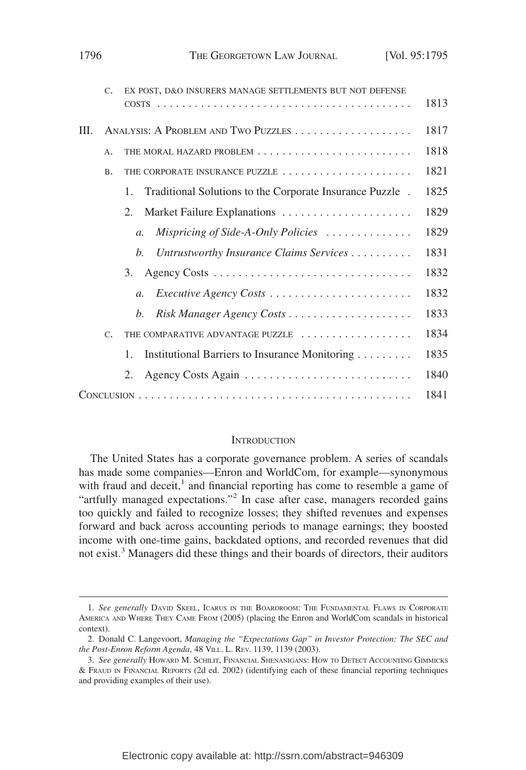|    | $C_{\star}$     | EX POST, D&O INSURERS MANAGE SETTLEMENTS BUT NOT DEFENSE                            | 1813 |
|----|-----------------|-------------------------------------------------------------------------------------|------|
| Ш. |                 |                                                                                     | 1817 |
|    | A.              |                                                                                     | 1818 |
|    | <b>B.</b>       | THE CORPORATE INSURANCE PUZZLE                                                      | 1821 |
|    |                 | Traditional Solutions to the Corporate Insurance Puzzle .<br>1.                     | 1825 |
|    |                 | Market Failure Explanations<br>2.                                                   | 1829 |
|    |                 | Mispricing of Side-A-Only Policies $\ldots \ldots \ldots \ldots$<br>$\mathfrak{a}.$ | 1829 |
|    |                 | Untrustworthy Insurance Claims Services<br>b.                                       | 1831 |
|    |                 | 3.                                                                                  | 1832 |
|    |                 | <i>Executive Agency Costs</i><br>$\mathfrak{a}.$                                    | 1832 |
|    |                 | b.                                                                                  | 1833 |
|    | $\mathcal{C}$ . | THE COMPARATIVE ADVANTAGE PUZZLE                                                    | 1834 |
|    |                 | Institutional Barriers to Insurance Monitoring<br>1.                                | 1835 |
|    |                 | 2.                                                                                  | 1840 |
|    |                 |                                                                                     | 1841 |

#### **INTRODUCTION**

The United States has a corporate governance problem. A series of scandals has made some companies—Enron and WorldCom, for example—synonymous with fraud and deceit, $<sup>1</sup>$  and financial reporting has come to resemble a game of</sup> "artfully managed expectations."<sup>2</sup> In case after case, managers recorded gains too quickly and failed to recognize losses; they shifted revenues and expenses forward and back across accounting periods to manage earnings; they boosted income with one-time gains, backdated options, and recorded revenues that did not exist.<sup>3</sup> Managers did these things and their boards of directors, their auditors

<sup>1.</sup> *See generally* DAVID SKEEL, ICARUS IN THE BOARDROOM: THE FUNDAMENTAL FLAWS IN CORPORATE AMERICA AND WHERE THEY CAME FROM (2005) (placing the Enron and WorldCom scandals in historical context).

<sup>2.</sup> Donald C. Langevoort, *Managing the "Expectations Gap" in Investor Protection: The SEC and the Post-Enron Reform Agenda*, 48 VILL. L. REV. 1139, 1139 (2003).

<sup>3.</sup> *See generally* HOWARD M. SCHILIT, FINANCIAL SHENANIGANS: HOW TO DETECT ACCOUNTING GIMMICKS & FRAUD IN FINANCIAL REPORTS (2d ed. 2002) (identifying each of these financial reporting techniques and providing examples of their use).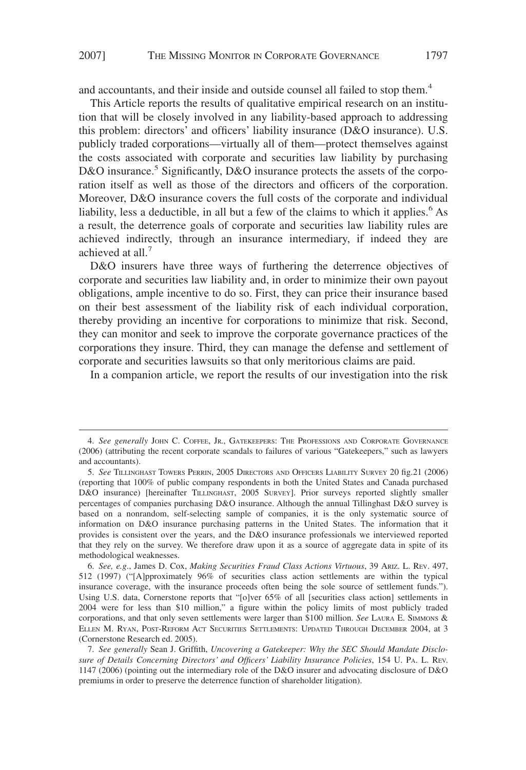and accountants, and their inside and outside counsel all failed to stop them.<sup>4</sup>

This Article reports the results of qualitative empirical research on an institution that will be closely involved in any liability-based approach to addressing this problem: directors' and officers' liability insurance (D&O insurance). U.S. publicly traded corporations—virtually all of them—protect themselves against the costs associated with corporate and securities law liability by purchasing D&O insurance.<sup>5</sup> Significantly, D&O insurance protects the assets of the corporation itself as well as those of the directors and officers of the corporation. Moreover, D&O insurance covers the full costs of the corporate and individual liability, less a deductible, in all but a few of the claims to which it applies.<sup>6</sup> As a result, the deterrence goals of corporate and securities law liability rules are achieved indirectly, through an insurance intermediary, if indeed they are achieved at all.<sup>7</sup>

D&O insurers have three ways of furthering the deterrence objectives of corporate and securities law liability and, in order to minimize their own payout obligations, ample incentive to do so. First, they can price their insurance based on their best assessment of the liability risk of each individual corporation, thereby providing an incentive for corporations to minimize that risk. Second, they can monitor and seek to improve the corporate governance practices of the corporations they insure. Third, they can manage the defense and settlement of corporate and securities lawsuits so that only meritorious claims are paid.

In a companion article, we report the results of our investigation into the risk

<sup>4.</sup> *See generally* JOHN C. COFFEE, JR., GATEKEEPERS: THE PROFESSIONS AND CORPORATE GOVERNANCE (2006) (attributing the recent corporate scandals to failures of various "Gatekeepers," such as lawyers and accountants).

<sup>5.</sup> *See* TILLINGHAST TOWERS PERRIN, 2005 DIRECTORS AND OFFICERS LIABILITY SURVEY 20 fig.21 (2006) (reporting that 100% of public company respondents in both the United States and Canada purchased D&O insurance) [hereinafter TILLINGHAST, 2005 SURVEY]. Prior surveys reported slightly smaller percentages of companies purchasing D&O insurance. Although the annual Tillinghast D&O survey is based on a nonrandom, self-selecting sample of companies, it is the only systematic source of information on D&O insurance purchasing patterns in the United States. The information that it provides is consistent over the years, and the D&O insurance professionals we interviewed reported that they rely on the survey. We therefore draw upon it as a source of aggregate data in spite of its methodological weaknesses.

<sup>6.</sup> *See, e.g*., James D. Cox, *Making Securities Fraud Class Actions Virtuous*, 39 ARIZ. L. REV. 497, 512 (1997) ("[A]pproximately 96% of securities class action settlements are within the typical insurance coverage, with the insurance proceeds often being the sole source of settlement funds."). Using U.S. data, Cornerstone reports that "[o]ver 65% of all [securities class action] settlements in 2004 were for less than \$10 million," a figure within the policy limits of most publicly traded corporations, and that only seven settlements were larger than \$100 million. *See* LAURA E. SIMMONS & ELLEN M. RYAN, POST-REFORM ACT SECURITIES SETTLEMENTS: UPDATED THROUGH DECEMBER 2004, at 3 (Cornerstone Research ed. 2005).

<sup>7.</sup> *See generally* Sean J. Griffith, *Uncovering a Gatekeeper: Why the SEC Should Mandate Disclosure of Details Concerning Directors' and Officers' Liability Insurance Policies*, 154 U. PA. L. REV. 1147 (2006) (pointing out the intermediary role of the D&O insurer and advocating disclosure of D&O premiums in order to preserve the deterrence function of shareholder litigation).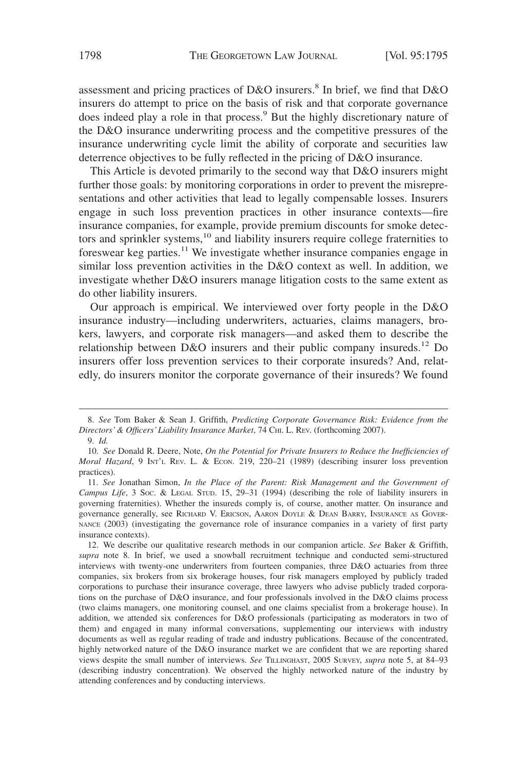assessment and pricing practices of  $D&O$  insurers.<sup>8</sup> In brief, we find that  $D&O$ insurers do attempt to price on the basis of risk and that corporate governance does indeed play a role in that process.<sup>9</sup> But the highly discretionary nature of the D&O insurance underwriting process and the competitive pressures of the insurance underwriting cycle limit the ability of corporate and securities law deterrence objectives to be fully reflected in the pricing of D&O insurance.

This Article is devoted primarily to the second way that D&O insurers might further those goals: by monitoring corporations in order to prevent the misrepresentations and other activities that lead to legally compensable losses. Insurers engage in such loss prevention practices in other insurance contexts—fire insurance companies, for example, provide premium discounts for smoke detectors and sprinkler systems,<sup>10</sup> and liability insurers require college fraternities to foreswear keg parties.11 We investigate whether insurance companies engage in similar loss prevention activities in the D&O context as well. In addition, we investigate whether D&O insurers manage litigation costs to the same extent as do other liability insurers.

Our approach is empirical. We interviewed over forty people in the D&O insurance industry—including underwriters, actuaries, claims managers, brokers, lawyers, and corporate risk managers—and asked them to describe the relationship between D&O insurers and their public company insureds.<sup>12</sup> Do insurers offer loss prevention services to their corporate insureds? And, relatedly, do insurers monitor the corporate governance of their insureds? We found

<sup>8.</sup> *See* Tom Baker & Sean J. Griffith, *Predicting Corporate Governance Risk: Evidence from the Directors' & Officers' Liability Insurance Market*, 74 CHI. L. REV. (forthcoming 2007).

<sup>9.</sup> *Id.*

<sup>10.</sup> *See* Donald R. Deere, Note, *On the Potential for Private Insurers to Reduce the Inefficiencies of Moral Hazard*, 9 INT'L REV. L. & ECON. 219, 220-21 (1989) (describing insurer loss prevention practices).

<sup>11.</sup> *See* Jonathan Simon, *In the Place of the Parent: Risk Management and the Government of Campus Life*,3SOC.&LEGAL STUD. 15, 29–31 (1994) (describing the role of liability insurers in governing fraternities). Whether the insureds comply is, of course, another matter. On insurance and governance generally, see RICHARD V. ERICSON, AARON DOYLE & DEAN BARRY, INSURANCE AS GOVER-NANCE (2003) (investigating the governance role of insurance companies in a variety of first party insurance contexts).

<sup>12.</sup> We describe our qualitative research methods in our companion article. *See* Baker & Griffith, *supra* note 8*.* In brief, we used a snowball recruitment technique and conducted semi-structured interviews with twenty-one underwriters from fourteen companies, three D&O actuaries from three companies, six brokers from six brokerage houses, four risk managers employed by publicly traded corporations to purchase their insurance coverage, three lawyers who advise publicly traded corporations on the purchase of D&O insurance, and four professionals involved in the D&O claims process (two claims managers, one monitoring counsel, and one claims specialist from a brokerage house). In addition, we attended six conferences for D&O professionals (participating as moderators in two of them) and engaged in many informal conversations, supplementing our interviews with industry documents as well as regular reading of trade and industry publications. Because of the concentrated, highly networked nature of the D&O insurance market we are confident that we are reporting shared views despite the small number of interviews. *See* TILLINGHAST, 2005 SURVEY, *supra* note 5, at 84–93 (describing industry concentration**)**. We observed the highly networked nature of the industry by attending conferences and by conducting interviews.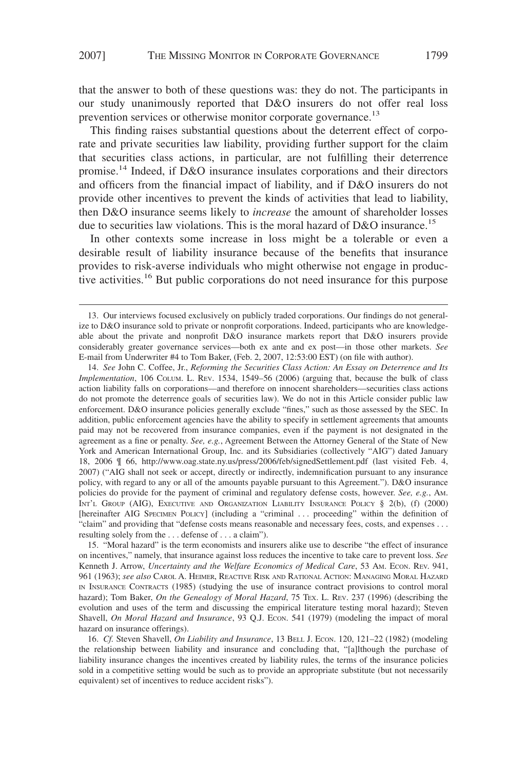that the answer to both of these questions was: they do not. The participants in our study unanimously reported that D&O insurers do not offer real loss prevention services or otherwise monitor corporate governance.<sup>13</sup>

This finding raises substantial questions about the deterrent effect of corporate and private securities law liability, providing further support for the claim that securities class actions, in particular, are not fulfilling their deterrence promise.<sup>14</sup> Indeed, if D&O insurance insulates corporations and their directors and officers from the financial impact of liability, and if D&O insurers do not provide other incentives to prevent the kinds of activities that lead to liability, then D&O insurance seems likely to *increase* the amount of shareholder losses due to securities law violations. This is the moral hazard of  $D&O$  insurance.<sup>15</sup>

In other contexts some increase in loss might be a tolerable or even a desirable result of liability insurance because of the benefits that insurance provides to risk-averse individuals who might otherwise not engage in productive activities.<sup>16</sup> But public corporations do not need insurance for this purpose

<sup>13.</sup> Our interviews focused exclusively on publicly traded corporations. Our findings do not generalize to D&O insurance sold to private or nonprofit corporations. Indeed, participants who are knowledgeable about the private and nonprofit D&O insurance markets report that D&O insurers provide considerably greater governance services—both ex ante and ex post—in those other markets. *See* E-mail from Underwriter #4 to Tom Baker, (Feb. 2, 2007, 12:53:00 EST) (on file with author).

<sup>14.</sup> *See* John C. Coffee, Jr., *Reforming the Securities Class Action: An Essay on Deterrence and Its Implementation*, 106 COLUM. L. REV. 1534, 1549–56 (2006) (arguing that, because the bulk of class action liability falls on corporations—and therefore on innocent shareholders—securities class actions do not promote the deterrence goals of securities law). We do not in this Article consider public law enforcement. D&O insurance policies generally exclude "fines," such as those assessed by the SEC. In addition, public enforcement agencies have the ability to specify in settlement agreements that amounts paid may not be recovered from insurance companies, even if the payment is not designated in the agreement as a fine or penalty. *See, e.g.*, Agreement Between the Attorney General of the State of New York and American International Group, Inc. and its Subsidiaries (collectively "AIG") dated January 18, 2006 ¶ 66, http://www.oag.state.ny.us/press/2006/feb/signedSettlement.pdf (last visited Feb. 4, 2007) ("AIG shall not seek or accept, directly or indirectly, indemnification pursuant to any insurance policy, with regard to any or all of the amounts payable pursuant to this Agreement."). D&O insurance policies do provide for the payment of criminal and regulatory defense costs, however. *See, e.g.*, AM. INT'L GROUP (AIG), EXECUTIVE AND ORGANIZATION LIABILITY INSURANCE POLICY § 2(b), (f) (2000) [hereinafter AIG SPECIMEN POLICY] (including a "criminal . . . proceeding" within the definition of "claim" and providing that "defense costs means reasonable and necessary fees, costs, and expenses . . . resulting solely from the . . . defense of . . . a claim").

<sup>15. &</sup>quot;Moral hazard" is the term economists and insurers alike use to describe "the effect of insurance on incentives," namely, that insurance against loss reduces the incentive to take care to prevent loss. *See* Kenneth J. Arrow, *Uncertainty and the Welfare Economics of Medical Care*, 53 AM. ECON. REV. 941, 961 (1963); *see also* CAROL A. HEIMER, REACTIVE RISK AND RATIONAL ACTION: MANAGING MORAL HAZARD IN INSURANCE CONTRACTS (1985) (studying the use of insurance contract provisions to control moral hazard); Tom Baker, *On the Genealogy of Moral Hazard*, 75 TEX. L. REV. 237 (1996) (describing the evolution and uses of the term and discussing the empirical literature testing moral hazard); Steven Shavell, *On Moral Hazard and Insurance*, 93 Q.J. Econ. 541 (1979) (modeling the impact of moral hazard on insurance offerings).

<sup>16.</sup> *Cf.* Steven Shavell, *On Liability and Insurance*, 13 BELL J. ECON. 120, 121–22 (1982) (modeling the relationship between liability and insurance and concluding that, "[a]lthough the purchase of liability insurance changes the incentives created by liability rules, the terms of the insurance policies sold in a competitive setting would be such as to provide an appropriate substitute (but not necessarily equivalent) set of incentives to reduce accident risks").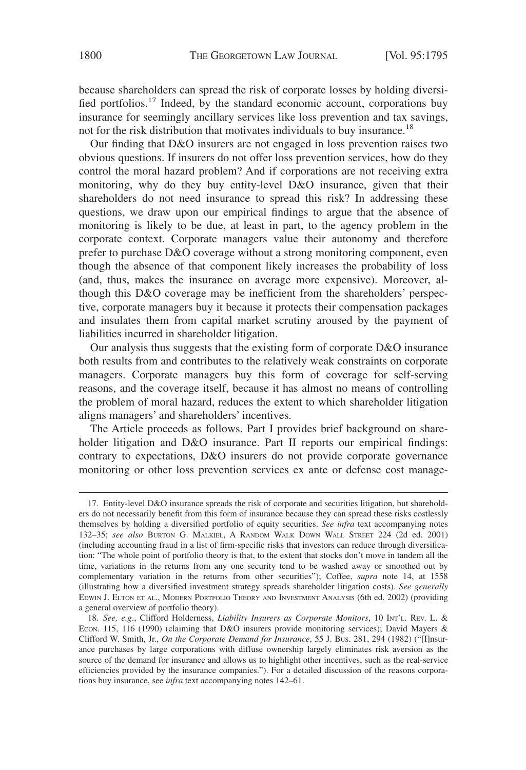because shareholders can spread the risk of corporate losses by holding diversified portfolios.17 Indeed, by the standard economic account, corporations buy insurance for seemingly ancillary services like loss prevention and tax savings, not for the risk distribution that motivates individuals to buy insurance.<sup>18</sup>

Our finding that D&O insurers are not engaged in loss prevention raises two obvious questions. If insurers do not offer loss prevention services, how do they control the moral hazard problem? And if corporations are not receiving extra monitoring, why do they buy entity-level D&O insurance, given that their shareholders do not need insurance to spread this risk? In addressing these questions, we draw upon our empirical findings to argue that the absence of monitoring is likely to be due, at least in part, to the agency problem in the corporate context. Corporate managers value their autonomy and therefore prefer to purchase D&O coverage without a strong monitoring component, even though the absence of that component likely increases the probability of loss (and, thus, makes the insurance on average more expensive). Moreover, although this D&O coverage may be inefficient from the shareholders' perspective, corporate managers buy it because it protects their compensation packages and insulates them from capital market scrutiny aroused by the payment of liabilities incurred in shareholder litigation.

Our analysis thus suggests that the existing form of corporate D&O insurance both results from and contributes to the relatively weak constraints on corporate managers. Corporate managers buy this form of coverage for self-serving reasons, and the coverage itself, because it has almost no means of controlling the problem of moral hazard, reduces the extent to which shareholder litigation aligns managers' and shareholders' incentives.

The Article proceeds as follows. Part I provides brief background on shareholder litigation and D&O insurance. Part II reports our empirical findings: contrary to expectations, D&O insurers do not provide corporate governance monitoring or other loss prevention services ex ante or defense cost manage-

<sup>17.</sup> Entity-level D&O insurance spreads the risk of corporate and securities litigation, but shareholders do not necessarily benefit from this form of insurance because they can spread these risks costlessly themselves by holding a diversified portfolio of equity securities. *See infra* text accompanying notes 132–35; *see also* BURTON G. MALKIEL,ARANDOM WALK DOWN WALL STREET 224 (2d ed. 2001) (including accounting fraud in a list of firm-specific risks that investors can reduce through diversification: "The whole point of portfolio theory is that, to the extent that stocks don't move in tandem all the time, variations in the returns from any one security tend to be washed away or smoothed out by complementary variation in the returns from other securities"); Coffee, *supra* note 14, at 1558 (illustrating how a diversified investment strategy spreads shareholder litigation costs). *See generally* EDWIN J. ELTON ET AL., MODERN PORTFOLIO THEORY AND INVESTMENT ANALYSIS (6th ed. 2002) (providing a general overview of portfolio theory).

<sup>18.</sup> *See, e.g*., Clifford Holderness, *Liability Insurers as Corporate Monitors*, 10 INT'L. REV. L. & ECON. 115, 116 (1990) (claiming that D&O insurers provide monitoring services); David Mayers & Clifford W. Smith, Jr., *On the Corporate Demand for Insurance*, 55 J. BUS. 281, 294 (1982) ("[I]nsurance purchases by large corporations with diffuse ownership largely eliminates risk aversion as the source of the demand for insurance and allows us to highlight other incentives, such as the real-service efficiencies provided by the insurance companies."). For a detailed discussion of the reasons corporations buy insurance, see *infra* text accompanying notes 142–61.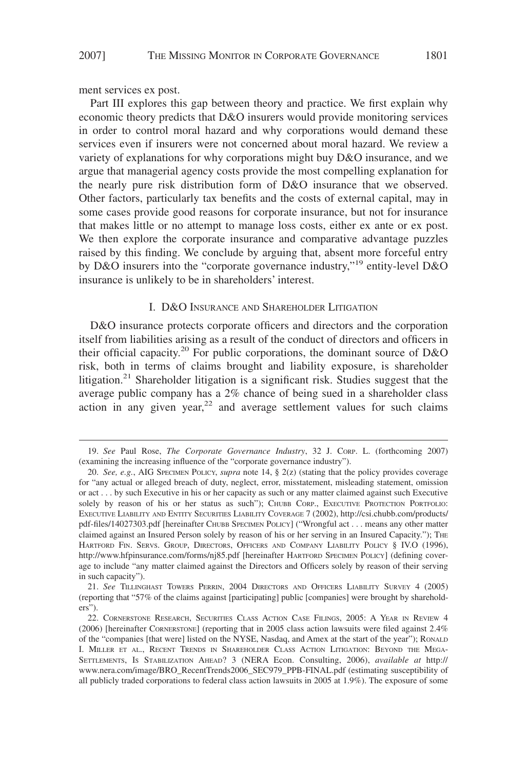ment services ex post.

Part III explores this gap between theory and practice. We first explain why economic theory predicts that D&O insurers would provide monitoring services in order to control moral hazard and why corporations would demand these services even if insurers were not concerned about moral hazard. We review a variety of explanations for why corporations might buy D&O insurance, and we argue that managerial agency costs provide the most compelling explanation for the nearly pure risk distribution form of D&O insurance that we observed. Other factors, particularly tax benefits and the costs of external capital, may in some cases provide good reasons for corporate insurance, but not for insurance that makes little or no attempt to manage loss costs, either ex ante or ex post. We then explore the corporate insurance and comparative advantage puzzles raised by this finding. We conclude by arguing that, absent more forceful entry by D&O insurers into the "corporate governance industry,"<sup>19</sup> entity-level D&O insurance is unlikely to be in shareholders' interest.

#### I. D&O INSURANCE AND SHAREHOLDER LITIGATION

D&O insurance protects corporate officers and directors and the corporation itself from liabilities arising as a result of the conduct of directors and officers in their official capacity.<sup>20</sup> For public corporations, the dominant source of  $D&O$ risk, both in terms of claims brought and liability exposure, is shareholder litigation.<sup>21</sup> Shareholder litigation is a significant risk. Studies suggest that the average public company has a 2% chance of being sued in a shareholder class action in any given year, $22$  and average settlement values for such claims

<sup>19.</sup> *See* Paul Rose, *The Corporate Governance Industry*, 32 J. CORP. L. (forthcoming 2007) (examining the increasing influence of the "corporate governance industry").

<sup>20.</sup> *See, e.g.*, AIG SPECIMEN POLICY, *supra* note 14, § 2(z) (stating that the policy provides coverage for "any actual or alleged breach of duty, neglect, error, misstatement, misleading statement, omission or act . . . by such Executive in his or her capacity as such or any matter claimed against such Executive solely by reason of his or her status as such"); CHUBB CORP., EXECUTIVE PROTECTION PORTFOLIO: EXECUTIVE LIABILITY AND ENTITY SECURITIES LIABILITY COVERAGE 7 (2002), http://csi.chubb.com/products/ pdf-files/14027303.pdf [hereinafter CHUBB SPECIMEN POLICY] ("Wrongful act . . . means any other matter claimed against an Insured Person solely by reason of his or her serving in an Insured Capacity."); THE HARTFORD FIN. SERVS. GROUP, DIRECTORS, OFFICERS AND COMPANY LIABILITY POLICY § IV.O (1996), http://www.hfpinsurance.com/forms/nj85.pdf [hereinafter HARTFORD SPECIMEN POLICY] (defining coverage to include "any matter claimed against the Directors and Officers solely by reason of their serving in such capacity").

<sup>21.</sup> *See* TILLINGHAST TOWERS PERRIN, 2004 DIRECTORS AND OFFICERS LIABILITY SURVEY 4 (2005) (reporting that "57% of the claims against [participating] public [companies] were brought by shareholders").

<sup>22.</sup> CORNERSTONE RESEARCH, SECURITIES CLASS ACTION CASE FILINGS, 2005: A YEAR IN REVIEW 4 (2006) [hereinafter CORNERSTONE] (reporting that in 2005 class action lawsuits were filed against 2.4% of the "companies [that were] listed on the NYSE, Nasdaq, and Amex at the start of the year"); RONALD I. MILLER ET AL., RECENT TRENDS IN SHAREHOLDER CLASS ACTION LITIGATION: BEYOND THE MEGA-SETTLEMENTS, IS STABILIZATION AHEAD? 3 (NERA Econ. Consulting, 2006), *available at* http:// www.nera.com/image/BRO\_RecentTrends2006\_SEC979\_PPB-FINAL.pdf (estimating susceptibility of all publicly traded corporations to federal class action lawsuits in 2005 at 1.9%). The exposure of some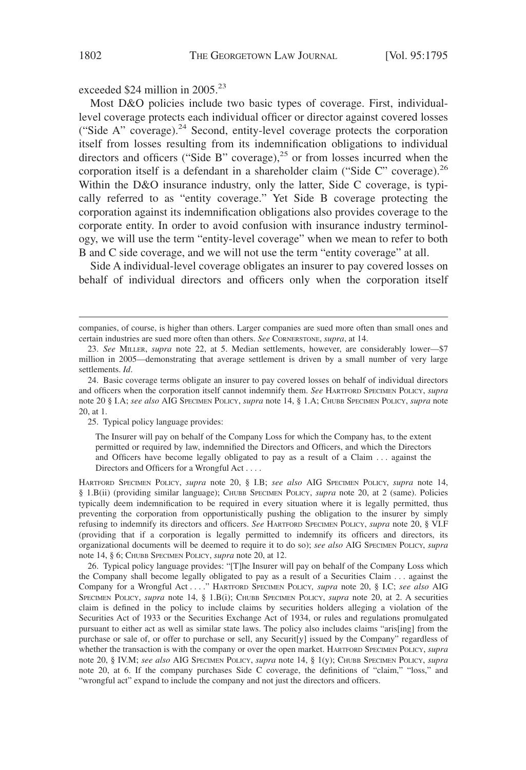exceeded \$24 million in 2005.<sup>23</sup>

Most D&O policies include two basic types of coverage. First, individuallevel coverage protects each individual officer or director against covered losses ("Side A" coverage). $24$  Second, entity-level coverage protects the corporation itself from losses resulting from its indemnification obligations to individual directors and officers ("Side B" coverage), $^{25}$  or from losses incurred when the corporation itself is a defendant in a shareholder claim ("Side C" coverage).<sup>26</sup> Within the D&O insurance industry, only the latter, Side C coverage, is typically referred to as "entity coverage." Yet Side B coverage protecting the corporation against its indemnification obligations also provides coverage to the corporate entity. In order to avoid confusion with insurance industry terminology, we will use the term "entity-level coverage" when we mean to refer to both B and C side coverage, and we will not use the term "entity coverage" at all.

Side A individual-level coverage obligates an insurer to pay covered losses on behalf of individual directors and officers only when the corporation itself

25. Typical policy language provides:

The Insurer will pay on behalf of the Company Loss for which the Company has, to the extent permitted or required by law, indemnified the Directors and Officers, and which the Directors and Officers have become legally obligated to pay as a result of a Claim . . . against the Directors and Officers for a Wrongful Act....

HARTFORD SPECIMEN POLICY, *supra* note 20, § I.B; *see also* AIG SPECIMEN POLICY, *supra* note 14, § 1.B(ii) (providing similar language); CHUBB SPECIMEN POLICY, *supra* note 20, at 2 (same). Policies typically deem indemnification to be required in every situation where it is legally permitted, thus preventing the corporation from opportunistically pushing the obligation to the insurer by simply refusing to indemnify its directors and officers. *See* HARTFORD SPECIMEN POLICY, *supra* note 20, § VI.F (providing that if a corporation is legally permitted to indemnify its officers and directors, its organizational documents will be deemed to require it to do so); *see also* AIG SPECIMEN POLICY, *supra* note 14, § 6; CHUBB SPECIMEN POLICY, *supra* note 20, at 12.

26. Typical policy language provides: "[T]he Insurer will pay on behalf of the Company Loss which the Company shall become legally obligated to pay as a result of a Securities Claim . . . against the Company for a Wrongful Act . . . ." HARTFORD SPECIMEN POLICY*, supra* note 20, § I.C; *see also* AIG SPECIMEN POLICY, *supra* note 14, § 1.B(i); CHUBB SPECIMEN POLICY, *supra* note 20, at 2. A securities claim is defined in the policy to include claims by securities holders alleging a violation of the Securities Act of 1933 or the Securities Exchange Act of 1934, or rules and regulations promulgated pursuant to either act as well as similar state laws. The policy also includes claims "aris[ing] from the purchase or sale of, or offer to purchase or sell, any Securit[y] issued by the Company" regardless of whether the transaction is with the company or over the open market. HARTFORD SPECIMEN POLICY, *supra* note 20, § IV.M; *see also* AIG SPECIMEN POLICY, *supra* note 14, § 1(y); CHUBB SPECIMEN POLICY, *supra* note 20, at 6. If the company purchases Side C coverage, the definitions of "claim," "loss," and "wrongful act" expand to include the company and not just the directors and officers.

companies, of course, is higher than others. Larger companies are sued more often than small ones and certain industries are sued more often than others. *See* CORNERSTONE, *supra*, at 14.

<sup>23.</sup> *See* MILLER, *supra* note 22, at 5. Median settlements, however, are considerably lower—\$7 million in 2005—demonstrating that average settlement is driven by a small number of very large settlements. *Id*.

<sup>24.</sup> Basic coverage terms obligate an insurer to pay covered losses on behalf of individual directors and officers when the corporation itself cannot indemnify them. *See* HARTFORD SPECIMEN POLICY, *supra* note 20 § I.A; *see also* AIG SPECIMEN POLICY, *supra* note 14, § 1.A; CHUBB SPECIMEN POLICY, *supra* note 20, at 1.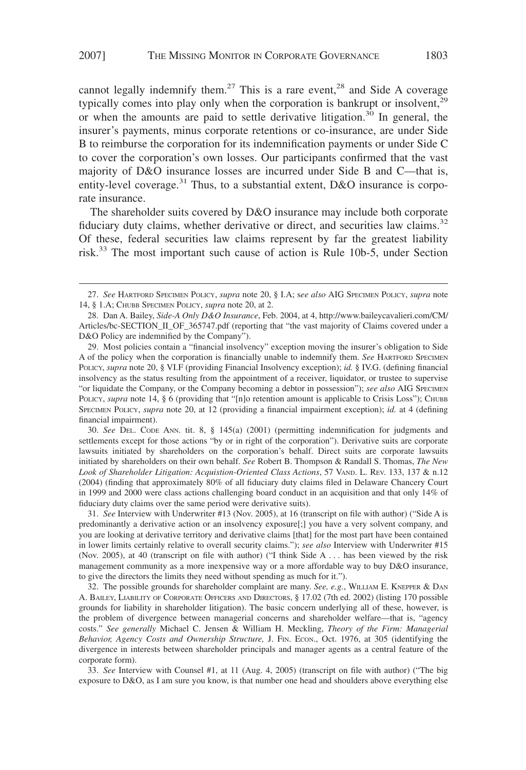cannot legally indemnify them.<sup>27</sup> This is a rare event,<sup>28</sup> and Side A coverage typically comes into play only when the corporation is bankrupt or insolvent, $29$ or when the amounts are paid to settle derivative litigation.<sup>30</sup> In general, the insurer's payments, minus corporate retentions or co-insurance, are under Side B to reimburse the corporation for its indemnification payments or under Side C to cover the corporation's own losses. Our participants confirmed that the vast majority of D&O insurance losses are incurred under Side B and C—that is, entity-level coverage.<sup>31</sup> Thus, to a substantial extent, D&O insurance is corporate insurance.

The shareholder suits covered by D&O insurance may include both corporate fiduciary duty claims, whether derivative or direct, and securities law claims.<sup>32</sup> Of these, federal securities law claims represent by far the greatest liability risk.<sup>33</sup> The most important such cause of action is Rule 10b-5, under Section

30. *See* DEL. CODE ANN. tit. 8, § 145(a) (2001) (permitting indemnification for judgments and settlements except for those actions "by or in right of the corporation"). Derivative suits are corporate lawsuits initiated by shareholders on the corporation's behalf. Direct suits are corporate lawsuits initiated by shareholders on their own behalf. *See* Robert B. Thompson & Randall S. Thomas, *The New Look of Shareholder Litigation: Acquistion-Oriented Class Actions*, 57 VAND. L. REV. 133, 137 & n.12 (2004) (finding that approximately 80% of all fiduciary duty claims filed in Delaware Chancery Court in 1999 and 2000 were class actions challenging board conduct in an acquisition and that only 14% of fiduciary duty claims over the same period were derivative suits).

31. *See* Interview with Underwriter #13 (Nov. 2005), at 16 (transcript on file with author) ("Side A is predominantly a derivative action or an insolvency exposure[;] you have a very solvent company, and you are looking at derivative territory and derivative claims [that] for the most part have been contained in lower limits certainly relative to overall security claims."); *see also* Interview with Underwriter #15 (Nov. 2005), at 40 (transcript on file with author) ("I think Side A . . . has been viewed by the risk management community as a more inexpensive way or a more affordable way to buy D&O insurance, to give the directors the limits they need without spending as much for it.").

32. The possible grounds for shareholder complaint are many. *See, e.g.*, WILLIAM E. KNEPPER & DAN A. BAILEY, LIABILITY OF CORPORATE OFFICERS AND DIRECTORS, § 17.02 (7th ed. 2002) (listing 170 possible grounds for liability in shareholder litigation). The basic concern underlying all of these, however, is the problem of divergence between managerial concerns and shareholder welfare—that is, "agency costs." *See generally* Michael C. Jensen & William H. Meckling, *Theory of the Firm: Managerial Behavior, Agency Costs and Ownership Structure,* J. FIN. ECON., Oct. 1976, at 305 (identifying the divergence in interests between shareholder principals and manager agents as a central feature of the corporate form).

33. *See* Interview with Counsel #1, at 11 (Aug. 4, 2005) (transcript on file with author) ("The big exposure to D&O, as I am sure you know, is that number one head and shoulders above everything else

<sup>27.</sup> *See* HARTFORD SPECIMEN POLICY, *supra* note 20, § I.A; s*ee also* AIG SPECIMEN POLICY, *supra* note 14, § 1.A; CHUBB SPECIMEN POLICY, *supra* note 20, at 2.

<sup>28.</sup> Dan A. Bailey, *Side-A Only D&O Insurance*, Feb. 2004, at 4, http://www.baileycavalieri.com/CM/ Articles/bc-SECTION\_II\_OF\_365747.pdf (reporting that "the vast majority of Claims covered under a D&O Policy are indemnified by the Company").

<sup>29.</sup> Most policies contain a "financial insolvency" exception moving the insurer's obligation to Side A of the policy when the corporation is financially unable to indemnify them. *See* HARTFORD SPECIMEN POLICY, *supra* note 20, § VI.F (providing Financial Insolvency exception); *id.* § IV.G. (defining financial insolvency as the status resulting from the appointment of a receiver, liquidator, or trustee to supervise "or liquidate the Company, or the Company becoming a debtor in possession"); *see also* AIG SPECIMEN POLICY, *supra* note 14, § 6 (providing that "[n]o retention amount is applicable to Crisis Loss"); CHUBB SPECIMEN POLICY, *supra* note 20, at 12 (providing a financial impairment exception); *id.* at 4 (defining financial impairment).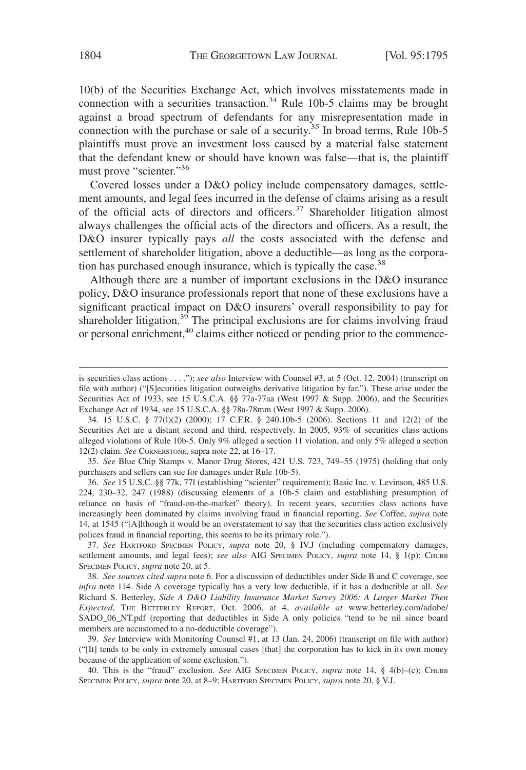10(b) of the Securities Exchange Act, which involves misstatements made in connection with a securities transaction. $34$  Rule 10b-5 claims may be brought against a broad spectrum of defendants for any misrepresentation made in connection with the purchase or sale of a security.<sup>35</sup> In broad terms, Rule 10b-5 plaintiffs must prove an investment loss caused by a material false statement that the defendant knew or should have known was false—that is, the plaintiff must prove "scienter."<sup>36</sup>

Covered losses under a D&O policy include compensatory damages, settlement amounts, and legal fees incurred in the defense of claims arising as a result of the official acts of directors and officers.37 Shareholder litigation almost always challenges the official acts of the directors and officers. As a result, the D&O insurer typically pays *all* the costs associated with the defense and settlement of shareholder litigation, above a deductible—as long as the corporation has purchased enough insurance, which is typically the case.<sup>38</sup>

Although there are a number of important exclusions in the D&O insurance policy, D&O insurance professionals report that none of these exclusions have a significant practical impact on D&O insurers' overall responsibility to pay for shareholder litigation.<sup>39</sup> The principal exclusions are for claims involving fraud or personal enrichment,<sup>40</sup> claims either noticed or pending prior to the commence-

35. *See* Blue Chip Stamps v. Manor Drug Stores, 421 U.S. 723, 749–55 (1975) (holding that only purchasers and sellers can sue for damages under Rule 10b-5).

36. *See* 15 U.S.C. §§ 77k, 77l (establishing "scienter" requirement); Basic Inc. v. Levinson, 485 U.S. 224, 230–32, 247 (1988) (discussing elements of a 10b-5 claim and establishing presumption of reliance on basis of "fraud-on-the-market" theory). In recent years, securities class actions have increasingly been dominated by claims involving fraud in financial reporting. *See* Coffee, *supra* note 14, at 1545 ("[A]lthough it would be an overstatement to say that the securities class action exclusively polices fraud in financial reporting, this seems to be its primary role.").

37. *See* HARTFORD SPECIMEN POLICY, *supra* note 20, § IV.J (including compensatory damages, settlement amounts, and legal fees); *see also* AIG SPECIMEN POLICY, *supra* note 14, § 1(p); CHUBB SPECIMEN POLICY, *supra* note 20, at 5.

38. *See sources cited supra* note 6. For a discussion of deductibles under Side B and C coverage, see *infra* note 114. Side A coverage typically has a very low deductible, if it has a deductible at all. *See* Richard S. Betterley, *Side A D&O Liability Insurance Market Survey 2006: A Larger Market Then Expected*, THE BETTERLEY REPORT, Oct. 2006, at 4, *available at* www.betterley.com/adobe/ SADO\_06\_NT.pdf (reporting that deductibles in Side A only policies "tend to be nil since board members are accustomed to a no-deductible coverage").

39. *See* Interview with Monitoring Counsel #1, at 13 (Jan. 24, 2006) (transcript on file with author) ("[It] tends to be only in extremely unusual cases [that] the corporation has to kick in its own money because of the application of some exclusion.").

40. This is the "fraud" exclusion. *See* AIG SPECIMEN POLICY, *supra* note 14, § 4(b)–(c); CHUBB SPECIMEN POLICY, *supra* note 20, at 8–9; HARTFORD SPECIMEN POLICY, *supra* note 20, § V.J.

is securities class actions... ."); *see also* Interview with Counsel #3, at 5 (Oct. 12, 2004) (transcript on file with author) ("[S]ecurities litigation outweighs derivative litigation by far."). These arise under the Securities Act of 1933, see 15 U.S.C.A. §§ 77a-77aa (West 1997 & Supp. 2006), and the Securities Exchange Act of 1934, see 15 U.S.C.A. §§ 78a-78mm (West 1997 & Supp. 2006).

<sup>34. 15</sup> U.S.C. § 77(l)(2) (2000); 17 C.F.R. § 240.10b-5 (2006). Sections 11 and 12(2) of the Securities Act are a distant second and third, respectively. In 2005, 93% of securities class actions alleged violations of Rule 10b-5. Only 9% alleged a section 11 violation, and only 5% alleged a section 12(2) claim. *See* CORNERSTONE, supra note 22, at 16–17.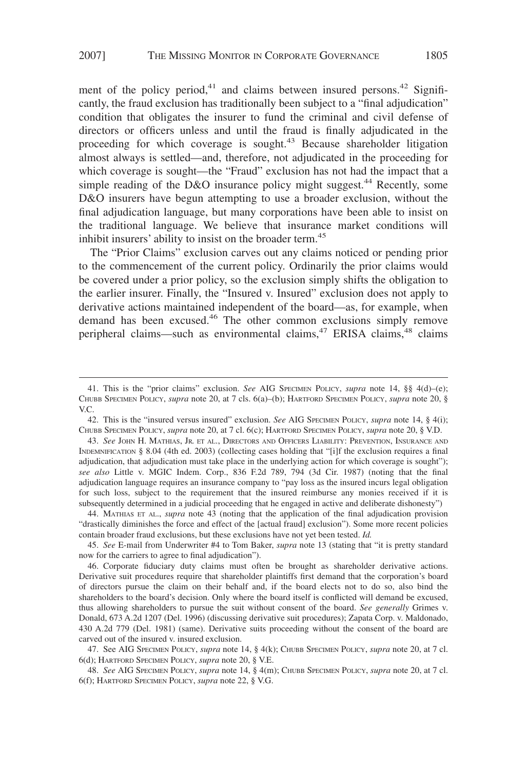ment of the policy period, $41$  and claims between insured persons. $42$  Significantly, the fraud exclusion has traditionally been subject to a "final adjudication" condition that obligates the insurer to fund the criminal and civil defense of directors or officers unless and until the fraud is finally adjudicated in the proceeding for which coverage is sought.<sup>43</sup> Because shareholder litigation almost always is settled—and, therefore, not adjudicated in the proceeding for which coverage is sought—the "Fraud" exclusion has not had the impact that a simple reading of the D&O insurance policy might suggest.<sup>44</sup> Recently, some D&O insurers have begun attempting to use a broader exclusion, without the final adjudication language, but many corporations have been able to insist on the traditional language. We believe that insurance market conditions will inhibit insurers' ability to insist on the broader term.<sup>45</sup>

The "Prior Claims" exclusion carves out any claims noticed or pending prior to the commencement of the current policy. Ordinarily the prior claims would be covered under a prior policy, so the exclusion simply shifts the obligation to the earlier insurer. Finally, the "Insured v. Insured" exclusion does not apply to derivative actions maintained independent of the board—as, for example, when demand has been excused.46 The other common exclusions simply remove peripheral claims—such as environmental claims,  $47$  ERISA claims,  $48$  claims

47. See AIG SPECIMEN POLICY, *supra* note 14, § 4(k); CHUBB SPECIMEN POLICY, *supra* note 20, at 7 cl. 6(d); HARTFORD SPECIMEN POLICY, *supra* note 20, § V.E.

<sup>41.</sup> This is the "prior claims" exclusion. *See* AIG SPECIMEN POLICY, *supra* note 14, §§ 4(d)–(e); CHUBB SPECIMEN POLICY, *supra* note 20, at 7 cls. 6(a)–(b); HARTFORD SPECIMEN POLICY, *supra* note 20, § V.C.

<sup>42.</sup> This is the "insured versus insured" exclusion. *See* AIG SPECIMEN POLICY, *supra* note 14, § 4(i); CHUBB SPECIMEN POLICY, *supra* note 20, at 7 cl. 6(c); HARTFORD SPECIMEN POLICY, *supra* note 20, § V.D.

<sup>43.</sup> *See* JOHN H. MATHIAS, JR. ET AL., DIRECTORS AND OFFICERS LIABILITY: PREVENTION, INSURANCE AND INDEMNIFICATION § 8.04 (4th ed. 2003) (collecting cases holding that "[i]f the exclusion requires a final adjudication, that adjudication must take place in the underlying action for which coverage is sought"); *see also* Little v. MGIC Indem. Corp., 836 F.2d 789, 794 (3d Cir. 1987) (noting that the final adjudication language requires an insurance company to "pay loss as the insured incurs legal obligation for such loss, subject to the requirement that the insured reimburse any monies received if it is subsequently determined in a judicial proceeding that he engaged in active and deliberate dishonesty")

<sup>44.</sup> MATHIAS ET AL., *supra* note 43 (noting that the application of the final adjudication provision "drastically diminishes the force and effect of the [actual fraud] exclusion"). Some more recent policies contain broader fraud exclusions, but these exclusions have not yet been tested. *Id.*

<sup>45.</sup> *See* E-mail from Underwriter #4 to Tom Baker, *supra* note 13 (stating that "it is pretty standard now for the carriers to agree to final adjudication").

<sup>46.</sup> Corporate fiduciary duty claims must often be brought as shareholder derivative actions. Derivative suit procedures require that shareholder plaintiffs first demand that the corporation's board of directors pursue the claim on their behalf and, if the board elects not to do so, also bind the shareholders to the board's decision. Only where the board itself is conflicted will demand be excused, thus allowing shareholders to pursue the suit without consent of the board. *See generally* Grimes v. Donald, 673 A.2d 1207 (Del. 1996) (discussing derivative suit procedures); Zapata Corp. v. Maldonado, 430 A.2d 779 (Del. 1981) (same). Derivative suits proceeding without the consent of the board are carved out of the insured v. insured exclusion.

<sup>48.</sup> *See* AIG SPECIMEN POLICY, *supra* note 14, § 4(m); CHUBB SPECIMEN POLICY, *supra* note 20, at 7 cl. 6(f); HARTFORD SPECIMEN POLICY, *supra* note 22, § V.G.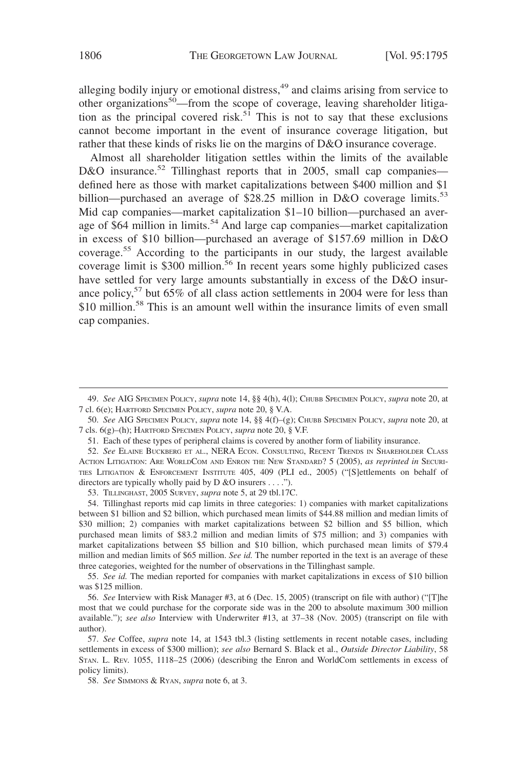alleging bodily injury or emotional distress,<sup>49</sup> and claims arising from service to other organizations<sup>50</sup>—from the scope of coverage, leaving shareholder litigation as the principal covered risk.<sup>51</sup> This is not to say that these exclusions cannot become important in the event of insurance coverage litigation, but rather that these kinds of risks lie on the margins of D&O insurance coverage.

Almost all shareholder litigation settles within the limits of the available D&O insurance.<sup>52</sup> Tillinghast reports that in 2005, small cap companies defined here as those with market capitalizations between \$400 million and \$1 billion—purchased an average of \$28.25 million in D&O coverage limits.<sup>53</sup> Mid cap companies—market capitalization \$1–10 billion—purchased an average of \$64 million in limits.<sup>54</sup> And large cap companies—market capitalization in excess of \$10 billion—purchased an average of \$157.69 million in D&O coverage.<sup>55</sup> According to the participants in our study, the largest available coverage limit is \$300 million.<sup>56</sup> In recent years some highly publicized cases have settled for very large amounts substantially in excess of the D&O insurance policy,<sup>57</sup> but 65% of all class action settlements in 2004 were for less than \$10 million.<sup>58</sup> This is an amount well within the insurance limits of even small cap companies.

<sup>49.</sup> *See* AIG SPECIMEN POLICY, *supra* note 14, §§ 4(h), 4(l); CHUBB SPECIMEN POLICY, *supra* note 20, at 7 cl. 6(e); HARTFORD SPECIMEN POLICY, *supra* note 20, § V.A.

<sup>50.</sup> *See* AIG SPECIMEN POLICY, *supra* note 14, §§ 4(f)–(g); CHUBB SPECIMEN POLICY, *supra* note 20, at 7 cls. 6(g)–(h); HARTFORD SPECIMEN POLICY, *supra* note 20, § V.F.

<sup>51.</sup> Each of these types of peripheral claims is covered by another form of liability insurance.

<sup>52.</sup> *See* ELAINE BUCKBERG ET AL., NERA ECON. CONSULTING, RECENT TRENDS IN SHAREHOLDER CLASS ACTION LITIGATION: ARE WORLDCOM AND ENRON THE NEW STANDARD? 5 (2005), *as reprinted in* SECURI-TIES LITIGATION & ENFORCEMENT INSTITUTE 405, 409 (PLI ed., 2005) ("[S]ettlements on behalf of directors are typically wholly paid by D &O insurers... .").

<sup>53.</sup> TILLINGHAST, 2005 SURVEY, *supra* note 5, at 29 tbl.17C.

<sup>54.</sup> Tillinghast reports mid cap limits in three categories: 1) companies with market capitalizations between \$1 billion and \$2 billion, which purchased mean limits of \$44.88 million and median limits of \$30 million; 2) companies with market capitalizations between \$2 billion and \$5 billion, which purchased mean limits of \$83.2 million and median limits of \$75 million; and 3) companies with market capitalizations between \$5 billion and \$10 billion, which purchased mean limits of \$79.4 million and median limits of \$65 million. *See id.* The number reported in the text is an average of these three categories, weighted for the number of observations in the Tillinghast sample.

<sup>55.</sup> *See id.* The median reported for companies with market capitalizations in excess of \$10 billion was \$125 million.

<sup>56.</sup> *See* Interview with Risk Manager #3, at 6 (Dec. 15, 2005) (transcript on file with author) ("[T]he most that we could purchase for the corporate side was in the 200 to absolute maximum 300 million available."); *see also* Interview with Underwriter #13, at 37–38 (Nov. 2005) (transcript on file with author).

<sup>57.</sup> *See* Coffee, *supra* note 14, at 1543 tbl.3 (listing settlements in recent notable cases, including settlements in excess of \$300 million); *see also* Bernard S. Black et al., *Outside Director Liability*, 58 STAN. L. REV. 1055, 1118–25 (2006) (describing the Enron and WorldCom settlements in excess of policy limits).

<sup>58.</sup> *See* SIMMONS & RYAN, *supra* note 6, at 3.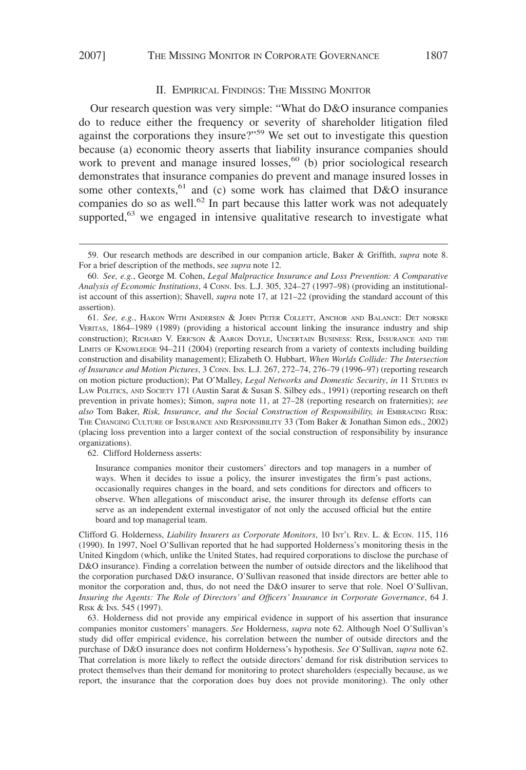## II. EMPIRICAL FINDINGS: THE MISSING MONITOR

Our research question was very simple: "What do D&O insurance companies do to reduce either the frequency or severity of shareholder litigation filed against the corporations they insure?"<sup>59</sup> We set out to investigate this question because (a) economic theory asserts that liability insurance companies should work to prevent and manage insured losses,<sup>60</sup> (b) prior sociological research demonstrates that insurance companies do prevent and manage insured losses in some other contexts,<sup>61</sup> and (c) some work has claimed that D&O insurance companies do so as well.<sup>62</sup> In part because this latter work was not adequately supported,<sup>63</sup> we engaged in intensive qualitative research to investigate what

62. Clifford Holderness asserts:

<sup>59.</sup> Our research methods are described in our companion article, Baker & Griffith, *supra* note 8. For a brief description of the methods, see *supra* note 12*.*

<sup>60.</sup> *See, e.g.*, George M. Cohen, *Legal Malpractice Insurance and Loss Prevention: A Comparative Analysis of Economic Institutions*,4CONN. INS. L.J. 305, 324–27 (1997–98) (providing an institutionalist account of this assertion); Shavell, *supra* note 17, at 121–22 (providing the standard account of this assertion).

<sup>61.</sup> *See, e.g.*, HAKON WITH ANDERSEN & JOHN PETER COLLETT, ANCHOR AND BALANCE: DET NORSKE VERITAS, 1864–1989 (1989) (providing a historical account linking the insurance industry and ship construction); RICHARD V. ERICSON & AARON DOYLE, UNCERTAIN BUSINESS: RISK, INSURANCE AND THE LIMITS OF KNOWLEDGE 94–211 (2004) (reporting research from a variety of contexts including building construction and disability management); Elizabeth O. Hubbart, *When Worlds Collide: The Intersection of Insurance and Motion Pictures*,3CONN. INS. L.J. 267, 272–74, 276–79 (1996–97) (reporting research on motion picture production); Pat O'Malley, *Legal Networks and Domestic Security*, *in* 11 STUDIES IN LAW POLITICS, AND SOCIETY 171 (Austin Sarat & Susan S. Silbey eds., 1991) (reporting research on theft prevention in private homes); Simon, *supra* note 11, at 27–28 (reporting research on fraternities); *see also* Tom Baker, *Risk, Insurance, and the Social Construction of Responsibility, in* EMBRACING RISK: THE CHANGING CULTURE OF INSURANCE AND RESPONSIBILITY 33 (Tom Baker & Jonathan Simon eds., 2002) (placing loss prevention into a larger context of the social construction of responsibility by insurance organizations).

Insurance companies monitor their customers' directors and top managers in a number of ways. When it decides to issue a policy, the insurer investigates the firm's past actions, occasionally requires changes in the board, and sets conditions for directors and officers to observe. When allegations of misconduct arise, the insurer through its defense efforts can serve as an independent external investigator of not only the accused official but the entire board and top managerial team.

Clifford G. Holderness, *Liability Insurers as Corporate Monitors*, 10 INT'L REV. L. & ECON. 115, 116 (1990). In 1997, Noel O'Sullivan reported that he had supported Holderness's monitoring thesis in the United Kingdom (which, unlike the United States, had required corporations to disclose the purchase of D&O insurance). Finding a correlation between the number of outside directors and the likelihood that the corporation purchased D&O insurance, O'Sullivan reasoned that inside directors are better able to monitor the corporation and, thus, do not need the D&O insurer to serve that role. Noel O'Sullivan, *Insuring the Agents: The Role of Directors' and Officers' Insurance in Corporate Governance*, 64 J. RISK & INS. 545 (1997).

<sup>63.</sup> Holderness did not provide any empirical evidence in support of his assertion that insurance companies monitor customers' managers. *See* Holderness, *supra* note 62. Although Noel O'Sullivan's study did offer empirical evidence, his correlation between the number of outside directors and the purchase of D&O insurance does not confirm Holderness's hypothesis. *See* O'Sullivan, *supra* note 62. That correlation is more likely to reflect the outside directors' demand for risk distribution services to protect themselves than their demand for monitoring to protect shareholders (especially because, as we report, the insurance that the corporation does buy does not provide monitoring). The only other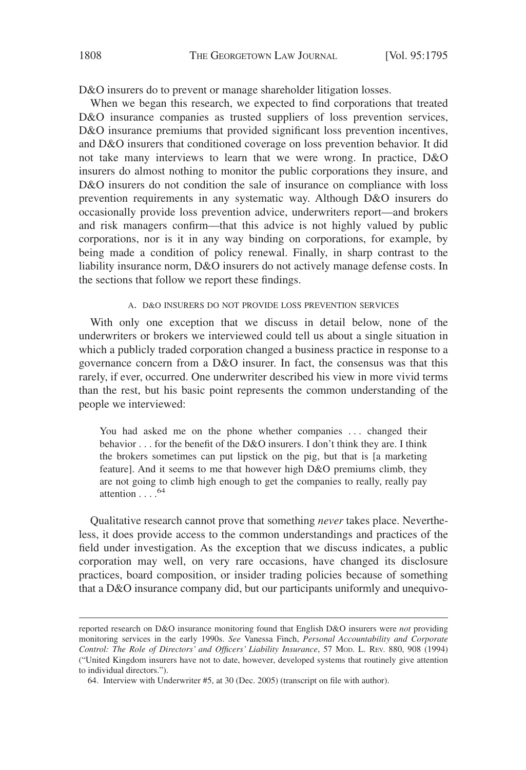D&O insurers do to prevent or manage shareholder litigation losses.

When we began this research, we expected to find corporations that treated D&O insurance companies as trusted suppliers of loss prevention services, D&O insurance premiums that provided significant loss prevention incentives, and D&O insurers that conditioned coverage on loss prevention behavior. It did not take many interviews to learn that we were wrong. In practice, D&O insurers do almost nothing to monitor the public corporations they insure, and D&O insurers do not condition the sale of insurance on compliance with loss prevention requirements in any systematic way. Although D&O insurers do occasionally provide loss prevention advice, underwriters report—and brokers and risk managers confirm—that this advice is not highly valued by public corporations, nor is it in any way binding on corporations, for example, by being made a condition of policy renewal. Finally, in sharp contrast to the liability insurance norm, D&O insurers do not actively manage defense costs. In the sections that follow we report these findings.

## A. D&O INSURERS DO NOT PROVIDE LOSS PREVENTION SERVICES

With only one exception that we discuss in detail below, none of the underwriters or brokers we interviewed could tell us about a single situation in which a publicly traded corporation changed a business practice in response to a governance concern from a D&O insurer. In fact, the consensus was that this rarely, if ever, occurred. One underwriter described his view in more vivid terms than the rest, but his basic point represents the common understanding of the people we interviewed:

You had asked me on the phone whether companies ... changed their behavior . . . for the benefit of the D&O insurers. I don't think they are. I think the brokers sometimes can put lipstick on the pig, but that is [a marketing feature]. And it seems to me that however high D&O premiums climb, they are not going to climb high enough to get the companies to really, really pay attention  $\ldots$ .<sup>64</sup>

Qualitative research cannot prove that something *never* takes place. Nevertheless, it does provide access to the common understandings and practices of the field under investigation. As the exception that we discuss indicates, a public corporation may well, on very rare occasions, have changed its disclosure practices, board composition, or insider trading policies because of something that a D&O insurance company did, but our participants uniformly and unequivo-

reported research on D&O insurance monitoring found that English D&O insurers were *not* providing monitoring services in the early 1990s. *See* Vanessa Finch, *Personal Accountability and Corporate Control: The Role of Directors' and Officers' Liability Insurance*, 57 MOD. L. REV. 880, 908 (1994) ("United Kingdom insurers have not to date, however, developed systems that routinely give attention to individual directors.").

<sup>64.</sup> Interview with Underwriter #5, at 30 (Dec. 2005) (transcript on file with author).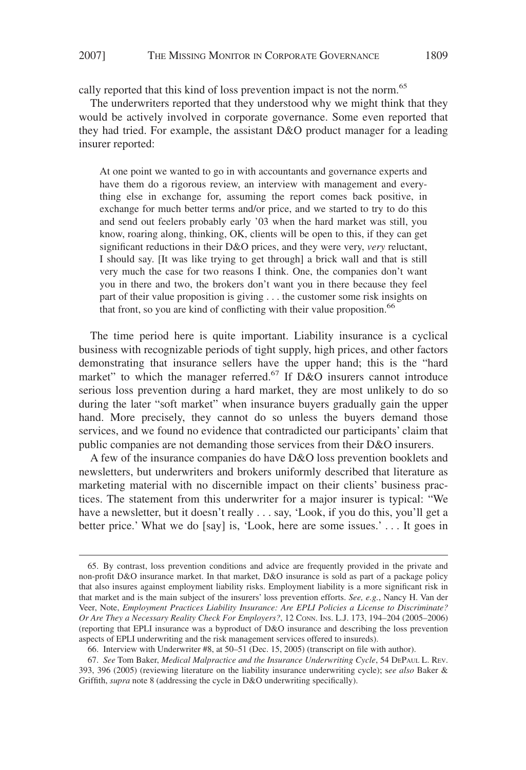cally reported that this kind of loss prevention impact is not the norm.<sup>65</sup>

The underwriters reported that they understood why we might think that they would be actively involved in corporate governance. Some even reported that they had tried. For example, the assistant D&O product manager for a leading insurer reported:

At one point we wanted to go in with accountants and governance experts and have them do a rigorous review, an interview with management and everything else in exchange for, assuming the report comes back positive, in exchange for much better terms and/or price, and we started to try to do this and send out feelers probably early '03 when the hard market was still, you know, roaring along, thinking, OK, clients will be open to this, if they can get significant reductions in their D&O prices, and they were very, *very* reluctant, I should say. [It was like trying to get through] a brick wall and that is still very much the case for two reasons I think. One, the companies don't want you in there and two, the brokers don't want you in there because they feel part of their value proposition is giving . . . the customer some risk insights on that front, so you are kind of conflicting with their value proposition.<sup>66</sup>

The time period here is quite important. Liability insurance is a cyclical business with recognizable periods of tight supply, high prices, and other factors demonstrating that insurance sellers have the upper hand; this is the "hard market" to which the manager referred.<sup>67</sup> If  $D&O$  insurers cannot introduce serious loss prevention during a hard market, they are most unlikely to do so during the later "soft market" when insurance buyers gradually gain the upper hand. More precisely, they cannot do so unless the buyers demand those services, and we found no evidence that contradicted our participants' claim that public companies are not demanding those services from their D&O insurers.

A few of the insurance companies do have D&O loss prevention booklets and newsletters, but underwriters and brokers uniformly described that literature as marketing material with no discernible impact on their clients' business practices. The statement from this underwriter for a major insurer is typical: "We have a newsletter, but it doesn't really . . . say, 'Look, if you do this, you'll get a better price.' What we do [say] is, 'Look, here are some issues.' . . . It goes in

<sup>65.</sup> By contrast, loss prevention conditions and advice are frequently provided in the private and non-profit D&O insurance market. In that market, D&O insurance is sold as part of a package policy that also insures against employment liability risks. Employment liability is a more significant risk in that market and is the main subject of the insurers' loss prevention efforts. *See, e.g.*, Nancy H. Van der Veer, Note, *Employment Practices Liability Insurance: Are EPLI Policies a License to Discriminate? Or Are They a Necessary Reality Check For Employers?*, 12 CONN. INS. L.J. 173, 194–204 (2005–2006) (reporting that EPLI insurance was a byproduct of D&O insurance and describing the loss prevention aspects of EPLI underwriting and the risk management services offered to insureds).

<sup>66.</sup> Interview with Underwriter #8, at 50–51 (Dec. 15, 2005) (transcript on file with author).

<sup>67.</sup> *See* Tom Baker, *Medical Malpractice and the Insurance Underwriting Cycle*, 54 DEPAUL L. REV. 393, 396 (2005) (reviewing literature on the liability insurance underwriting cycle); s*ee also* Baker & Griffith, *supra* note 8 (addressing the cycle in D&O underwriting specifically).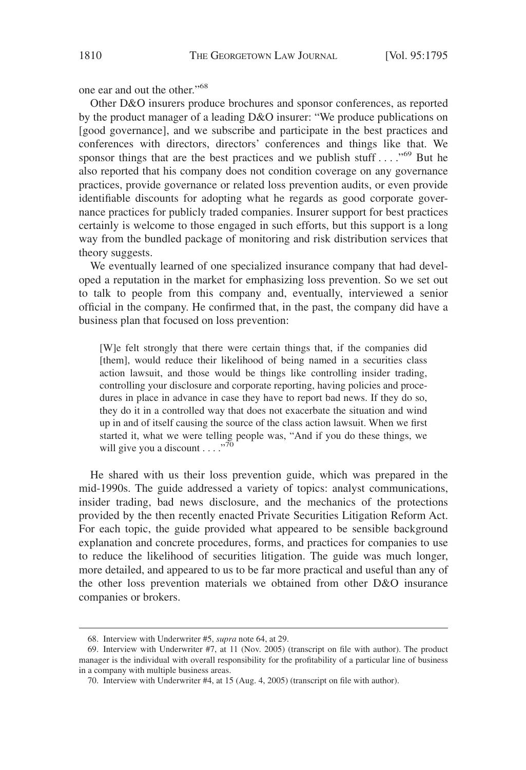one ear and out the other."<sup>68</sup>

Other D&O insurers produce brochures and sponsor conferences, as reported by the product manager of a leading D&O insurer: "We produce publications on [good governance], and we subscribe and participate in the best practices and conferences with directors, directors' conferences and things like that. We sponsor things that are the best practices and we publish stuff . . . . "<sup>69</sup> But he also reported that his company does not condition coverage on any governance practices, provide governance or related loss prevention audits, or even provide identifiable discounts for adopting what he regards as good corporate governance practices for publicly traded companies. Insurer support for best practices certainly is welcome to those engaged in such efforts, but this support is a long way from the bundled package of monitoring and risk distribution services that theory suggests.

We eventually learned of one specialized insurance company that had developed a reputation in the market for emphasizing loss prevention. So we set out to talk to people from this company and, eventually, interviewed a senior official in the company. He confirmed that, in the past, the company did have a business plan that focused on loss prevention:

[W]e felt strongly that there were certain things that, if the companies did [them], would reduce their likelihood of being named in a securities class action lawsuit, and those would be things like controlling insider trading, controlling your disclosure and corporate reporting, having policies and procedures in place in advance in case they have to report bad news. If they do so, they do it in a controlled way that does not exacerbate the situation and wind up in and of itself causing the source of the class action lawsuit. When we first started it, what we were telling people was, "And if you do these things, we will give you a discount  $\ldots$ ."<sup>70</sup>

He shared with us their loss prevention guide, which was prepared in the mid-1990s. The guide addressed a variety of topics: analyst communications, insider trading, bad news disclosure, and the mechanics of the protections provided by the then recently enacted Private Securities Litigation Reform Act. For each topic, the guide provided what appeared to be sensible background explanation and concrete procedures, forms, and practices for companies to use to reduce the likelihood of securities litigation. The guide was much longer, more detailed, and appeared to us to be far more practical and useful than any of the other loss prevention materials we obtained from other D&O insurance companies or brokers.

<sup>68.</sup> Interview with Underwriter #5, *supra* note 64, at 29.

<sup>69.</sup> Interview with Underwriter #7, at 11 (Nov. 2005) (transcript on file with author). The product manager is the individual with overall responsibility for the profitability of a particular line of business in a company with multiple business areas.

<sup>70.</sup> Interview with Underwriter #4, at 15 (Aug. 4, 2005) (transcript on file with author).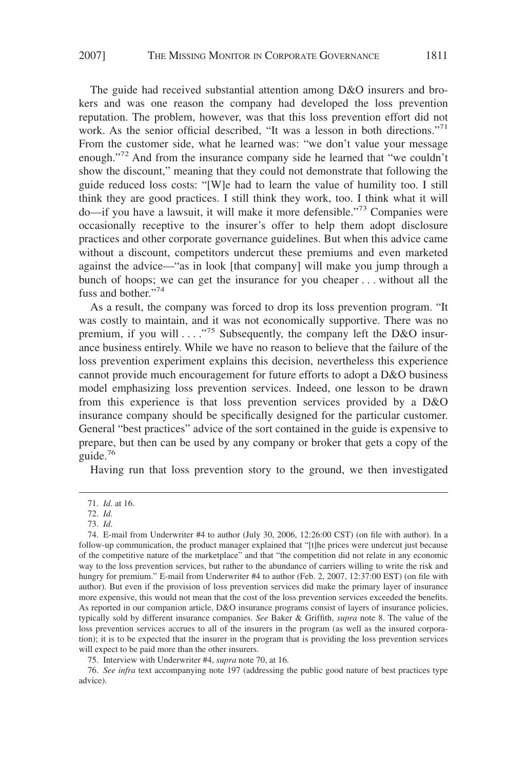# 2007] THE MISSING MONITOR IN CORPORATE GOVERNANCE 1811

The guide had received substantial attention among D&O insurers and brokers and was one reason the company had developed the loss prevention reputation. The problem, however, was that this loss prevention effort did not work. As the senior official described, "It was a lesson in both directions."<sup>71</sup> From the customer side, what he learned was: "we don't value your message enough."<sup>72</sup> And from the insurance company side he learned that "we couldn't show the discount," meaning that they could not demonstrate that following the guide reduced loss costs: "[W]e had to learn the value of humility too. I still think they are good practices. I still think they work, too. I think what it will do—if you have a lawsuit, it will make it more defensible."<sup>73</sup> Companies were occasionally receptive to the insurer's offer to help them adopt disclosure practices and other corporate governance guidelines. But when this advice came without a discount, competitors undercut these premiums and even marketed against the advice—"as in look [that company] will make you jump through a bunch of hoops; we can get the insurance for you cheaper... without all the fuss and bother."<sup>74</sup>

As a result, the company was forced to drop its loss prevention program. "It was costly to maintain, and it was not economically supportive. There was no premium, if you will  $\ldots$ ."<sup>75</sup> Subsequently, the company left the D&O insurance business entirely. While we have no reason to believe that the failure of the loss prevention experiment explains this decision, nevertheless this experience cannot provide much encouragement for future efforts to adopt a D&O business model emphasizing loss prevention services. Indeed, one lesson to be drawn from this experience is that loss prevention services provided by a D&O insurance company should be specifically designed for the particular customer. General "best practices" advice of the sort contained in the guide is expensive to prepare, but then can be used by any company or broker that gets a copy of the guide.<sup>76</sup>

Having run that loss prevention story to the ground, we then investigated

75. Interview with Underwriter #4, *supra* note 70, at 16.

76. *See infra* text accompanying note 197 (addressing the public good nature of best practices type advice).

<sup>71.</sup> *Id*. at 16.

<sup>72.</sup> *Id.*

<sup>73.</sup> *Id*.

<sup>74.</sup> E-mail from Underwriter #4 to author (July 30, 2006, 12:26:00 CST) (on file with author). In a follow-up communication, the product manager explained that "[t]he prices were undercut just because of the competitive nature of the marketplace" and that "the competition did not relate in any economic way to the loss prevention services, but rather to the abundance of carriers willing to write the risk and hungry for premium." E-mail from Underwriter #4 to author (Feb. 2, 2007, 12:37:00 EST) (on file with author). But even if the provision of loss prevention services did make the primary layer of insurance more expensive, this would not mean that the cost of the loss prevention services exceeded the benefits. As reported in our companion article, D&O insurance programs consist of layers of insurance policies, typically sold by different insurance companies. *See* Baker & Griffith, *supra* note 8. The value of the loss prevention services accrues to all of the insurers in the program (as well as the insured corporation); it is to be expected that the insurer in the program that is providing the loss prevention services will expect to be paid more than the other insurers.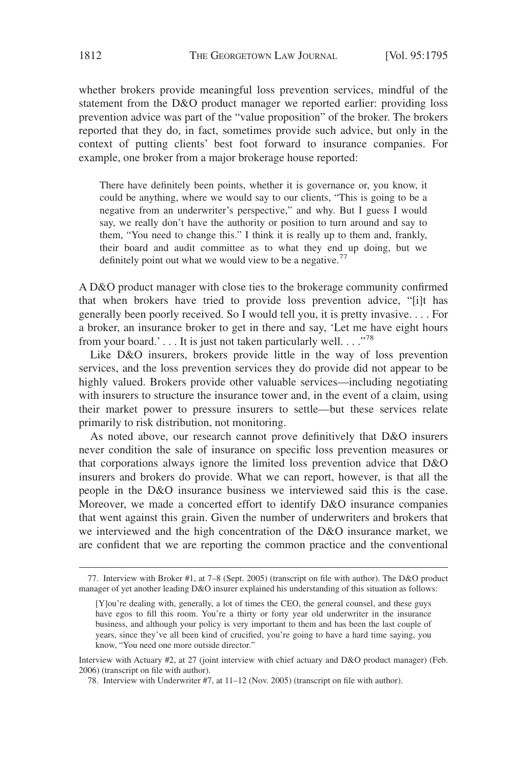whether brokers provide meaningful loss prevention services, mindful of the statement from the D&O product manager we reported earlier: providing loss prevention advice was part of the "value proposition" of the broker. The brokers reported that they do, in fact, sometimes provide such advice, but only in the context of putting clients' best foot forward to insurance companies. For example, one broker from a major brokerage house reported:

There have definitely been points, whether it is governance or, you know, it could be anything, where we would say to our clients, "This is going to be a negative from an underwriter's perspective," and why. But I guess I would say, we really don't have the authority or position to turn around and say to them, "You need to change this." I think it is really up to them and, frankly, their board and audit committee as to what they end up doing, but we definitely point out what we would view to be a negative.<sup>77</sup>

A D&O product manager with close ties to the brokerage community confirmed that when brokers have tried to provide loss prevention advice, "[i]t has generally been poorly received. So I would tell you, it is pretty invasive. . . . For a broker, an insurance broker to get in there and say, 'Let me have eight hours from your board.'... It is just not taken particularly well...."<sup>78</sup>

Like D&O insurers, brokers provide little in the way of loss prevention services, and the loss prevention services they do provide did not appear to be highly valued. Brokers provide other valuable services—including negotiating with insurers to structure the insurance tower and, in the event of a claim, using their market power to pressure insurers to settle—but these services relate primarily to risk distribution, not monitoring.

As noted above, our research cannot prove definitively that D&O insurers never condition the sale of insurance on specific loss prevention measures or that corporations always ignore the limited loss prevention advice that D&O insurers and brokers do provide. What we can report, however, is that all the people in the D&O insurance business we interviewed said this is the case. Moreover, we made a concerted effort to identify D&O insurance companies that went against this grain. Given the number of underwriters and brokers that we interviewed and the high concentration of the D&O insurance market, we are confident that we are reporting the common practice and the conventional

Interview with Actuary #2, at 27 (joint interview with chief actuary and D&O product manager) (Feb. 2006) (transcript on file with author).

78. Interview with Underwriter #7, at 11–12 (Nov. 2005) (transcript on file with author).

<sup>77.</sup> Interview with Broker #1, at 7–8 (Sept. 2005) (transcript on file with author). The D&O product manager of yet another leading D&O insurer explained his understanding of this situation as follows:

<sup>[</sup>Y]ou're dealing with, generally, a lot of times the CEO, the general counsel, and these guys have egos to fill this room. You're a thirty or forty year old underwriter in the insurance business, and although your policy is very important to them and has been the last couple of years, since they've all been kind of crucified, you're going to have a hard time saying, you know, "You need one more outside director."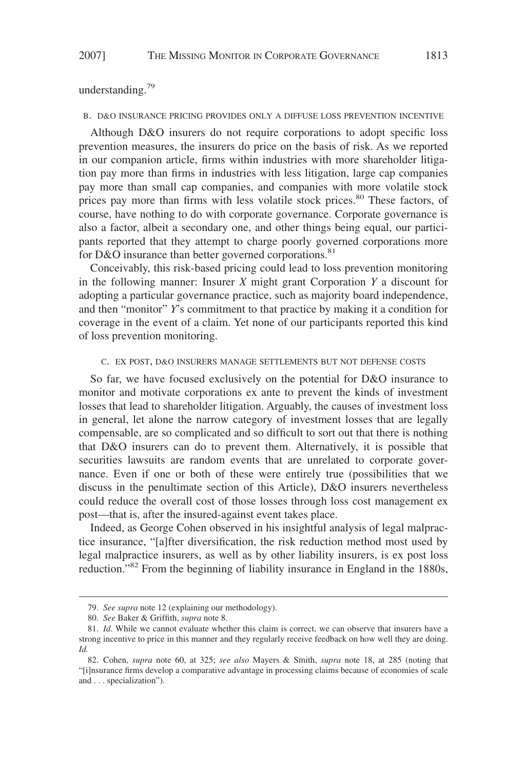understanding.<sup>79</sup>

#### B. D&O INSURANCE PRICING PROVIDES ONLY A DIFFUSE LOSS PREVENTION INCENTIVE

Although D&O insurers do not require corporations to adopt specific loss prevention measures, the insurers do price on the basis of risk. As we reported in our companion article, firms within industries with more shareholder litigation pay more than firms in industries with less litigation, large cap companies pay more than small cap companies, and companies with more volatile stock prices pay more than firms with less volatile stock prices.<sup>80</sup> These factors, of course, have nothing to do with corporate governance. Corporate governance is also a factor, albeit a secondary one, and other things being equal, our participants reported that they attempt to charge poorly governed corporations more for D&O insurance than better governed corporations.<sup>81</sup>

Conceivably, this risk-based pricing could lead to loss prevention monitoring in the following manner: Insurer *X* might grant Corporation *Y* a discount for adopting a particular governance practice, such as majority board independence, and then "monitor" *Y*'s commitment to that practice by making it a condition for coverage in the event of a claim. Yet none of our participants reported this kind of loss prevention monitoring.

#### C. EX POST, D&O INSURERS MANAGE SETTLEMENTS BUT NOT DEFENSE COSTS

So far, we have focused exclusively on the potential for D&O insurance to monitor and motivate corporations ex ante to prevent the kinds of investment losses that lead to shareholder litigation. Arguably, the causes of investment loss in general, let alone the narrow category of investment losses that are legally compensable, are so complicated and so difficult to sort out that there is nothing that D&O insurers can do to prevent them. Alternatively, it is possible that securities lawsuits are random events that are unrelated to corporate governance. Even if one or both of these were entirely true (possibilities that we discuss in the penultimate section of this Article), D&O insurers nevertheless could reduce the overall cost of those losses through loss cost management ex post—that is, after the insured-against event takes place.

Indeed, as George Cohen observed in his insightful analysis of legal malpractice insurance, "[a]fter diversification, the risk reduction method most used by legal malpractice insurers, as well as by other liability insurers, is ex post loss reduction."<sup>82</sup> From the beginning of liability insurance in England in the 1880s,

<sup>79.</sup> *See supra* note 12 (explaining our methodology).

<sup>80.</sup> *See* Baker & Griffith, *supra* note 8.

<sup>81.</sup> *Id*. While we cannot evaluate whether this claim is correct, we can observe that insurers have a strong incentive to price in this manner and they regularly receive feedback on how well they are doing. *Id.*

<sup>82.</sup> Cohen, *supra* note 60, at 325; *see also* Mayers & Smith, *supra* note 18, at 285 (noting that "[i]nsurance firms develop a comparative advantage in processing claims because of economies of scale and . . . specialization").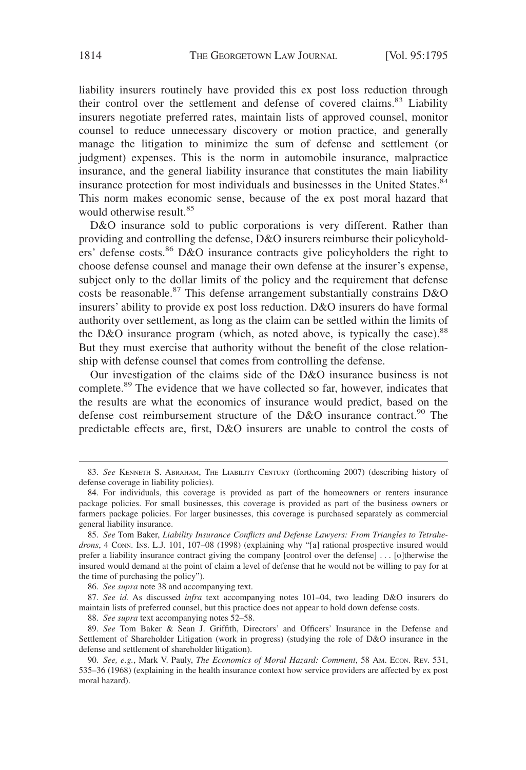liability insurers routinely have provided this ex post loss reduction through their control over the settlement and defense of covered claims.<sup>83</sup> Liability insurers negotiate preferred rates, maintain lists of approved counsel, monitor counsel to reduce unnecessary discovery or motion practice, and generally manage the litigation to minimize the sum of defense and settlement (or judgment) expenses. This is the norm in automobile insurance, malpractice insurance, and the general liability insurance that constitutes the main liability insurance protection for most individuals and businesses in the United States.<sup>84</sup> This norm makes economic sense, because of the ex post moral hazard that would otherwise result.<sup>85</sup>

D&O insurance sold to public corporations is very different. Rather than providing and controlling the defense, D&O insurers reimburse their policyholders' defense costs.<sup>86</sup> D&O insurance contracts give policyholders the right to choose defense counsel and manage their own defense at the insurer's expense, subject only to the dollar limits of the policy and the requirement that defense costs be reasonable.<sup>87</sup> This defense arrangement substantially constrains D&O insurers' ability to provide ex post loss reduction. D&O insurers do have formal authority over settlement, as long as the claim can be settled within the limits of the D&O insurance program (which, as noted above, is typically the case). $88$ But they must exercise that authority without the benefit of the close relationship with defense counsel that comes from controlling the defense.

Our investigation of the claims side of the D&O insurance business is not complete.<sup>89</sup> The evidence that we have collected so far, however, indicates that the results are what the economics of insurance would predict, based on the defense cost reimbursement structure of the D&O insurance contract.<sup>90</sup> The predictable effects are, first, D&O insurers are unable to control the costs of

86. *See supra* note 38 and accompanying text.

87. *See id.* As discussed *infra* text accompanying notes 101–04, two leading D&O insurers do maintain lists of preferred counsel, but this practice does not appear to hold down defense costs.

88. *See supra* text accompanying notes 52–58.

89. *See* Tom Baker & Sean J. Griffith, Directors' and Officers' Insurance in the Defense and Settlement of Shareholder Litigation (work in progress) (studying the role of D&O insurance in the defense and settlement of shareholder litigation).

<sup>83.</sup> *See* KENNETH S. ABRAHAM, THE LIABILITY CENTURY (forthcoming 2007) (describing history of defense coverage in liability policies).

<sup>84.</sup> For individuals, this coverage is provided as part of the homeowners or renters insurance package policies. For small businesses, this coverage is provided as part of the business owners or farmers package policies. For larger businesses, this coverage is purchased separately as commercial general liability insurance.

<sup>85.</sup> *See* Tom Baker, *Liability Insurance Conflicts and Defense Lawyers: From Triangles to Tetrahe*drons, 4 Conn. Ins. L.J. 101, 107-08 (1998) (explaining why "[a] rational prospective insured would prefer a liability insurance contract giving the company [control over the defense] . . . [o]therwise the insured would demand at the point of claim a level of defense that he would not be willing to pay for at the time of purchasing the policy").

<sup>90.</sup> *See, e.g.*, Mark V. Pauly, *The Economics of Moral Hazard: Comment*, 58 AM. ECON. REV. 531, 535–36 (1968) (explaining in the health insurance context how service providers are affected by ex post moral hazard).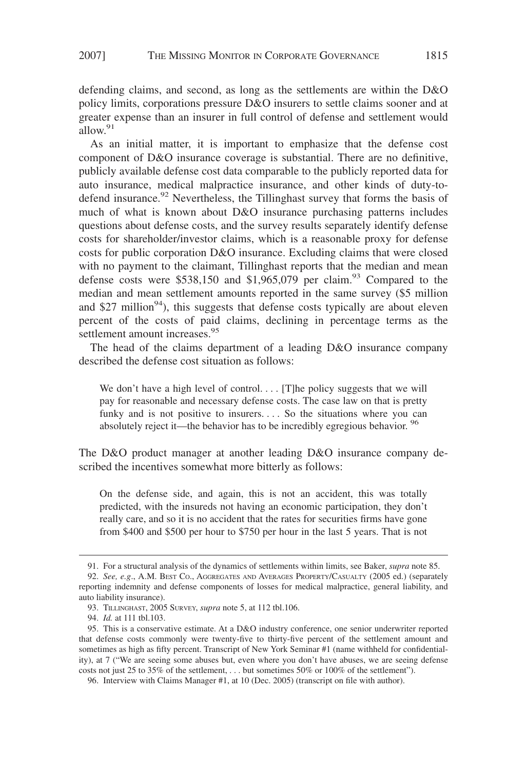defending claims, and second, as long as the settlements are within the D&O policy limits, corporations pressure D&O insurers to settle claims sooner and at greater expense than an insurer in full control of defense and settlement would allow.<sup>91</sup>

As an initial matter, it is important to emphasize that the defense cost component of D&O insurance coverage is substantial. There are no definitive, publicly available defense cost data comparable to the publicly reported data for auto insurance, medical malpractice insurance, and other kinds of duty-todefend insurance.<sup>92</sup> Nevertheless, the Tillinghast survey that forms the basis of much of what is known about D&O insurance purchasing patterns includes questions about defense costs, and the survey results separately identify defense costs for shareholder/investor claims, which is a reasonable proxy for defense costs for public corporation D&O insurance. Excluding claims that were closed with no payment to the claimant, Tillinghast reports that the median and mean defense costs were  $$538,150$  and  $$1,965,079$  per claim.<sup>93</sup> Compared to the median and mean settlement amounts reported in the same survey (\$5 million and \$27 million<sup>94</sup>), this suggests that defense costs typically are about eleven percent of the costs of paid claims, declining in percentage terms as the settlement amount increases.<sup>95</sup>

The head of the claims department of a leading D&O insurance company described the defense cost situation as follows:

We don't have a high level of control.... [T]he policy suggests that we will pay for reasonable and necessary defense costs. The case law on that is pretty funky and is not positive to insurers.... So the situations where you can absolutely reject it—the behavior has to be incredibly egregious behavior. <sup>96</sup>

The D&O product manager at another leading D&O insurance company described the incentives somewhat more bitterly as follows:

On the defense side, and again, this is not an accident, this was totally predicted, with the insureds not having an economic participation, they don't really care, and so it is no accident that the rates for securities firms have gone from \$400 and \$500 per hour to \$750 per hour in the last 5 years. That is not

96. Interview with Claims Manager #1, at 10 (Dec. 2005) (transcript on file with author).

<sup>91.</sup> For a structural analysis of the dynamics of settlements within limits, see Baker, *supra* note 85. 92. *See, e.g*., A.M. BEST CO., AGGREGATES AND AVERAGES PROPERTY/CASUALTY (2005 ed.) (separately

reporting indemnity and defense components of losses for medical malpractice, general liability, and auto liability insurance).

<sup>93.</sup> TILLINGHAST, 2005 SURVEY, *supra* note 5, at 112 tbl.106.

<sup>94.</sup> *Id.* at 111 tbl.103.

<sup>95.</sup> This is a conservative estimate. At a D&O industry conference, one senior underwriter reported that defense costs commonly were twenty-five to thirty-five percent of the settlement amount and sometimes as high as fifty percent. Transcript of New York Seminar #1 (name withheld for confidentiality), at 7 ("We are seeing some abuses but, even where you don't have abuses, we are seeing defense costs not just 25 to 35% of the settlement, . . . but sometimes 50% or 100% of the settlement").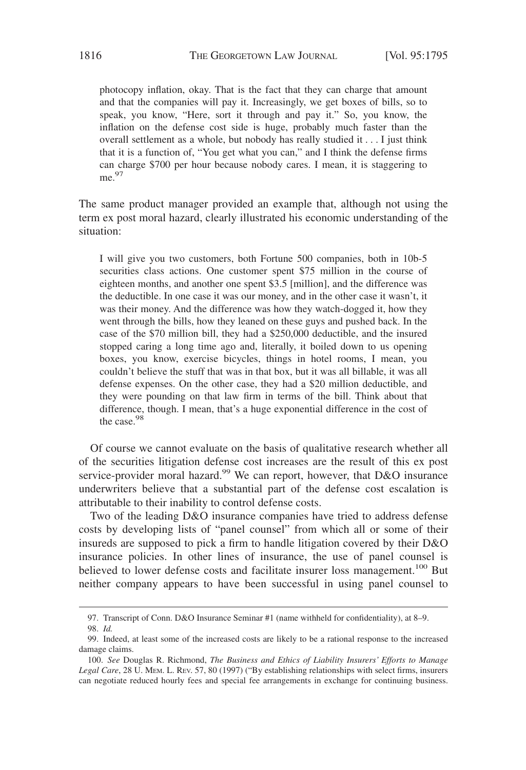photocopy inflation, okay. That is the fact that they can charge that amount and that the companies will pay it. Increasingly, we get boxes of bills, so to speak, you know, "Here, sort it through and pay it." So, you know, the inflation on the defense cost side is huge, probably much faster than the overall settlement as a whole, but nobody has really studied it...I just think that it is a function of, "You get what you can," and I think the defense firms can charge \$700 per hour because nobody cares. I mean, it is staggering to me.97

The same product manager provided an example that, although not using the term ex post moral hazard, clearly illustrated his economic understanding of the situation:

I will give you two customers, both Fortune 500 companies, both in 10b-5 securities class actions. One customer spent \$75 million in the course of eighteen months, and another one spent \$3.5 [million], and the difference was the deductible. In one case it was our money, and in the other case it wasn't, it was their money. And the difference was how they watch-dogged it, how they went through the bills, how they leaned on these guys and pushed back. In the case of the \$70 million bill, they had a \$250,000 deductible, and the insured stopped caring a long time ago and, literally, it boiled down to us opening boxes, you know, exercise bicycles, things in hotel rooms, I mean, you couldn't believe the stuff that was in that box, but it was all billable, it was all defense expenses. On the other case, they had a \$20 million deductible, and they were pounding on that law firm in terms of the bill. Think about that difference, though. I mean, that's a huge exponential difference in the cost of the case.<sup>98</sup>

Of course we cannot evaluate on the basis of qualitative research whether all of the securities litigation defense cost increases are the result of this ex post service-provider moral hazard.<sup>99</sup> We can report, however, that D&O insurance underwriters believe that a substantial part of the defense cost escalation is attributable to their inability to control defense costs.

Two of the leading D&O insurance companies have tried to address defense costs by developing lists of "panel counsel" from which all or some of their insureds are supposed to pick a firm to handle litigation covered by their D&O insurance policies. In other lines of insurance, the use of panel counsel is believed to lower defense costs and facilitate insurer loss management.<sup>100</sup> But neither company appears to have been successful in using panel counsel to

<sup>97.</sup> Transcript of Conn. D&O Insurance Seminar #1 (name withheld for confidentiality), at 8–9. 98. *Id.*

<sup>99.</sup> Indeed, at least some of the increased costs are likely to be a rational response to the increased damage claims.

<sup>100.</sup> *See* Douglas R. Richmond, *The Business and Ethics of Liability Insurers' Efforts to Manage Legal Care*, 28 U. MEM. L. REV. 57, 80 (1997) ("By establishing relationships with select firms, insurers can negotiate reduced hourly fees and special fee arrangements in exchange for continuing business.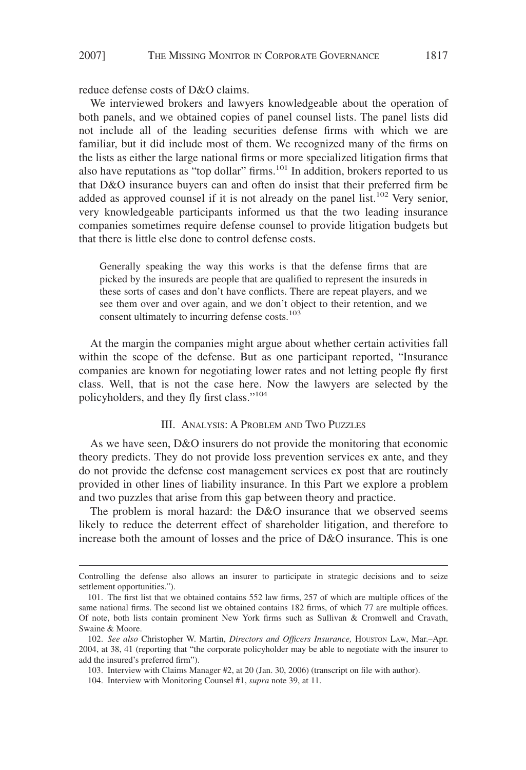## 2007] THE MISSING MONITOR IN CORPORATE GOVERNANCE 1817

reduce defense costs of D&O claims.

We interviewed brokers and lawyers knowledgeable about the operation of both panels, and we obtained copies of panel counsel lists. The panel lists did not include all of the leading securities defense firms with which we are familiar, but it did include most of them. We recognized many of the firms on the lists as either the large national firms or more specialized litigation firms that also have reputations as "top dollar" firms.<sup>101</sup> In addition, brokers reported to us that D&O insurance buyers can and often do insist that their preferred firm be added as approved counsel if it is not already on the panel list.<sup>102</sup> Very senior, very knowledgeable participants informed us that the two leading insurance companies sometimes require defense counsel to provide litigation budgets but that there is little else done to control defense costs.

Generally speaking the way this works is that the defense firms that are picked by the insureds are people that are qualified to represent the insureds in these sorts of cases and don't have conflicts. There are repeat players, and we see them over and over again, and we don't object to their retention, and we consent ultimately to incurring defense costs.<sup>103</sup>

At the margin the companies might argue about whether certain activities fall within the scope of the defense. But as one participant reported, "Insurance companies are known for negotiating lower rates and not letting people fly first class. Well, that is not the case here. Now the lawyers are selected by the policyholders, and they fly first class."<sup>104</sup>

# III. ANALYSIS: A PROBLEM AND TWO PUZZLES

As we have seen, D&O insurers do not provide the monitoring that economic theory predicts. They do not provide loss prevention services ex ante, and they do not provide the defense cost management services ex post that are routinely provided in other lines of liability insurance. In this Part we explore a problem and two puzzles that arise from this gap between theory and practice.

The problem is moral hazard: the D&O insurance that we observed seems likely to reduce the deterrent effect of shareholder litigation, and therefore to increase both the amount of losses and the price of D&O insurance. This is one

104. Interview with Monitoring Counsel #1, *supra* note 39, at 11.

Controlling the defense also allows an insurer to participate in strategic decisions and to seize settlement opportunities.").

<sup>101.</sup> The first list that we obtained contains 552 law firms, 257 of which are multiple offices of the same national firms. The second list we obtained contains 182 firms, of which 77 are multiple offices. Of note, both lists contain prominent New York firms such as Sullivan & Cromwell and Cravath, Swaine & Moore.

<sup>102.</sup> *See also* Christopher W. Martin, *Directors and Officers Insurance,* HOUSTON LAW, Mar.–Apr. 2004, at 38, 41 (reporting that "the corporate policyholder may be able to negotiate with the insurer to add the insured's preferred firm").

<sup>103.</sup> Interview with Claims Manager #2, at 20 (Jan. 30, 2006) (transcript on file with author).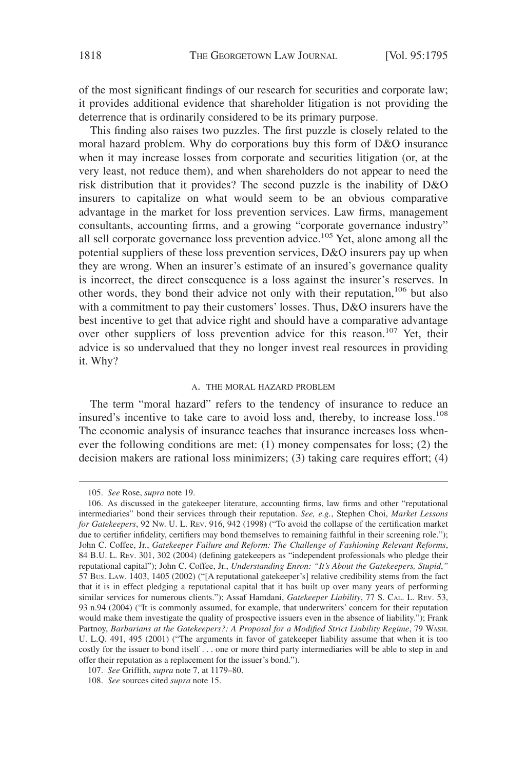of the most significant findings of our research for securities and corporate law; it provides additional evidence that shareholder litigation is not providing the deterrence that is ordinarily considered to be its primary purpose.

This finding also raises two puzzles. The first puzzle is closely related to the moral hazard problem. Why do corporations buy this form of D&O insurance when it may increase losses from corporate and securities litigation (or, at the very least, not reduce them), and when shareholders do not appear to need the risk distribution that it provides? The second puzzle is the inability of D&O insurers to capitalize on what would seem to be an obvious comparative advantage in the market for loss prevention services. Law firms, management consultants, accounting firms, and a growing "corporate governance industry" all sell corporate governance loss prevention advice.<sup>105</sup> Yet, alone among all the potential suppliers of these loss prevention services, D&O insurers pay up when they are wrong. When an insurer's estimate of an insured's governance quality is incorrect, the direct consequence is a loss against the insurer's reserves. In other words, they bond their advice not only with their reputation,<sup>106</sup> but also with a commitment to pay their customers' losses. Thus, D&O insurers have the best incentive to get that advice right and should have a comparative advantage over other suppliers of loss prevention advice for this reason.<sup>107</sup> Yet, their advice is so undervalued that they no longer invest real resources in providing it. Why?

#### A. THE MORAL HAZARD PROBLEM

The term "moral hazard" refers to the tendency of insurance to reduce an insured's incentive to take care to avoid loss and, thereby, to increase loss.<sup>108</sup> The economic analysis of insurance teaches that insurance increases loss whenever the following conditions are met: (1) money compensates for loss; (2) the decision makers are rational loss minimizers; (3) taking care requires effort; (4)

<sup>105.</sup> *See* Rose, *supra* note 19.

<sup>106.</sup> As discussed in the gatekeeper literature, accounting firms, law firms and other "reputational intermediaries" bond their services through their reputation. *See, e.g.*, Stephen Choi, *Market Lessons for Gatekeepers*, 92 NW. U. L. REV. 916, 942 (1998) ("To avoid the collapse of the certification market due to certifier infidelity, certifiers may bond themselves to remaining faithful in their screening role."); John C. Coffee, Jr., *Gatekeeper Failure and Reform: The Challenge of Fashioning Relevant Reforms*, 84 B.U. L. REV. 301, 302 (2004) (defining gatekeepers as "independent professionals who pledge their reputational capital"); John C. Coffee, Jr., *Understanding Enron: "It's About the Gatekeepers, Stupid*,*"* 57 BUS. LAW. 1403, 1405 (2002) ("[A reputational gatekeeper's] relative credibility stems from the fact that it is in effect pledging a reputational capital that it has built up over many years of performing similar services for numerous clients."); Assaf Hamdani, *Gatekeeper Liability*, 77 S. CAL. L. REV. 53, 93 n.94 (2004) ("It is commonly assumed, for example, that underwriters' concern for their reputation would make them investigate the quality of prospective issuers even in the absence of liability."); Frank Partnoy, *Barbarians at the Gatekeepers?: A Proposal for a Modified Strict Liability Regime*, 79 WASH. U. L.Q. 491, 495 (2001) ("The arguments in favor of gatekeeper liability assume that when it is too costly for the issuer to bond itself . . . one or more third party intermediaries will be able to step in and offer their reputation as a replacement for the issuer's bond.").

<sup>107.</sup> *See* Griffith, *supra* note 7, at 1179–80.

<sup>108.</sup> *See* sources cited *supra* note 15.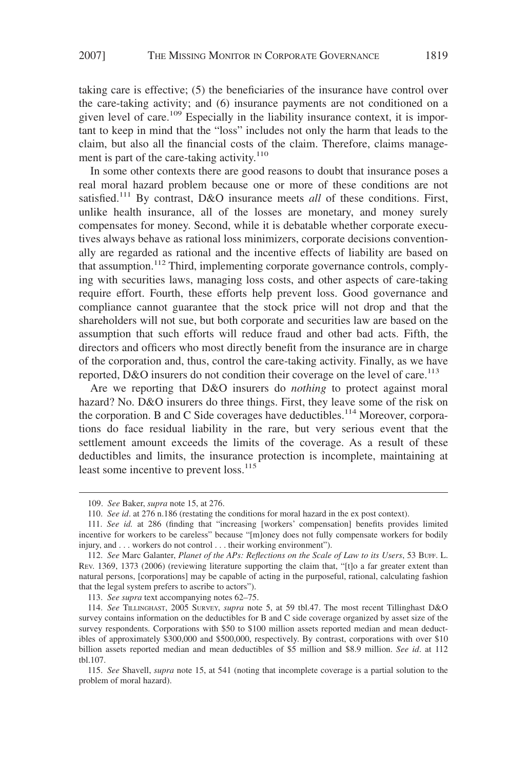taking care is effective; (5) the beneficiaries of the insurance have control over the care-taking activity; and (6) insurance payments are not conditioned on a given level of care.<sup>109</sup> Especially in the liability insurance context, it is important to keep in mind that the "loss" includes not only the harm that leads to the claim, but also all the financial costs of the claim. Therefore, claims management is part of the care-taking activity. $110$ 

In some other contexts there are good reasons to doubt that insurance poses a real moral hazard problem because one or more of these conditions are not satisfied.<sup>111</sup> By contrast, D&O insurance meets *all* of these conditions. First, unlike health insurance, all of the losses are monetary, and money surely compensates for money. Second, while it is debatable whether corporate executives always behave as rational loss minimizers, corporate decisions conventionally are regarded as rational and the incentive effects of liability are based on that assumption.<sup>112</sup> Third, implementing corporate governance controls, complying with securities laws, managing loss costs, and other aspects of care-taking require effort. Fourth, these efforts help prevent loss. Good governance and compliance cannot guarantee that the stock price will not drop and that the shareholders will not sue, but both corporate and securities law are based on the assumption that such efforts will reduce fraud and other bad acts. Fifth, the directors and officers who most directly benefit from the insurance are in charge of the corporation and, thus, control the care-taking activity. Finally, as we have reported, D&O insurers do not condition their coverage on the level of care.<sup>113</sup>

Are we reporting that D&O insurers do *nothing* to protect against moral hazard? No. D&O insurers do three things. First, they leave some of the risk on the corporation. B and C Side coverages have deductibles.<sup>114</sup> Moreover, corporations do face residual liability in the rare, but very serious event that the settlement amount exceeds the limits of the coverage. As a result of these deductibles and limits, the insurance protection is incomplete, maintaining at least some incentive to prevent loss.<sup>115</sup>

113. *See supra* text accompanying notes 62–75.

<sup>109.</sup> *See* Baker, *supra* note 15, at 276.

<sup>110.</sup> *See id*. at 276 n.186 (restating the conditions for moral hazard in the ex post context).

<sup>111.</sup> *See id.* at 286 (finding that "increasing [workers' compensation] benefits provides limited incentive for workers to be careless" because "[m]oney does not fully compensate workers for bodily injury, and . . . workers do not control . . . their working environment").

<sup>112.</sup> *See* Marc Galanter, *Planet of the APs: Reflections on the Scale of Law to its Users*, 53 BUFF. L. REV. 1369, 1373 (2006) (reviewing literature supporting the claim that, "[t]o a far greater extent than natural persons, [corporations] may be capable of acting in the purposeful, rational, calculating fashion that the legal system prefers to ascribe to actors").

<sup>114.</sup> *See* TILLINGHAST, 2005 SURVEY, *supra* note 5, at 59 tbl.47. The most recent Tillinghast D&O survey contains information on the deductibles for B and C side coverage organized by asset size of the survey respondents. Corporations with \$50 to \$100 million assets reported median and mean deductibles of approximately \$300,000 and \$500,000, respectively. By contrast, corporations with over \$10 billion assets reported median and mean deductibles of \$5 million and \$8.9 million. *See id*. at 112 tbl.107.

<sup>115.</sup> *See* Shavell, *supra* note 15, at 541 (noting that incomplete coverage is a partial solution to the problem of moral hazard).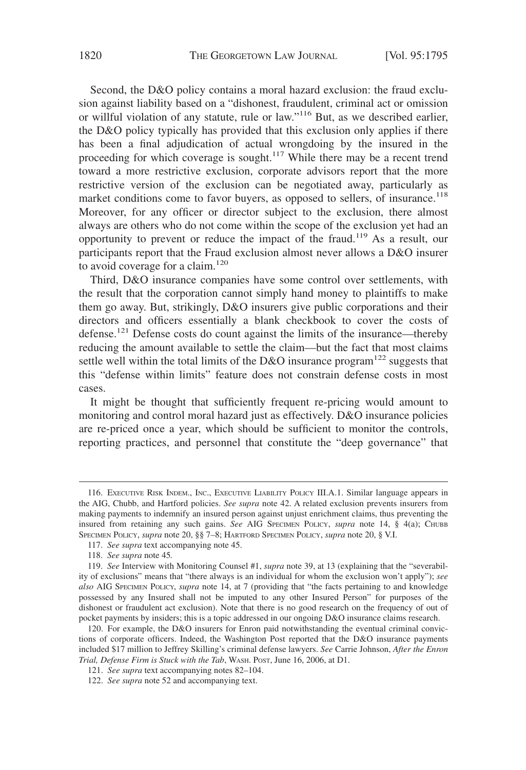Second, the D&O policy contains a moral hazard exclusion: the fraud exclusion against liability based on a "dishonest, fraudulent, criminal act or omission or willful violation of any statute, rule or law."116 But, as we described earlier, the D&O policy typically has provided that this exclusion only applies if there has been a final adjudication of actual wrongdoing by the insured in the proceeding for which coverage is sought.<sup>117</sup> While there may be a recent trend toward a more restrictive exclusion, corporate advisors report that the more restrictive version of the exclusion can be negotiated away, particularly as market conditions come to favor buyers, as opposed to sellers, of insurance.<sup>118</sup> Moreover, for any officer or director subject to the exclusion, there almost always are others who do not come within the scope of the exclusion yet had an opportunity to prevent or reduce the impact of the fraud.119 As a result, our participants report that the Fraud exclusion almost never allows a D&O insurer to avoid coverage for a claim. $120$ 

Third, D&O insurance companies have some control over settlements, with the result that the corporation cannot simply hand money to plaintiffs to make them go away. But, strikingly, D&O insurers give public corporations and their directors and officers essentially a blank checkbook to cover the costs of defense.<sup>121</sup> Defense costs do count against the limits of the insurance—thereby reducing the amount available to settle the claim—but the fact that most claims settle well within the total limits of the D&O insurance program<sup>122</sup> suggests that this "defense within limits" feature does not constrain defense costs in most cases.

It might be thought that sufficiently frequent re-pricing would amount to monitoring and control moral hazard just as effectively. D&O insurance policies are re-priced once a year, which should be sufficient to monitor the controls, reporting practices, and personnel that constitute the "deep governance" that

<sup>116.</sup> EXECUTIVE RISK INDEM., INC., EXECUTIVE LIABILITY POLICY III.A.1. Similar language appears in the AIG, Chubb, and Hartford policies. *See supra* note 42. A related exclusion prevents insurers from making payments to indemnify an insured person against unjust enrichment claims, thus preventing the insured from retaining any such gains. *See* AIG SPECIMEN POLICY, *supra* note 14, § 4(a); CHUBB SPECIMEN POLICY, *supra* note 20, §§ 7–8; HARTFORD SPECIMEN POLICY, *supra* note 20, § V.I.

<sup>117.</sup> *See supra* text accompanying note 45.

<sup>118.</sup> *See supra* note 45*.*

<sup>119.</sup> *See* Interview with Monitoring Counsel #1, *supra* note 39, at 13 (explaining that the "severability of exclusions" means that "there always is an individual for whom the exclusion won't apply"); *see also* AIG SPECIMEN POLICY, *supra* note 14, at 7 (providing that "the facts pertaining to and knowledge possessed by any Insured shall not be imputed to any other Insured Person" for purposes of the dishonest or fraudulent act exclusion). Note that there is no good research on the frequency of out of pocket payments by insiders; this is a topic addressed in our ongoing D&O insurance claims research.

<sup>120.</sup> For example, the D&O insurers for Enron paid notwithstanding the eventual criminal convictions of corporate officers. Indeed, the Washington Post reported that the D&O insurance payments included \$17 million to Jeffrey Skilling's criminal defense lawyers. *See* Carrie Johnson, *After the Enron Trial, Defense Firm is Stuck with the Tab*, WASH. POST, June 16, 2006, at D1.

<sup>121.</sup> *See supra* text accompanying notes 82–104.

<sup>122.</sup> *See supra* note 52 and accompanying text.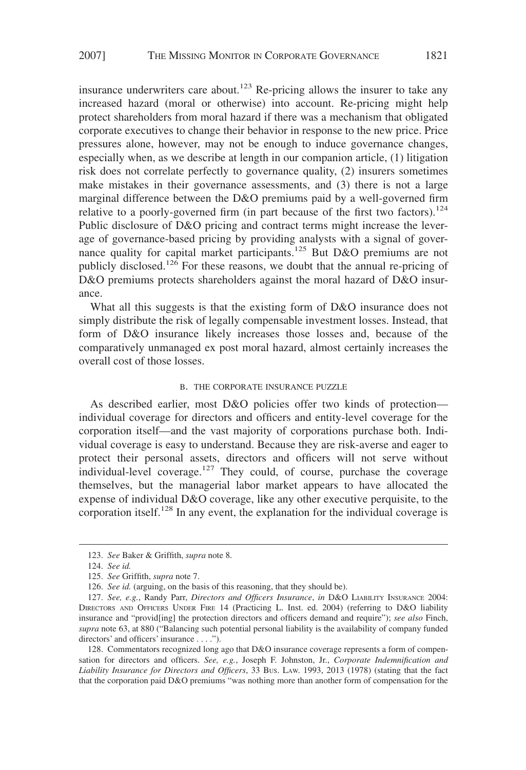insurance underwriters care about.<sup>123</sup> Re-pricing allows the insurer to take any increased hazard (moral or otherwise) into account. Re-pricing might help protect shareholders from moral hazard if there was a mechanism that obligated corporate executives to change their behavior in response to the new price. Price pressures alone, however, may not be enough to induce governance changes, especially when, as we describe at length in our companion article, (1) litigation risk does not correlate perfectly to governance quality, (2) insurers sometimes make mistakes in their governance assessments, and (3) there is not a large marginal difference between the D&O premiums paid by a well-governed firm relative to a poorly-governed firm (in part because of the first two factors).<sup>124</sup> Public disclosure of D&O pricing and contract terms might increase the leverage of governance-based pricing by providing analysts with a signal of governance quality for capital market participants.<sup>125</sup> But D&O premiums are not publicly disclosed.<sup>126</sup> For these reasons, we doubt that the annual re-pricing of D&O premiums protects shareholders against the moral hazard of D&O insurance.

What all this suggests is that the existing form of D&O insurance does not simply distribute the risk of legally compensable investment losses. Instead, that form of D&O insurance likely increases those losses and, because of the comparatively unmanaged ex post moral hazard, almost certainly increases the overall cost of those losses.

# B. THE CORPORATE INSURANCE PUZZLE

As described earlier, most D&O policies offer two kinds of protection individual coverage for directors and officers and entity-level coverage for the corporation itself—and the vast majority of corporations purchase both. Individual coverage is easy to understand. Because they are risk-averse and eager to protect their personal assets, directors and officers will not serve without individual-level coverage.<sup>127</sup> They could, of course, purchase the coverage themselves, but the managerial labor market appears to have allocated the expense of individual D&O coverage, like any other executive perquisite, to the corporation itself.<sup>128</sup> In any event, the explanation for the individual coverage is

128. Commentators recognized long ago that D&O insurance coverage represents a form of compensation for directors and officers. *See, e.g.*, Joseph F. Johnston, Jr., *Corporate Indemnification and Liability Insurance for Directors and Officers*, 33 BUS. LAW. 1993, 2013 (1978) (stating that the fact that the corporation paid D&O premiums "was nothing more than another form of compensation for the

<sup>123.</sup> *See* Baker & Griffith, *supra* note 8.

<sup>124.</sup> *See id.*

<sup>125.</sup> *See* Griffith, *supra* note 7.

<sup>126.</sup> *See id.* (arguing, on the basis of this reasoning, that they should be).

<sup>127.</sup> *See, e.g.*, Randy Parr, *Directors and Officers Insurance*, *in* D&O LIABILITY INSURANCE 2004: DIRECTORS AND OFFICERS UNDER FIRE 14 (Practicing L. Inst. ed. 2004) (referring to D&O liability insurance and "provid[ing] the protection directors and officers demand and require"); *see also* Finch, *supra* note 63, at 880 ("Balancing such potential personal liability is the availability of company funded directors' and officers' insurance . . . .").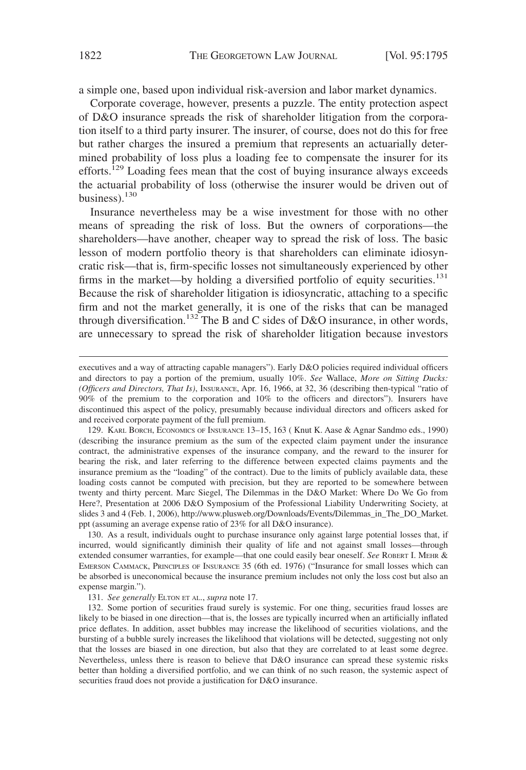a simple one, based upon individual risk-aversion and labor market dynamics.

Corporate coverage, however, presents a puzzle. The entity protection aspect of D&O insurance spreads the risk of shareholder litigation from the corporation itself to a third party insurer. The insurer, of course, does not do this for free but rather charges the insured a premium that represents an actuarially determined probability of loss plus a loading fee to compensate the insurer for its efforts.<sup>129</sup> Loading fees mean that the cost of buying insurance always exceeds the actuarial probability of loss (otherwise the insurer would be driven out of business). $130$ 

Insurance nevertheless may be a wise investment for those with no other means of spreading the risk of loss. But the owners of corporations—the shareholders—have another, cheaper way to spread the risk of loss. The basic lesson of modern portfolio theory is that shareholders can eliminate idiosyncratic risk—that is, firm-specific losses not simultaneously experienced by other firms in the market—by holding a diversified portfolio of equity securities. $131$ Because the risk of shareholder litigation is idiosyncratic, attaching to a specific firm and not the market generally, it is one of the risks that can be managed through diversification.<sup>132</sup> The B and C sides of D&O insurance, in other words, are unnecessary to spread the risk of shareholder litigation because investors

130. As a result, individuals ought to purchase insurance only against large potential losses that, if incurred, would significantly diminish their quality of life and not against small losses—through extended consumer warranties, for example—that one could easily bear oneself. *See* ROBERT I. MEHR & EMERSON CAMMACK, PRINCIPLES OF INSURANCE 35 (6th ed. 1976) ("Insurance for small losses which can be absorbed is uneconomical because the insurance premium includes not only the loss cost but also an expense margin.").

131. *See generally* ELTON ET AL., *supra* note 17.

132. Some portion of securities fraud surely is systemic. For one thing, securities fraud losses are likely to be biased in one direction—that is, the losses are typically incurred when an artificially inflated price deflates. In addition, asset bubbles may increase the likelihood of securities violations, and the bursting of a bubble surely increases the likelihood that violations will be detected, suggesting not only that the losses are biased in one direction, but also that they are correlated to at least some degree. Nevertheless, unless there is reason to believe that D&O insurance can spread these systemic risks better than holding a diversified portfolio, and we can think of no such reason, the systemic aspect of securities fraud does not provide a justification for D&O insurance.

executives and a way of attracting capable managers"). Early D&O policies required individual officers and directors to pay a portion of the premium, usually 10%. *See* Wallace, *More on Sitting Ducks: (Officers and Directors, That Is)*, INSURANCE, Apr. 16, 1966, at 32, 36 (describing then-typical "ratio of 90% of the premium to the corporation and 10% to the officers and directors"). Insurers have discontinued this aspect of the policy, presumably because individual directors and officers asked for and received corporate payment of the full premium.

<sup>129.</sup> KARL BORCH, ECONOMICS OF INSURANCE 13–15, 163 ( Knut K. Aase & Agnar Sandmo eds., 1990) (describing the insurance premium as the sum of the expected claim payment under the insurance contract, the administrative expenses of the insurance company, and the reward to the insurer for bearing the risk, and later referring to the difference between expected claims payments and the insurance premium as the "loading" of the contract). Due to the limits of publicly available data, these loading costs cannot be computed with precision, but they are reported to be somewhere between twenty and thirty percent. Marc Siegel, The Dilemmas in the D&O Market: Where Do We Go from Here?, Presentation at 2006 D&O Symposium of the Professional Liability Underwriting Society, at slides 3 and 4 (Feb. 1, 2006), http://www.plusweb.org/Downloads/Events/Dilemmas\_in\_The\_DO\_Market. ppt (assuming an average expense ratio of 23% for all D&O insurance).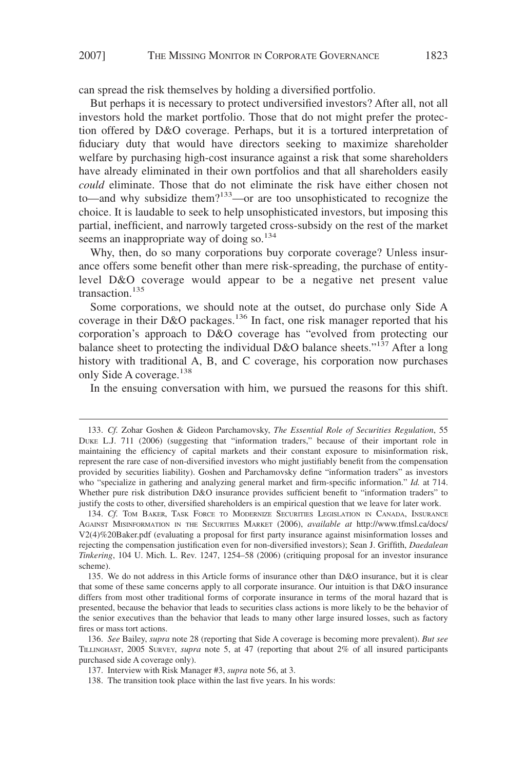can spread the risk themselves by holding a diversified portfolio.

But perhaps it is necessary to protect undiversified investors? After all, not all investors hold the market portfolio. Those that do not might prefer the protection offered by D&O coverage. Perhaps, but it is a tortured interpretation of fiduciary duty that would have directors seeking to maximize shareholder welfare by purchasing high-cost insurance against a risk that some shareholders have already eliminated in their own portfolios and that all shareholders easily *could* eliminate. Those that do not eliminate the risk have either chosen not to—and why subsidize them?<sup>133</sup>—or are too unsophisticated to recognize the choice. It is laudable to seek to help unsophisticated investors, but imposing this partial, inefficient, and narrowly targeted cross-subsidy on the rest of the market seems an inappropriate way of doing so. $134$ 

Why, then, do so many corporations buy corporate coverage? Unless insurance offers some benefit other than mere risk-spreading, the purchase of entitylevel D&O coverage would appear to be a negative net present value transaction.<sup>135</sup>

Some corporations, we should note at the outset, do purchase only Side A coverage in their D&O packages.<sup>136</sup> In fact, one risk manager reported that his corporation's approach to D&O coverage has "evolved from protecting our balance sheet to protecting the individual D&O balance sheets."<sup>137</sup> After a long history with traditional A, B, and C coverage, his corporation now purchases only Side A coverage.<sup>138</sup>

In the ensuing conversation with him, we pursued the reasons for this shift.

<sup>133.</sup> *Cf.* Zohar Goshen & Gideon Parchamovsky, *The Essential Role of Securities Regulation*, 55 DUKE L.J. 711 (2006) (suggesting that "information traders," because of their important role in maintaining the efficiency of capital markets and their constant exposure to misinformation risk, represent the rare case of non-diversified investors who might justifiably benefit from the compensation provided by securities liability). Goshen and Parchamovsky define "information traders" as investors who "specialize in gathering and analyzing general market and firm-specific information." *Id.* at 714. Whether pure risk distribution D&O insurance provides sufficient benefit to "information traders" to justify the costs to other, diversified shareholders is an empirical question that we leave for later work.

<sup>134.</sup> *Cf.* TOM BAKER, TASK FORCE TO MODERNIZE SECURITIES LEGISLATION IN CANADA, INSURANCE AGAINST MISINFORMATION IN THE SECURITIES MARKET (2006), *available at* http://www.tfmsl.ca/docs/ V2(4)%20Baker.pdf (evaluating a proposal for first party insurance against misinformation losses and rejecting the compensation justification even for non-diversified investors); Sean J. Griffith, *Daedalean Tinkering*, 104 U. Mich. L. Rev. 1247, 1254–58 (2006) (critiquing proposal for an investor insurance scheme).

<sup>135.</sup> We do not address in this Article forms of insurance other than D&O insurance, but it is clear that some of these same concerns apply to all corporate insurance. Our intuition is that D&O insurance differs from most other traditional forms of corporate insurance in terms of the moral hazard that is presented, because the behavior that leads to securities class actions is more likely to be the behavior of the senior executives than the behavior that leads to many other large insured losses, such as factory fires or mass tort actions.

<sup>136.</sup> *See* Bailey, *supra* note 28 (reporting that Side A coverage is becoming more prevalent). *But see* TILLINGHAST, 2005 SURVEY, *supra* note 5, at 47 (reporting that about 2% of all insured participants purchased side A coverage only).

<sup>137.</sup> Interview with Risk Manager #3, *supra* note 56, at 3.

<sup>138.</sup> The transition took place within the last five years. In his words: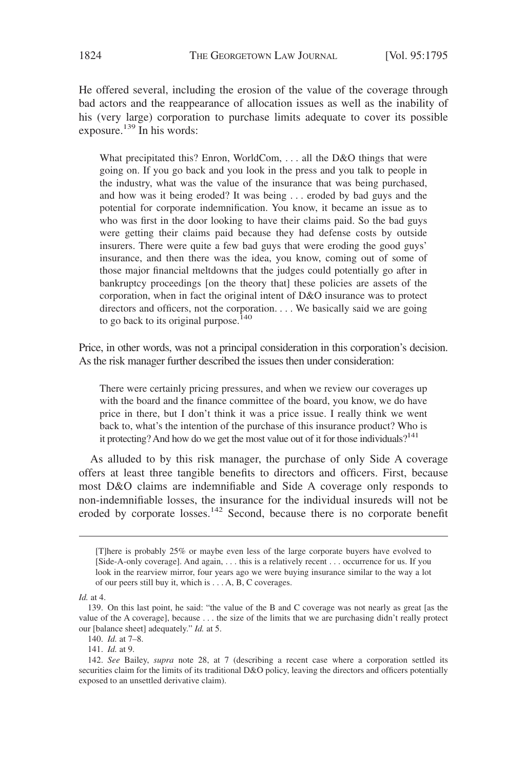He offered several, including the erosion of the value of the coverage through bad actors and the reappearance of allocation issues as well as the inability of his (very large) corporation to purchase limits adequate to cover its possible exposure.<sup>139</sup> In his words:

What precipitated this? Enron, WorldCom, ... all the D&O things that were going on. If you go back and you look in the press and you talk to people in the industry, what was the value of the insurance that was being purchased, and how was it being eroded? It was being . . . eroded by bad guys and the potential for corporate indemnification. You know, it became an issue as to who was first in the door looking to have their claims paid. So the bad guys were getting their claims paid because they had defense costs by outside insurers. There were quite a few bad guys that were eroding the good guys' insurance, and then there was the idea, you know, coming out of some of those major financial meltdowns that the judges could potentially go after in bankruptcy proceedings [on the theory that] these policies are assets of the corporation, when in fact the original intent of D&O insurance was to protect directors and officers, not the corporation. . . . We basically said we are going to go back to its original purpose.<sup>140</sup>

Price, in other words, was not a principal consideration in this corporation's decision. As the risk manager further described the issues then under consideration:

There were certainly pricing pressures, and when we review our coverages up with the board and the finance committee of the board, you know, we do have price in there, but I don't think it was a price issue. I really think we went back to, what's the intention of the purchase of this insurance product? Who is it protecting? And how do we get the most value out of it for those individuals?<sup>141</sup>

As alluded to by this risk manager, the purchase of only Side A coverage offers at least three tangible benefits to directors and officers. First, because most D&O claims are indemnifiable and Side A coverage only responds to non-indemnifiable losses, the insurance for the individual insureds will not be eroded by corporate losses.<sup>142</sup> Second, because there is no corporate benefit

<sup>[</sup>T]here is probably 25% or maybe even less of the large corporate buyers have evolved to [Side-A-only coverage]. And again, . . . this is a relatively recent . . . occurrence for us. If you look in the rearview mirror, four years ago we were buying insurance similar to the way a lot of our peers still buy it, which is . . . A, B, C coverages.

*Id.* at 4.

<sup>139.</sup> On this last point, he said: "the value of the B and C coverage was not nearly as great [as the value of the A coverage], because . . . the size of the limits that we are purchasing didn't really protect our [balance sheet] adequately." *Id.* at 5.

<sup>140.</sup> *Id.* at 7–8.

<sup>141.</sup> *Id.* at 9.

<sup>142.</sup> *See* Bailey, *supra* note 28, at 7 (describing a recent case where a corporation settled its securities claim for the limits of its traditional D&O policy, leaving the directors and officers potentially exposed to an unsettled derivative claim).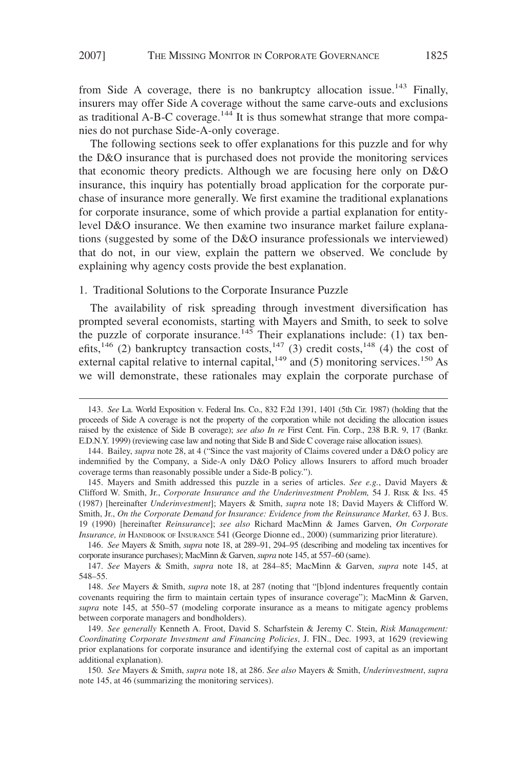from Side A coverage, there is no bankruptcy allocation issue.<sup>143</sup> Finally, insurers may offer Side A coverage without the same carve-outs and exclusions as traditional A-B-C coverage.<sup>144</sup> It is thus somewhat strange that more companies do not purchase Side-A-only coverage.

The following sections seek to offer explanations for this puzzle and for why the D&O insurance that is purchased does not provide the monitoring services that economic theory predicts. Although we are focusing here only on D&O insurance, this inquiry has potentially broad application for the corporate purchase of insurance more generally. We first examine the traditional explanations for corporate insurance, some of which provide a partial explanation for entitylevel D&O insurance. We then examine two insurance market failure explanations (suggested by some of the D&O insurance professionals we interviewed) that do not, in our view, explain the pattern we observed. We conclude by explaining why agency costs provide the best explanation.

# 1. Traditional Solutions to the Corporate Insurance Puzzle

The availability of risk spreading through investment diversification has prompted several economists, starting with Mayers and Smith, to seek to solve the puzzle of corporate insurance.<sup>145</sup> Their explanations include: (1) tax benefits,<sup>146</sup> (2) bankruptcy transaction costs,<sup>147</sup> (3) credit costs,<sup>148</sup> (4) the cost of external capital relative to internal capital, $149$  and (5) monitoring services.<sup>150</sup> As we will demonstrate, these rationales may explain the corporate purchase of

146. *See* Mayers & Smith, *supra* note 18, at 289–91, 294–95 (describing and modeling tax incentives for corporate insurance purchases); MacMinn & Garven, *supra* note 145, at 557–60 (same).

<sup>143.</sup> *See* La. World Exposition v. Federal Ins. Co., 832 F.2d 1391, 1401 (5th Cir. 1987) (holding that the proceeds of Side A coverage is not the property of the corporation while not deciding the allocation issues raised by the existence of Side B coverage); *see also In re* First Cent. Fin. Corp., 238 B.R. 9, 17 (Bankr. E.D.N.Y. 1999) (reviewing case law and noting that Side B and Side C coverage raise allocation issues).

<sup>144.</sup> Bailey, *supra* note 28, at 4 ("Since the vast majority of Claims covered under a D&O policy are indemnified by the Company, a Side-A only D&O Policy allows Insurers to afford much broader coverage terms than reasonably possible under a Side-B policy.").

<sup>145.</sup> Mayers and Smith addressed this puzzle in a series of articles. *See e.g.*, David Mayers & Clifford W. Smith, Jr., *Corporate Insurance and the Underinvestment Problem,* 54 J. RISK & INS. 45 (1987) [hereinafter *Underinvestment*]; Mayers & Smith, *supra* note 18; David Mayers & Clifford W. Smith, Jr., *On the Corporate Demand for Insurance: Evidence from the Reinsurance Market,* 63 J. BUS. 19 (1990) [hereinafter *Reinsurance*]; *see also* Richard MacMinn & James Garven, *On Corporate Insurance, in* HANDBOOK OF INSURANCE 541 (George Dionne ed., 2000) (summarizing prior literature).

<sup>147.</sup> *See* Mayers & Smith, *supra* note 18, at 284–85; MacMinn & Garven, *supra* note 145, at 548–55.

<sup>148.</sup> *See* Mayers & Smith, *supra* note 18, at 287 (noting that "[b]ond indentures frequently contain covenants requiring the firm to maintain certain types of insurance coverage"); MacMinn & Garven, *supra* note 145, at 550–57 (modeling corporate insurance as a means to mitigate agency problems between corporate managers and bondholders).

<sup>149.</sup> *See generally* Kenneth A. Froot, David S. Scharfstein & Jeremy C. Stein, *Risk Management: Coordinating Corporate Investment and Financing Policies*, J. FIN., Dec. 1993, at 1629 (reviewing prior explanations for corporate insurance and identifying the external cost of capital as an important additional explanation).

<sup>150.</sup> *See* Mayers & Smith, *supra* note 18, at 286. *See also* Mayers & Smith, *Underinvestment*, *supra* note 145, at 46 (summarizing the monitoring services).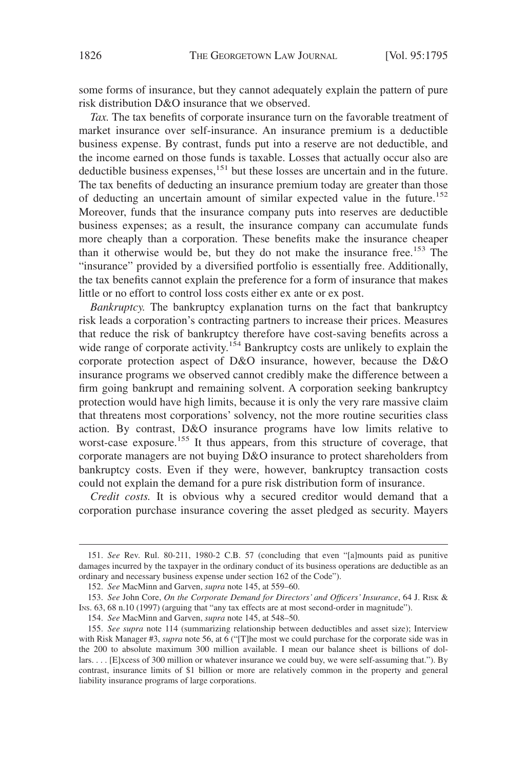some forms of insurance, but they cannot adequately explain the pattern of pure risk distribution D&O insurance that we observed.

*Tax.* The tax benefits of corporate insurance turn on the favorable treatment of market insurance over self-insurance. An insurance premium is a deductible business expense. By contrast, funds put into a reserve are not deductible, and the income earned on those funds is taxable. Losses that actually occur also are deductible business expenses,<sup>151</sup> but these losses are uncertain and in the future. The tax benefits of deducting an insurance premium today are greater than those of deducting an uncertain amount of similar expected value in the future.<sup>152</sup> Moreover, funds that the insurance company puts into reserves are deductible business expenses; as a result, the insurance company can accumulate funds more cheaply than a corporation. These benefits make the insurance cheaper than it otherwise would be, but they do not make the insurance free.<sup>153</sup> The "insurance" provided by a diversified portfolio is essentially free. Additionally, the tax benefits cannot explain the preference for a form of insurance that makes little or no effort to control loss costs either ex ante or ex post.

*Bankruptcy.* The bankruptcy explanation turns on the fact that bankruptcy risk leads a corporation's contracting partners to increase their prices. Measures that reduce the risk of bankruptcy therefore have cost-saving benefits across a wide range of corporate activity.<sup>154</sup> Bankruptcy costs are unlikely to explain the corporate protection aspect of D&O insurance, however, because the D&O insurance programs we observed cannot credibly make the difference between a firm going bankrupt and remaining solvent. A corporation seeking bankruptcy protection would have high limits, because it is only the very rare massive claim that threatens most corporations' solvency, not the more routine securities class action. By contrast, D&O insurance programs have low limits relative to worst-case exposure.<sup>155</sup> It thus appears, from this structure of coverage, that corporate managers are not buying D&O insurance to protect shareholders from bankruptcy costs. Even if they were, however, bankruptcy transaction costs could not explain the demand for a pure risk distribution form of insurance.

*Credit costs.* It is obvious why a secured creditor would demand that a corporation purchase insurance covering the asset pledged as security. Mayers

<sup>151.</sup> *See* Rev. Rul. 80-211, 1980-2 C.B. 57 (concluding that even "[a]mounts paid as punitive damages incurred by the taxpayer in the ordinary conduct of its business operations are deductible as an ordinary and necessary business expense under section 162 of the Code").

<sup>152.</sup> *See* MacMinn and Garven, *supra* note 145, at 559–60.

<sup>153.</sup> *See* John Core, *On the Corporate Demand for Directors' and Officers' Insurance*, 64 J. RISK & INS. 63, 68 n.10 (1997) (arguing that "any tax effects are at most second-order in magnitude").

<sup>154.</sup> *See* MacMinn and Garven, *supra* note 145, at 548–50.

<sup>155.</sup> *See supra* note 114 (summarizing relationship between deductibles and asset size); Interview with Risk Manager #3, *supra* note 56, at 6 ("[T]he most we could purchase for the corporate side was in the 200 to absolute maximum 300 million available. I mean our balance sheet is billions of dollars.... [E]xcess of 300 million or whatever insurance we could buy, we were self-assuming that."). By contrast, insurance limits of \$1 billion or more are relatively common in the property and general liability insurance programs of large corporations.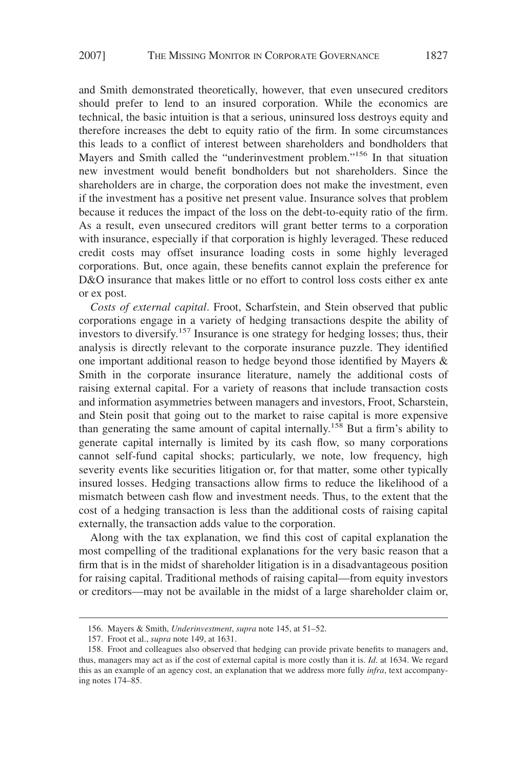and Smith demonstrated theoretically, however, that even unsecured creditors should prefer to lend to an insured corporation. While the economics are technical, the basic intuition is that a serious, uninsured loss destroys equity and therefore increases the debt to equity ratio of the firm. In some circumstances this leads to a conflict of interest between shareholders and bondholders that Mayers and Smith called the "underinvestment problem."<sup>156</sup> In that situation new investment would benefit bondholders but not shareholders. Since the shareholders are in charge, the corporation does not make the investment, even if the investment has a positive net present value. Insurance solves that problem because it reduces the impact of the loss on the debt-to-equity ratio of the firm. As a result, even unsecured creditors will grant better terms to a corporation with insurance, especially if that corporation is highly leveraged. These reduced credit costs may offset insurance loading costs in some highly leveraged corporations. But, once again, these benefits cannot explain the preference for D&O insurance that makes little or no effort to control loss costs either ex ante or ex post.

*Costs of external capital*. Froot, Scharfstein, and Stein observed that public corporations engage in a variety of hedging transactions despite the ability of investors to diversify.157 Insurance is one strategy for hedging losses; thus, their analysis is directly relevant to the corporate insurance puzzle. They identified one important additional reason to hedge beyond those identified by Mayers & Smith in the corporate insurance literature, namely the additional costs of raising external capital. For a variety of reasons that include transaction costs and information asymmetries between managers and investors, Froot, Scharstein, and Stein posit that going out to the market to raise capital is more expensive than generating the same amount of capital internally.<sup>158</sup> But a firm's ability to generate capital internally is limited by its cash flow, so many corporations cannot self-fund capital shocks; particularly, we note, low frequency, high severity events like securities litigation or, for that matter, some other typically insured losses. Hedging transactions allow firms to reduce the likelihood of a mismatch between cash flow and investment needs. Thus, to the extent that the cost of a hedging transaction is less than the additional costs of raising capital externally, the transaction adds value to the corporation.

Along with the tax explanation, we find this cost of capital explanation the most compelling of the traditional explanations for the very basic reason that a firm that is in the midst of shareholder litigation is in a disadvantageous position for raising capital. Traditional methods of raising capital—from equity investors or creditors—may not be available in the midst of a large shareholder claim or,

<sup>156.</sup> Mayers & Smith, *Underinvestment*, *supra* note 145, at 51–52.

<sup>157.</sup> Froot et al., *supra* note 149, at 1631.

<sup>158.</sup> Froot and colleagues also observed that hedging can provide private benefits to managers and, thus, managers may act as if the cost of external capital is more costly than it is. *Id*. at 1634. We regard this as an example of an agency cost, an explanation that we address more fully *infra*, text accompanying notes 174–85.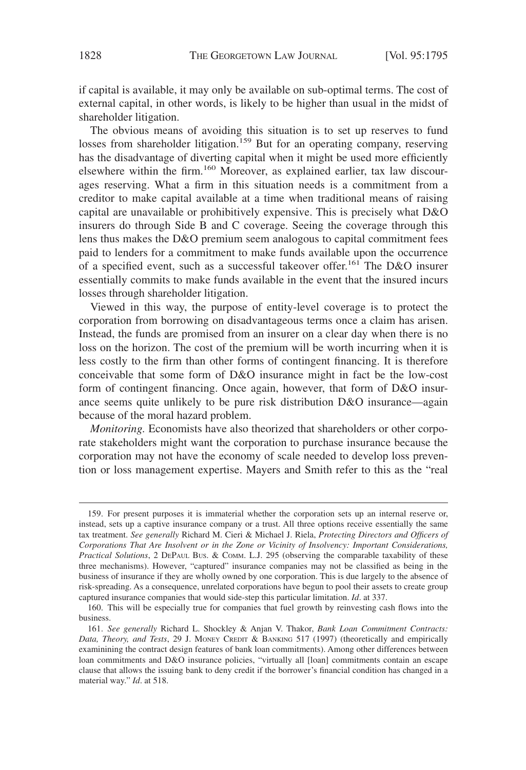if capital is available, it may only be available on sub-optimal terms. The cost of external capital, in other words, is likely to be higher than usual in the midst of shareholder litigation.

The obvious means of avoiding this situation is to set up reserves to fund losses from shareholder litigation.<sup>159</sup> But for an operating company, reserving has the disadvantage of diverting capital when it might be used more efficiently elsewhere within the firm.<sup>160</sup> Moreover, as explained earlier, tax law discourages reserving. What a firm in this situation needs is a commitment from a creditor to make capital available at a time when traditional means of raising capital are unavailable or prohibitively expensive. This is precisely what D&O insurers do through Side B and C coverage. Seeing the coverage through this lens thus makes the D&O premium seem analogous to capital commitment fees paid to lenders for a commitment to make funds available upon the occurrence of a specified event, such as a successful takeover offer.<sup>161</sup> The D&O insurer essentially commits to make funds available in the event that the insured incurs losses through shareholder litigation.

Viewed in this way, the purpose of entity-level coverage is to protect the corporation from borrowing on disadvantageous terms once a claim has arisen. Instead, the funds are promised from an insurer on a clear day when there is no loss on the horizon. The cost of the premium will be worth incurring when it is less costly to the firm than other forms of contingent financing. It is therefore conceivable that some form of D&O insurance might in fact be the low-cost form of contingent financing. Once again, however, that form of D&O insurance seems quite unlikely to be pure risk distribution D&O insurance—again because of the moral hazard problem.

*Monitoring.* Economists have also theorized that shareholders or other corporate stakeholders might want the corporation to purchase insurance because the corporation may not have the economy of scale needed to develop loss prevention or loss management expertise. Mayers and Smith refer to this as the "real

<sup>159.</sup> For present purposes it is immaterial whether the corporation sets up an internal reserve or, instead, sets up a captive insurance company or a trust. All three options receive essentially the same tax treatment. *See generally* Richard M. Cieri & Michael J. Riela, *Protecting Directors and Officers of Corporations That Are Insolvent or in the Zone or Vicinity of Insolvency: Important Considerations, Practical Solutions*, 2 DEPAUL BUS. & COMM. L.J. 295 (observing the comparable taxability of these three mechanisms). However, "captured" insurance companies may not be classified as being in the business of insurance if they are wholly owned by one corporation. This is due largely to the absence of risk-spreading. As a consequence, unrelated corporations have begun to pool their assets to create group captured insurance companies that would side-step this particular limitation. *Id*. at 337.

<sup>160.</sup> This will be especially true for companies that fuel growth by reinvesting cash flows into the business.

<sup>161.</sup> *See generally* Richard L. Shockley & Anjan V. Thakor, *Bank Loan Commitment Contracts: Data, Theory, and Tests*, 29 J. MONEY CREDIT & BANKING 517 (1997) (theoretically and empirically examinining the contract design features of bank loan commitments). Among other differences between loan commitments and D&O insurance policies, "virtually all [loan] commitments contain an escape clause that allows the issuing bank to deny credit if the borrower's financial condition has changed in a material way." *Id*. at 518.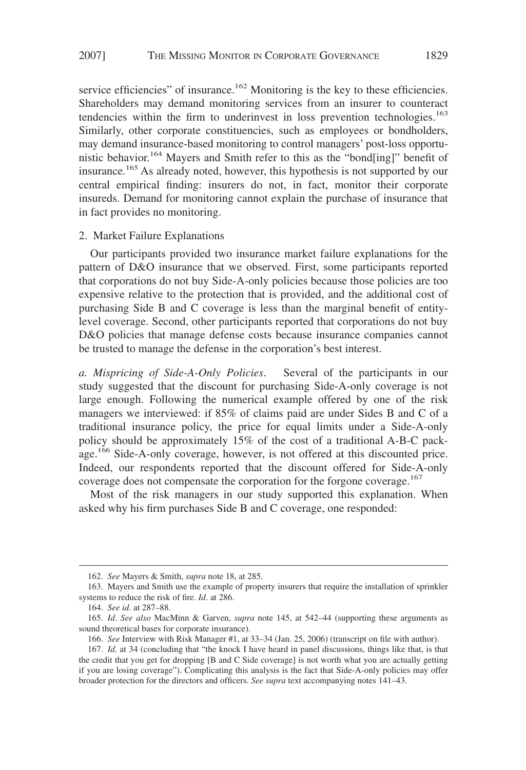service efficiencies" of insurance.<sup>162</sup> Monitoring is the key to these efficiencies. Shareholders may demand monitoring services from an insurer to counteract tendencies within the firm to underinvest in loss prevention technologies.<sup>163</sup> Similarly, other corporate constituencies, such as employees or bondholders, may demand insurance-based monitoring to control managers' post-loss opportunistic behavior.<sup>164</sup> Mayers and Smith refer to this as the "bond[ing]" benefit of insurance.<sup>165</sup> As already noted, however, this hypothesis is not supported by our central empirical finding: insurers do not, in fact, monitor their corporate insureds. Demand for monitoring cannot explain the purchase of insurance that in fact provides no monitoring.

#### 2. Market Failure Explanations

Our participants provided two insurance market failure explanations for the pattern of D&O insurance that we observed. First, some participants reported that corporations do not buy Side-A-only policies because those policies are too expensive relative to the protection that is provided, and the additional cost of purchasing Side B and C coverage is less than the marginal benefit of entitylevel coverage. Second, other participants reported that corporations do not buy D&O policies that manage defense costs because insurance companies cannot be trusted to manage the defense in the corporation's best interest.

*a. Mispricing of Side-A-Only Policies*. Several of the participants in our study suggested that the discount for purchasing Side-A-only coverage is not large enough. Following the numerical example offered by one of the risk managers we interviewed: if 85% of claims paid are under Sides B and C of a traditional insurance policy, the price for equal limits under a Side-A-only policy should be approximately 15% of the cost of a traditional A-B-C package.<sup>166</sup> Side-A-only coverage, however, is not offered at this discounted price. Indeed, our respondents reported that the discount offered for Side-A-only coverage does not compensate the corporation for the forgone coverage.<sup>167</sup>

Most of the risk managers in our study supported this explanation. When asked why his firm purchases Side B and C coverage, one responded:

<sup>162.</sup> *See* Mayers & Smith, *supra* note 18, at 285.

<sup>163.</sup> Mayers and Smith use the example of property insurers that require the installation of sprinkler systems to reduce the risk of fire. *Id*. at 286.

<sup>164.</sup> *See id*. at 287–88.

<sup>165.</sup> *Id*. *See also* MacMinn & Garven, *supra* note 145, at 542–44 (supporting these arguments as sound theoretical bases for corporate insurance).

<sup>166.</sup> *See* Interview with Risk Manager #1, at 33–34 (Jan. 25, 2006) (transcript on file with author).

<sup>167.</sup> *Id.* at 34 (concluding that "the knock I have heard in panel discussions, things like that, is that the credit that you get for dropping [B and C Side coverage] is not worth what you are actually getting if you are losing coverage"). Complicating this analysis is the fact that Side-A-only policies may offer broader protection for the directors and officers. *See supra* text accompanying notes 141–43.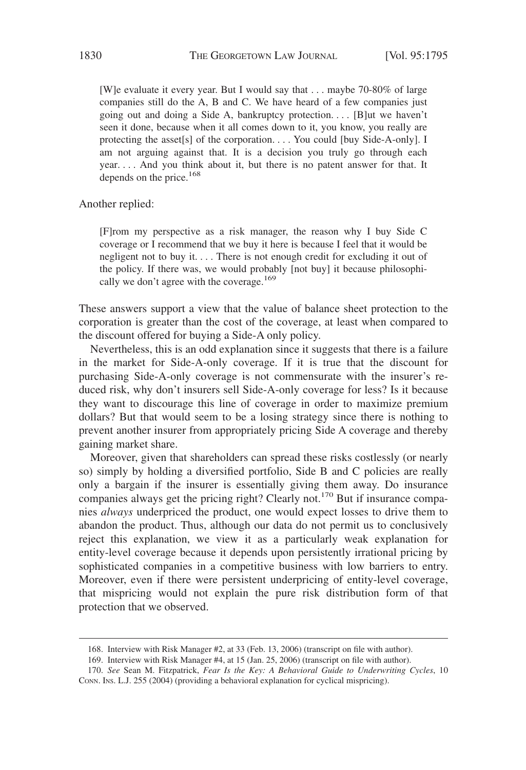[W]e evaluate it every year. But I would say that . . . maybe 70-80% of large companies still do the A, B and C. We have heard of a few companies just going out and doing a Side A, bankruptcy protection.... [B]ut we haven't seen it done, because when it all comes down to it, you know, you really are protecting the asset[s] of the corporation. . . . You could [buy Side-A-only]. I am not arguing against that. It is a decision you truly go through each year. . . . And you think about it, but there is no patent answer for that. It depends on the price.<sup>168</sup>

Another replied:

[F]rom my perspective as a risk manager, the reason why I buy Side C coverage or I recommend that we buy it here is because I feel that it would be negligent not to buy it.... There is not enough credit for excluding it out of the policy. If there was, we would probably [not buy] it because philosophically we don't agree with the coverage.<sup>169</sup>

These answers support a view that the value of balance sheet protection to the corporation is greater than the cost of the coverage, at least when compared to the discount offered for buying a Side-A only policy.

Nevertheless, this is an odd explanation since it suggests that there is a failure in the market for Side-A-only coverage. If it is true that the discount for purchasing Side-A-only coverage is not commensurate with the insurer's reduced risk, why don't insurers sell Side-A-only coverage for less? Is it because they want to discourage this line of coverage in order to maximize premium dollars? But that would seem to be a losing strategy since there is nothing to prevent another insurer from appropriately pricing Side A coverage and thereby gaining market share.

Moreover, given that shareholders can spread these risks costlessly (or nearly so) simply by holding a diversified portfolio, Side B and C policies are really only a bargain if the insurer is essentially giving them away. Do insurance companies always get the pricing right? Clearly not.<sup>170</sup> But if insurance companies *always* underpriced the product, one would expect losses to drive them to abandon the product. Thus, although our data do not permit us to conclusively reject this explanation, we view it as a particularly weak explanation for entity-level coverage because it depends upon persistently irrational pricing by sophisticated companies in a competitive business with low barriers to entry. Moreover, even if there were persistent underpricing of entity-level coverage, that mispricing would not explain the pure risk distribution form of that protection that we observed.

<sup>168.</sup> Interview with Risk Manager #2, at 33 (Feb. 13, 2006) (transcript on file with author).

<sup>169.</sup> Interview with Risk Manager #4, at 15 (Jan. 25, 2006) (transcript on file with author).

<sup>170.</sup> *See* Sean M. Fitzpatrick, *Fear Is the Key: A Behavioral Guide to Underwriting Cycles*, 10 CONN. INS. L.J. 255 (2004) (providing a behavioral explanation for cyclical mispricing).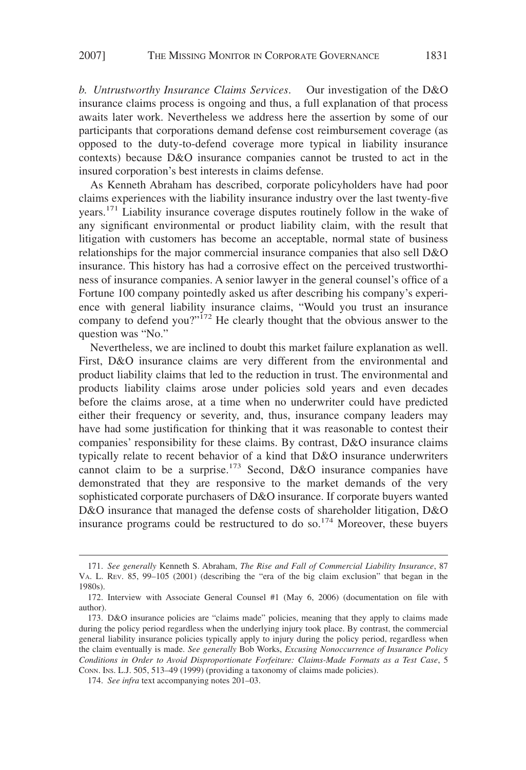*b. Untrustworthy Insurance Claims Services*. Our investigation of the D&O insurance claims process is ongoing and thus, a full explanation of that process awaits later work. Nevertheless we address here the assertion by some of our participants that corporations demand defense cost reimbursement coverage (as opposed to the duty-to-defend coverage more typical in liability insurance contexts) because D&O insurance companies cannot be trusted to act in the insured corporation's best interests in claims defense.

As Kenneth Abraham has described, corporate policyholders have had poor claims experiences with the liability insurance industry over the last twenty-five years.<sup>171</sup> Liability insurance coverage disputes routinely follow in the wake of any significant environmental or product liability claim, with the result that litigation with customers has become an acceptable, normal state of business relationships for the major commercial insurance companies that also sell D&O insurance. This history has had a corrosive effect on the perceived trustworthiness of insurance companies. A senior lawyer in the general counsel's office of a Fortune 100 company pointedly asked us after describing his company's experience with general liability insurance claims, "Would you trust an insurance company to defend you?"<sup>172</sup> He clearly thought that the obvious answer to the question was "No."

Nevertheless, we are inclined to doubt this market failure explanation as well. First, D&O insurance claims are very different from the environmental and product liability claims that led to the reduction in trust. The environmental and products liability claims arose under policies sold years and even decades before the claims arose, at a time when no underwriter could have predicted either their frequency or severity, and, thus, insurance company leaders may have had some justification for thinking that it was reasonable to contest their companies' responsibility for these claims. By contrast, D&O insurance claims typically relate to recent behavior of a kind that D&O insurance underwriters cannot claim to be a surprise.<sup>173</sup> Second, D&O insurance companies have demonstrated that they are responsive to the market demands of the very sophisticated corporate purchasers of D&O insurance. If corporate buyers wanted D&O insurance that managed the defense costs of shareholder litigation, D&O insurance programs could be restructured to do so.174 Moreover, these buyers

<sup>171.</sup> *See generally* Kenneth S. Abraham, *The Rise and Fall of Commercial Liability Insurance*, 87 VA. L. REV. 85, 99–105 (2001) (describing the "era of the big claim exclusion" that began in the 1980s).

<sup>172.</sup> Interview with Associate General Counsel #1 (May 6, 2006) (documentation on file with author).

<sup>173.</sup> D&O insurance policies are "claims made" policies, meaning that they apply to claims made during the policy period regardless when the underlying injury took place. By contrast, the commercial general liability insurance policies typically apply to injury during the policy period, regardless when the claim eventually is made. *See generally* Bob Works, *Excusing Nonoccurrence of Insurance Policy Conditions in Order to Avoid Disproportionate Forfeiture: Claims-Made Formats as a Test Case*, 5 CONN. INS. L.J. 505, 513–49 (1999) (providing a taxonomy of claims made policies).

<sup>174.</sup> *See infra* text accompanying notes 201–03.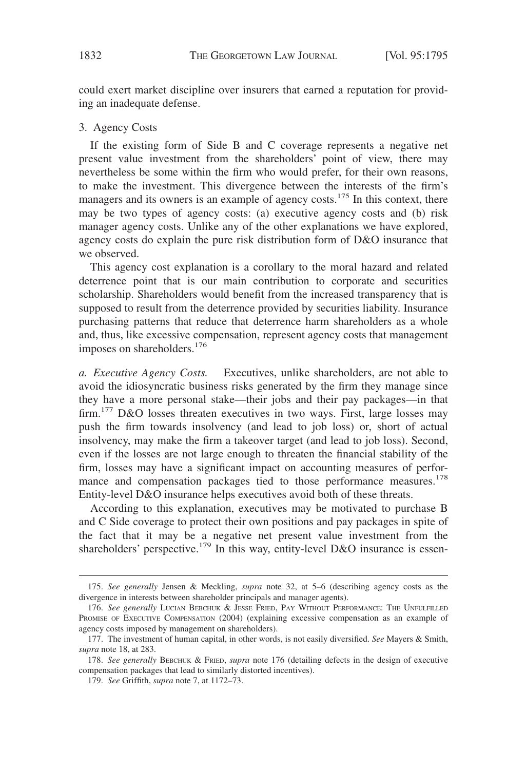could exert market discipline over insurers that earned a reputation for providing an inadequate defense.

## 3. Agency Costs

If the existing form of Side B and C coverage represents a negative net present value investment from the shareholders' point of view, there may nevertheless be some within the firm who would prefer, for their own reasons, to make the investment. This divergence between the interests of the firm's managers and its owners is an example of agency costs.<sup>175</sup> In this context, there may be two types of agency costs: (a) executive agency costs and (b) risk manager agency costs. Unlike any of the other explanations we have explored, agency costs do explain the pure risk distribution form of D&O insurance that we observed.

This agency cost explanation is a corollary to the moral hazard and related deterrence point that is our main contribution to corporate and securities scholarship. Shareholders would benefit from the increased transparency that is supposed to result from the deterrence provided by securities liability. Insurance purchasing patterns that reduce that deterrence harm shareholders as a whole and, thus, like excessive compensation, represent agency costs that management imposes on shareholders.<sup>176</sup>

*a. Executive Agency Costs.* Executives, unlike shareholders, are not able to avoid the idiosyncratic business risks generated by the firm they manage since they have a more personal stake—their jobs and their pay packages—in that firm.<sup>177</sup> D&O losses threaten executives in two ways. First, large losses may push the firm towards insolvency (and lead to job loss) or, short of actual insolvency, may make the firm a takeover target (and lead to job loss). Second, even if the losses are not large enough to threaten the financial stability of the firm, losses may have a significant impact on accounting measures of performance and compensation packages tied to those performance measures.<sup>178</sup> Entity-level D&O insurance helps executives avoid both of these threats.

According to this explanation, executives may be motivated to purchase B and C Side coverage to protect their own positions and pay packages in spite of the fact that it may be a negative net present value investment from the shareholders' perspective.<sup>179</sup> In this way, entity-level D&O insurance is essen-

<sup>175.</sup> *See generally* Jensen & Meckling, *supra* note 32, at 5–6 (describing agency costs as the divergence in interests between shareholder principals and manager agents).

<sup>176.</sup> *See generally* LUCIAN BEBCHUK & JESSE FRIED, PAY WITHOUT PERFORMANCE: THE UNFULFILLED PROMISE OF EXECUTIVE COMPENSATION (2004) (explaining excessive compensation as an example of agency costs imposed by management on shareholders).

<sup>177.</sup> The investment of human capital, in other words, is not easily diversified. *See* Mayers & Smith, *supra* note 18, at 283.

<sup>178.</sup> *See generally* BEBCHUK & FRIED, *supra* note 176 (detailing defects in the design of executive compensation packages that lead to similarly distorted incentives).

<sup>179.</sup> *See* Griffith, *supra* note 7, at 1172–73.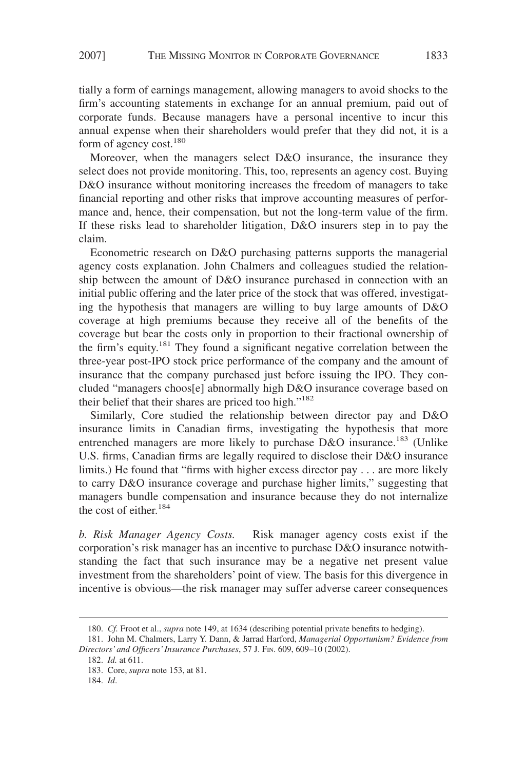tially a form of earnings management, allowing managers to avoid shocks to the firm's accounting statements in exchange for an annual premium, paid out of corporate funds. Because managers have a personal incentive to incur this annual expense when their shareholders would prefer that they did not, it is a form of agency cost.<sup>180</sup>

Moreover, when the managers select D&O insurance, the insurance they select does not provide monitoring. This, too, represents an agency cost. Buying D&O insurance without monitoring increases the freedom of managers to take financial reporting and other risks that improve accounting measures of performance and, hence, their compensation, but not the long-term value of the firm. If these risks lead to shareholder litigation, D&O insurers step in to pay the claim.

Econometric research on D&O purchasing patterns supports the managerial agency costs explanation. John Chalmers and colleagues studied the relationship between the amount of D&O insurance purchased in connection with an initial public offering and the later price of the stock that was offered, investigating the hypothesis that managers are willing to buy large amounts of D&O coverage at high premiums because they receive all of the benefits of the coverage but bear the costs only in proportion to their fractional ownership of the firm's equity.<sup>181</sup> They found a significant negative correlation between the three-year post-IPO stock price performance of the company and the amount of insurance that the company purchased just before issuing the IPO. They concluded "managers choos[e] abnormally high D&O insurance coverage based on their belief that their shares are priced too high."182

Similarly, Core studied the relationship between director pay and D&O insurance limits in Canadian firms, investigating the hypothesis that more entrenched managers are more likely to purchase D&O insurance.<sup>183</sup> (Unlike U.S. firms, Canadian firms are legally required to disclose their D&O insurance limits.) He found that "firms with higher excess director pay . . . are more likely to carry D&O insurance coverage and purchase higher limits," suggesting that managers bundle compensation and insurance because they do not internalize the cost of either.<sup>184</sup>

*b. Risk Manager Agency Costs.* Risk manager agency costs exist if the corporation's risk manager has an incentive to purchase D&O insurance notwithstanding the fact that such insurance may be a negative net present value investment from the shareholders' point of view. The basis for this divergence in incentive is obvious—the risk manager may suffer adverse career consequences

<sup>180.</sup> *Cf.* Froot et al., *supra* note 149, at 1634 (describing potential private benefits to hedging).

<sup>181.</sup> John M. Chalmers, Larry Y. Dann, & Jarrad Harford, *Managerial Opportunism? Evidence from Directors' and Officers' Insurance Purchases*, 57 J. FIN. 609, 609–10 (2002).

<sup>182.</sup> *Id.* at 611.

<sup>183.</sup> Core, *supra* note 153, at 81.

<sup>184.</sup> *Id*.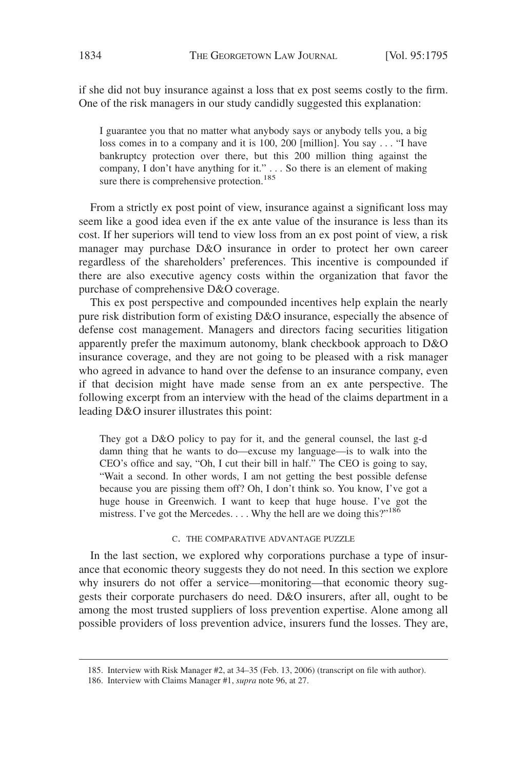if she did not buy insurance against a loss that ex post seems costly to the firm. One of the risk managers in our study candidly suggested this explanation:

I guarantee you that no matter what anybody says or anybody tells you, a big loss comes in to a company and it is 100, 200 [million]. You say . . . "I have bankruptcy protection over there, but this 200 million thing against the company, I don't have anything for it." . . . So there is an element of making sure there is comprehensive protection.<sup>185</sup>

From a strictly ex post point of view, insurance against a significant loss may seem like a good idea even if the ex ante value of the insurance is less than its cost. If her superiors will tend to view loss from an ex post point of view, a risk manager may purchase D&O insurance in order to protect her own career regardless of the shareholders' preferences. This incentive is compounded if there are also executive agency costs within the organization that favor the purchase of comprehensive D&O coverage.

This ex post perspective and compounded incentives help explain the nearly pure risk distribution form of existing D&O insurance, especially the absence of defense cost management. Managers and directors facing securities litigation apparently prefer the maximum autonomy, blank checkbook approach to D&O insurance coverage, and they are not going to be pleased with a risk manager who agreed in advance to hand over the defense to an insurance company, even if that decision might have made sense from an ex ante perspective. The following excerpt from an interview with the head of the claims department in a leading D&O insurer illustrates this point:

They got a D&O policy to pay for it, and the general counsel, the last g-d damn thing that he wants to do—excuse my language—is to walk into the CEO's office and say, "Oh, I cut their bill in half." The CEO is going to say, "Wait a second. In other words, I am not getting the best possible defense because you are pissing them off? Oh, I don't think so. You know, I've got a huge house in Greenwich. I want to keep that huge house. I've got the mistress. I've got the Mercedes.  $\dots$  Why the hell are we doing this?"<sup>186</sup>

#### C. THE COMPARATIVE ADVANTAGE PUZZLE

In the last section, we explored why corporations purchase a type of insurance that economic theory suggests they do not need. In this section we explore why insurers do not offer a service—monitoring—that economic theory suggests their corporate purchasers do need. D&O insurers, after all, ought to be among the most trusted suppliers of loss prevention expertise. Alone among all possible providers of loss prevention advice, insurers fund the losses. They are,

<sup>185.</sup> Interview with Risk Manager #2, at 34–35 (Feb. 13, 2006) (transcript on file with author).

<sup>186.</sup> Interview with Claims Manager #1, *supra* note 96, at 27.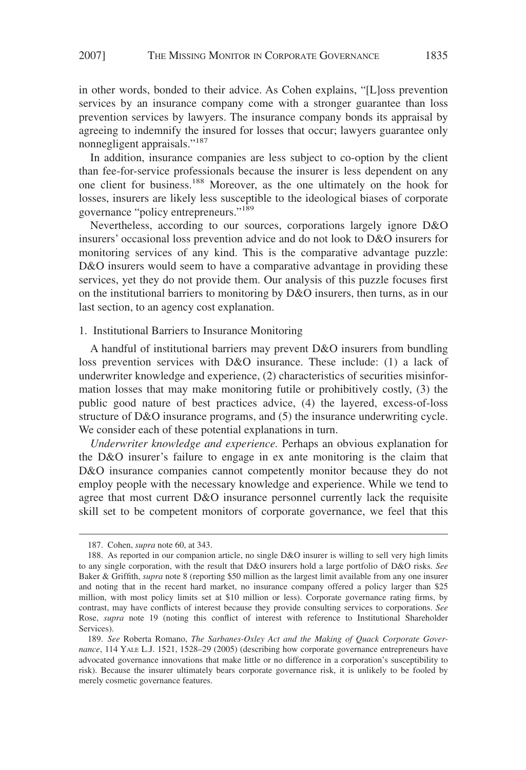in other words, bonded to their advice. As Cohen explains, "[L]oss prevention services by an insurance company come with a stronger guarantee than loss prevention services by lawyers. The insurance company bonds its appraisal by agreeing to indemnify the insured for losses that occur; lawyers guarantee only nonnegligent appraisals."<sup>187</sup>

In addition, insurance companies are less subject to co-option by the client than fee-for-service professionals because the insurer is less dependent on any one client for business.<sup>188</sup> Moreover, as the one ultimately on the hook for losses, insurers are likely less susceptible to the ideological biases of corporate governance "policy entrepreneurs."<sup>189</sup>

Nevertheless, according to our sources, corporations largely ignore D&O insurers' occasional loss prevention advice and do not look to D&O insurers for monitoring services of any kind. This is the comparative advantage puzzle: D&O insurers would seem to have a comparative advantage in providing these services, yet they do not provide them. Our analysis of this puzzle focuses first on the institutional barriers to monitoring by D&O insurers, then turns, as in our last section, to an agency cost explanation.

# 1. Institutional Barriers to Insurance Monitoring

A handful of institutional barriers may prevent D&O insurers from bundling loss prevention services with D&O insurance. These include: (1) a lack of underwriter knowledge and experience, (2) characteristics of securities misinformation losses that may make monitoring futile or prohibitively costly, (3) the public good nature of best practices advice, (4) the layered, excess-of-loss structure of D&O insurance programs, and (5) the insurance underwriting cycle. We consider each of these potential explanations in turn.

*Underwriter knowledge and experience.* Perhaps an obvious explanation for the D&O insurer's failure to engage in ex ante monitoring is the claim that D&O insurance companies cannot competently monitor because they do not employ people with the necessary knowledge and experience. While we tend to agree that most current D&O insurance personnel currently lack the requisite skill set to be competent monitors of corporate governance, we feel that this

<sup>187.</sup> Cohen, *supra* note 60, at 343.

<sup>188.</sup> As reported in our companion article, no single D&O insurer is willing to sell very high limits to any single corporation, with the result that D&O insurers hold a large portfolio of D&O risks. *See* Baker & Griffith, *supra* note 8 (reporting \$50 million as the largest limit available from any one insurer and noting that in the recent hard market, no insurance company offered a policy larger than \$25 million, with most policy limits set at \$10 million or less). Corporate governance rating firms, by contrast, may have conflicts of interest because they provide consulting services to corporations. *See* Rose, *supra* note 19 (noting this conflict of interest with reference to Institutional Shareholder Services).

<sup>189.</sup> *See* Roberta Romano, *The Sarbanes-Oxley Act and the Making of Quack Corporate Governance*, 114 YALE L.J. 1521, 1528–29 (2005) (describing how corporate governance entrepreneurs have advocated governance innovations that make little or no difference in a corporation's susceptibility to risk). Because the insurer ultimately bears corporate governance risk, it is unlikely to be fooled by merely cosmetic governance features.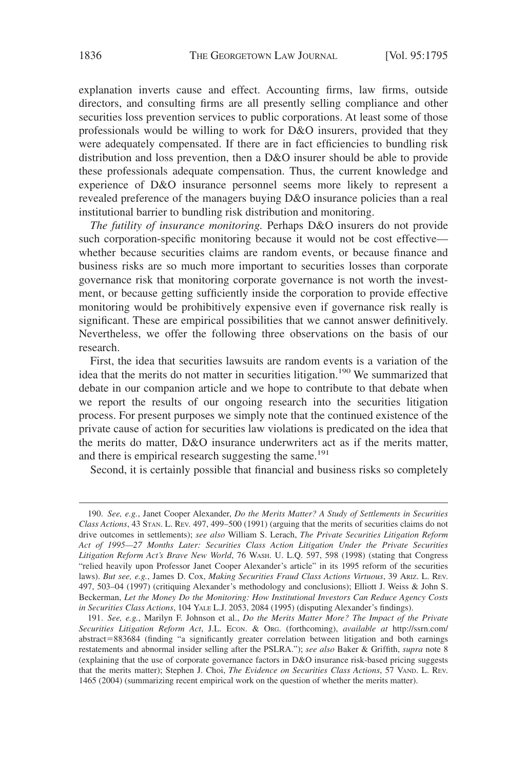explanation inverts cause and effect. Accounting firms, law firms, outside directors, and consulting firms are all presently selling compliance and other securities loss prevention services to public corporations. At least some of those professionals would be willing to work for D&O insurers, provided that they were adequately compensated. If there are in fact efficiencies to bundling risk distribution and loss prevention, then a D&O insurer should be able to provide these professionals adequate compensation. Thus, the current knowledge and experience of D&O insurance personnel seems more likely to represent a revealed preference of the managers buying D&O insurance policies than a real institutional barrier to bundling risk distribution and monitoring.

*The futility of insurance monitoring.* Perhaps D&O insurers do not provide such corporation-specific monitoring because it would not be cost effective whether because securities claims are random events, or because finance and business risks are so much more important to securities losses than corporate governance risk that monitoring corporate governance is not worth the investment, or because getting sufficiently inside the corporation to provide effective monitoring would be prohibitively expensive even if governance risk really is significant. These are empirical possibilities that we cannot answer definitively. Nevertheless, we offer the following three observations on the basis of our research.

First, the idea that securities lawsuits are random events is a variation of the idea that the merits do not matter in securities litigation.<sup>190</sup> We summarized that debate in our companion article and we hope to contribute to that debate when we report the results of our ongoing research into the securities litigation process. For present purposes we simply note that the continued existence of the private cause of action for securities law violations is predicated on the idea that the merits do matter, D&O insurance underwriters act as if the merits matter, and there is empirical research suggesting the same. $191$ 

Second, it is certainly possible that financial and business risks so completely

<sup>190.</sup> *See, e.g.*, Janet Cooper Alexander, *Do the Merits Matter? A Study of Settlements in Securities Class Actions*, 43 STAN. L. REV. 497, 499–500 (1991) (arguing that the merits of securities claims do not drive outcomes in settlements); *see also* William S. Lerach, *The Private Securities Litigation Reform Act of 1995—27 Months Later: Securities Class Action Litigation Under the Private Securities Litigation Reform Act's Brave New World*, 76 WASH. U. L.Q. 597, 598 (1998) (stating that Congress "relied heavily upon Professor Janet Cooper Alexander's article" in its 1995 reform of the securities laws). *But see, e.g.*, James D. Cox, *Making Securities Fraud Class Actions Virtuous*, 39 ARIZ. L. REV. 497, 503–04 (1997) (critiquing Alexander's methodology and conclusions); Elliott J. Weiss & John S. Beckerman, *Let the Money Do the Monitoring: How Institutional Investors Can Reduce Agency Costs in Securities Class Actions*, 104 YALE L.J. 2053, 2084 (1995) (disputing Alexander's findings).

<sup>191.</sup> *See, e.g.*, Marilyn F. Johnson et al., *Do the Merits Matter More? The Impact of the Private Securities Litigation Reform Act*, J.L. ECON.&ORG. (forthcoming), *available at* http://ssrn.com/ abstract=883684 (finding "a significantly greater correlation between litigation and both earnings restatements and abnormal insider selling after the PSLRA."); *see also* Baker & Griffith, *supra* note 8 (explaining that the use of corporate governance factors in D&O insurance risk-based pricing suggests that the merits matter); Stephen J. Choi, *The Evidence on Securities Class Actions*, 57 VAND. L. REV. 1465 (2004) (summarizing recent empirical work on the question of whether the merits matter).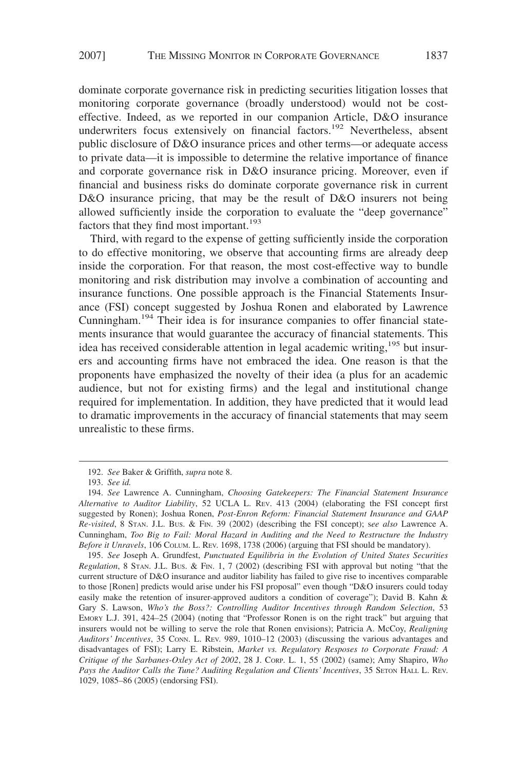dominate corporate governance risk in predicting securities litigation losses that monitoring corporate governance (broadly understood) would not be costeffective. Indeed, as we reported in our companion Article, D&O insurance underwriters focus extensively on financial factors.<sup>192</sup> Nevertheless, absent public disclosure of D&O insurance prices and other terms—or adequate access to private data—it is impossible to determine the relative importance of finance and corporate governance risk in D&O insurance pricing. Moreover, even if financial and business risks do dominate corporate governance risk in current D&O insurance pricing, that may be the result of D&O insurers not being allowed sufficiently inside the corporation to evaluate the "deep governance" factors that they find most important.<sup>193</sup>

Third, with regard to the expense of getting sufficiently inside the corporation to do effective monitoring, we observe that accounting firms are already deep inside the corporation. For that reason, the most cost-effective way to bundle monitoring and risk distribution may involve a combination of accounting and insurance functions. One possible approach is the Financial Statements Insurance (FSI) concept suggested by Joshua Ronen and elaborated by Lawrence Cunningham.<sup>194</sup> Their idea is for insurance companies to offer financial statements insurance that would guarantee the accuracy of financial statements. This idea has received considerable attention in legal academic writing,<sup>195</sup> but insurers and accounting firms have not embraced the idea. One reason is that the proponents have emphasized the novelty of their idea (a plus for an academic audience, but not for existing firms) and the legal and institutional change required for implementation. In addition, they have predicted that it would lead to dramatic improvements in the accuracy of financial statements that may seem unrealistic to these firms.

195. *See* Joseph A. Grundfest, *Punctuated Equilibria in the Evolution of United States Securities Regulation*,8STAN. J.L. BUS.&FIN. 1, 7 (2002) (describing FSI with approval but noting "that the current structure of D&O insurance and auditor liability has failed to give rise to incentives comparable to those [Ronen] predicts would arise under his FSI proposal" even though "D&O insurers could today easily make the retention of insurer-approved auditors a condition of coverage"); David B. Kahn & Gary S. Lawson, *Who's the Boss?: Controlling Auditor Incentives through Random Selection*, 53 EMORY L.J. 391, 424–25 (2004) (noting that "Professor Ronen is on the right track" but arguing that insurers would not be willing to serve the role that Ronen envisions); Patricia A. McCoy, *Realigning Auditors' Incentives*, 35 CONN. L. REV. 989, 1010–12 (2003) (discussing the various advantages and disadvantages of FSI); Larry E. Ribstein, *Market vs. Regulatory Resposes to Corporate Fraud: A Critique of the Sarbanes-Oxley Act of 2002*, 28 J. CORP. L. 1, 55 (2002) (same); Amy Shapiro, *Who* Pays the Auditor Calls the Tune? Auditing Regulation and Clients' Incentives, 35 SETON HALL L. REV. 1029, 1085–86 (2005) (endorsing FSI).

<sup>192.</sup> *See* Baker & Griffith, *supra* note 8.

<sup>193.</sup> *See id.*

<sup>194.</sup> *See* Lawrence A. Cunningham, *Choosing Gatekeepers: The Financial Statement Insurance Alternative to Auditor Liability*, 52 UCLA L. REV. 413 (2004) (elaborating the FSI concept first suggested by Ronen); Joshua Ronen, *Post-Enron Reform: Financial Statement Insurance and GAAP Re-visited*,8STAN. J.L. BUS.&FIN. 39 (2002) (describing the FSI concept); s*ee also* Lawrence A. Cunningham, *Too Big to Fail: Moral Hazard in Auditing and the Need to Restructure the Industry Before it Unravels*, 106 COLUM. L. REV. 1698, 1738 (2006) (arguing that FSI should be mandatory).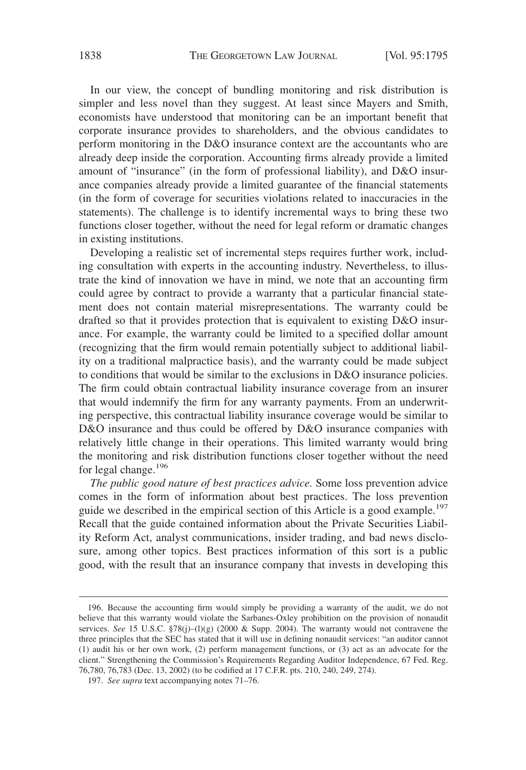In our view, the concept of bundling monitoring and risk distribution is simpler and less novel than they suggest. At least since Mayers and Smith, economists have understood that monitoring can be an important benefit that corporate insurance provides to shareholders, and the obvious candidates to perform monitoring in the D&O insurance context are the accountants who are already deep inside the corporation. Accounting firms already provide a limited amount of "insurance" (in the form of professional liability), and D&O insurance companies already provide a limited guarantee of the financial statements (in the form of coverage for securities violations related to inaccuracies in the statements). The challenge is to identify incremental ways to bring these two functions closer together, without the need for legal reform or dramatic changes in existing institutions.

Developing a realistic set of incremental steps requires further work, including consultation with experts in the accounting industry. Nevertheless, to illustrate the kind of innovation we have in mind, we note that an accounting firm could agree by contract to provide a warranty that a particular financial statement does not contain material misrepresentations. The warranty could be drafted so that it provides protection that is equivalent to existing D&O insurance. For example, the warranty could be limited to a specified dollar amount (recognizing that the firm would remain potentially subject to additional liability on a traditional malpractice basis), and the warranty could be made subject to conditions that would be similar to the exclusions in D&O insurance policies. The firm could obtain contractual liability insurance coverage from an insurer that would indemnify the firm for any warranty payments. From an underwriting perspective, this contractual liability insurance coverage would be similar to D&O insurance and thus could be offered by D&O insurance companies with relatively little change in their operations. This limited warranty would bring the monitoring and risk distribution functions closer together without the need for legal change.<sup>196</sup>

*The public good nature of best practices advice.* Some loss prevention advice comes in the form of information about best practices. The loss prevention guide we described in the empirical section of this Article is a good example.<sup>197</sup> Recall that the guide contained information about the Private Securities Liability Reform Act, analyst communications, insider trading, and bad news disclosure, among other topics. Best practices information of this sort is a public good, with the result that an insurance company that invests in developing this

<sup>196.</sup> Because the accounting firm would simply be providing a warranty of the audit, we do not believe that this warranty would violate the Sarbanes-Oxley prohibition on the provision of nonaudit services. *See* 15 U.S.C. §78(j)–(l)(g) (2000 & Supp. 2004). The warranty would not contravene the three principles that the SEC has stated that it will use in defining nonaudit services: "an auditor cannot (1) audit his or her own work, (2) perform management functions, or (3) act as an advocate for the client." Strengthening the Commission's Requirements Regarding Auditor Independence, 67 Fed. Reg. 76,780, 76,783 (Dec. 13, 2002) (to be codified at 17 C.F.R. pts. 210, 240, 249, 274).

<sup>197.</sup> *See supra* text accompanying notes 71–76.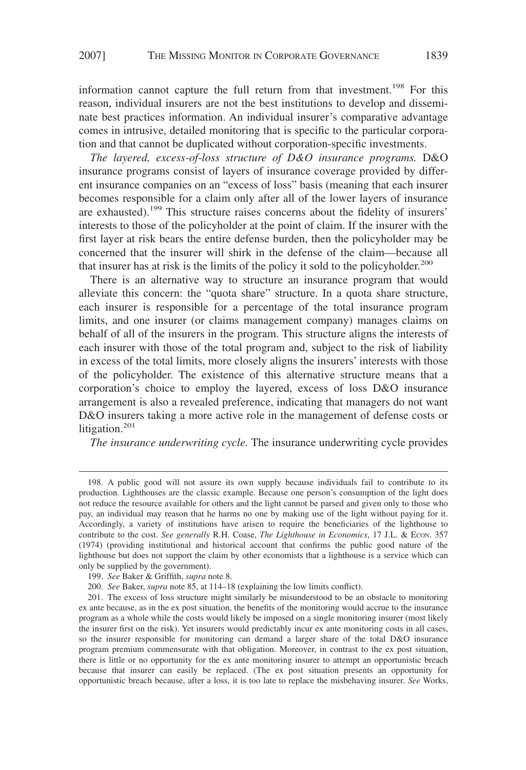information cannot capture the full return from that investment.<sup>198</sup> For this reason, individual insurers are not the best institutions to develop and disseminate best practices information. An individual insurer's comparative advantage comes in intrusive, detailed monitoring that is specific to the particular corporation and that cannot be duplicated without corporation-specific investments.

*The layered, excess-of-loss structure of D&O insurance programs.* D&O insurance programs consist of layers of insurance coverage provided by different insurance companies on an "excess of loss" basis (meaning that each insurer becomes responsible for a claim only after all of the lower layers of insurance are exhausted).<sup>199</sup> This structure raises concerns about the fidelity of insurers' interests to those of the policyholder at the point of claim. If the insurer with the first layer at risk bears the entire defense burden, then the policyholder may be concerned that the insurer will shirk in the defense of the claim—because all that insurer has at risk is the limits of the policy it sold to the policyholder.<sup>200</sup>

There is an alternative way to structure an insurance program that would alleviate this concern: the "quota share" structure. In a quota share structure, each insurer is responsible for a percentage of the total insurance program limits, and one insurer (or claims management company) manages claims on behalf of all of the insurers in the program. This structure aligns the interests of each insurer with those of the total program and, subject to the risk of liability in excess of the total limits, more closely aligns the insurers' interests with those of the policyholder. The existence of this alternative structure means that a corporation's choice to employ the layered, excess of loss D&O insurance arrangement is also a revealed preference, indicating that managers do not want D&O insurers taking a more active role in the management of defense costs or litigation. $201$ 

*The insurance underwriting cycle.* The insurance underwriting cycle provides

<sup>198.</sup> A public good will not assure its own supply because individuals fail to contribute to its production. Lighthouses are the classic example. Because one person's consumption of the light does not reduce the resource available for others and the light cannot be parsed and given only to those who pay, an individual may reason that he harms no one by making use of the light without paying for it. Accordingly, a variety of institutions have arisen to require the beneficiaries of the lighthouse to contribute to the cost. *See generally* R.H. Coase, *The Lighthouse in Economics*, 17 J.L. & ECON. 357 (1974) (providing institutional and historical account that confirms the public good nature of the lighthouse but does not support the claim by other economists that a lighthouse is a service which can only be supplied by the government).

<sup>199.</sup> *See* Baker & Griffith, *supra* note 8.

<sup>200.</sup> *See* Baker, *supra* note 85, at 114–18 (explaining the low limits conflict).

<sup>201.</sup> The excess of loss structure might similarly be misunderstood to be an obstacle to monitoring ex ante because, as in the ex post situation, the benefits of the monitoring would accrue to the insurance program as a whole while the costs would likely be imposed on a single monitoring insurer (most likely the insurer first on the risk). Yet insurers would predictably incur ex ante monitoring costs in all cases, so the insurer responsible for monitoring can demand a larger share of the total D&O insurance program premium commensurate with that obligation. Moreover, in contrast to the ex post situation, there is little or no opportunity for the ex ante monitoring insurer to attempt an opportunistic breach because that insurer can easily be replaced. (The ex post situation presents an opportunity for opportunistic breach because, after a loss, it is too late to replace the misbehaving insurer. *See* Works,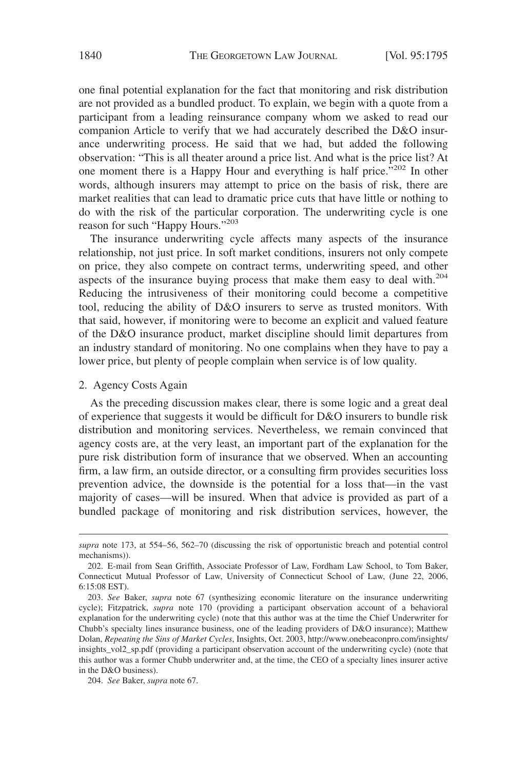one final potential explanation for the fact that monitoring and risk distribution are not provided as a bundled product. To explain, we begin with a quote from a participant from a leading reinsurance company whom we asked to read our companion Article to verify that we had accurately described the D&O insurance underwriting process. He said that we had, but added the following observation: "This is all theater around a price list. And what is the price list? At one moment there is a Happy Hour and everything is half price."<sup>202</sup> In other words, although insurers may attempt to price on the basis of risk, there are market realities that can lead to dramatic price cuts that have little or nothing to do with the risk of the particular corporation. The underwriting cycle is one reason for such "Happy Hours."<sup>203</sup>

The insurance underwriting cycle affects many aspects of the insurance relationship, not just price. In soft market conditions, insurers not only compete on price, they also compete on contract terms, underwriting speed, and other aspects of the insurance buying process that make them easy to deal with.<sup>204</sup> Reducing the intrusiveness of their monitoring could become a competitive tool, reducing the ability of D&O insurers to serve as trusted monitors. With that said, however, if monitoring were to become an explicit and valued feature of the D&O insurance product, market discipline should limit departures from an industry standard of monitoring. No one complains when they have to pay a lower price, but plenty of people complain when service is of low quality.

#### 2. Agency Costs Again

As the preceding discussion makes clear, there is some logic and a great deal of experience that suggests it would be difficult for D&O insurers to bundle risk distribution and monitoring services. Nevertheless, we remain convinced that agency costs are, at the very least, an important part of the explanation for the pure risk distribution form of insurance that we observed. When an accounting firm, a law firm, an outside director, or a consulting firm provides securities loss prevention advice, the downside is the potential for a loss that—in the vast majority of cases—will be insured. When that advice is provided as part of a bundled package of monitoring and risk distribution services, however, the

*supra* note 173, at 554–56, 562–70 (discussing the risk of opportunistic breach and potential control mechanisms)).

<sup>202.</sup> E-mail from Sean Griffith, Associate Professor of Law, Fordham Law School, to Tom Baker, Connecticut Mutual Professor of Law, University of Connecticut School of Law, (June 22, 2006, 6:15:08 EST).

<sup>203.</sup> *See* Baker, *supra* note 67 (synthesizing economic literature on the insurance underwriting cycle); Fitzpatrick, *supra* note 170 (providing a participant observation account of a behavioral explanation for the underwriting cycle) (note that this author was at the time the Chief Underwriter for Chubb's specialty lines insurance business, one of the leading providers of D&O insurance); Matthew Dolan, *Repeating the Sins of Market Cycles*, Insights, Oct. 2003, http://www.onebeaconpro.com/insights/ insights\_vol2\_sp.pdf (providing a participant observation account of the underwriting cycle) (note that this author was a former Chubb underwriter and, at the time, the CEO of a specialty lines insurer active in the D&O business).

<sup>204.</sup> *See* Baker, *supra* note 67.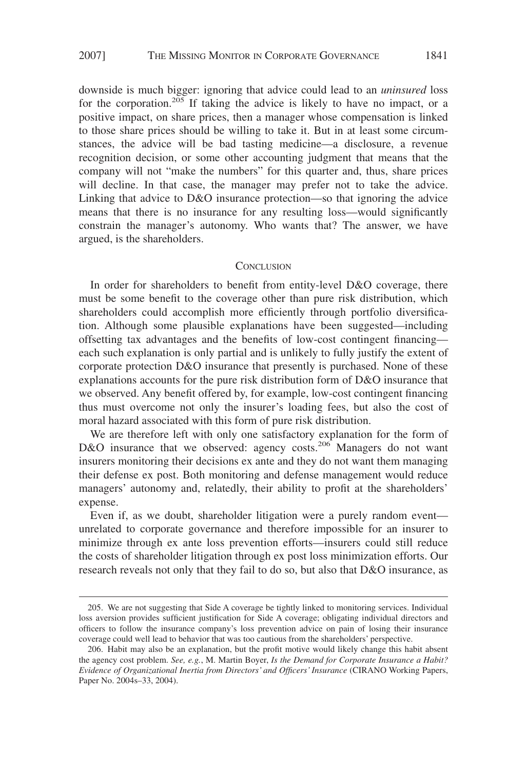downside is much bigger: ignoring that advice could lead to an *uninsured* loss for the corporation.<sup>205</sup> If taking the advice is likely to have no impact, or a positive impact, on share prices, then a manager whose compensation is linked to those share prices should be willing to take it. But in at least some circumstances, the advice will be bad tasting medicine—a disclosure, a revenue recognition decision, or some other accounting judgment that means that the company will not "make the numbers" for this quarter and, thus, share prices will decline. In that case, the manager may prefer not to take the advice. Linking that advice to D&O insurance protection—so that ignoring the advice means that there is no insurance for any resulting loss—would significantly constrain the manager's autonomy. Who wants that? The answer, we have argued, is the shareholders.

#### **CONCLUSION**

In order for shareholders to benefit from entity-level D&O coverage, there must be some benefit to the coverage other than pure risk distribution, which shareholders could accomplish more efficiently through portfolio diversification. Although some plausible explanations have been suggested—including offsetting tax advantages and the benefits of low-cost contingent financing each such explanation is only partial and is unlikely to fully justify the extent of corporate protection D&O insurance that presently is purchased. None of these explanations accounts for the pure risk distribution form of D&O insurance that we observed. Any benefit offered by, for example, low-cost contingent financing thus must overcome not only the insurer's loading fees, but also the cost of moral hazard associated with this form of pure risk distribution.

We are therefore left with only one satisfactory explanation for the form of D&O insurance that we observed: agency costs.<sup>206</sup> Managers do not want insurers monitoring their decisions ex ante and they do not want them managing their defense ex post. Both monitoring and defense management would reduce managers' autonomy and, relatedly, their ability to profit at the shareholders' expense.

Even if, as we doubt, shareholder litigation were a purely random event unrelated to corporate governance and therefore impossible for an insurer to minimize through ex ante loss prevention efforts—insurers could still reduce the costs of shareholder litigation through ex post loss minimization efforts. Our research reveals not only that they fail to do so, but also that D&O insurance, as

<sup>205.</sup> We are not suggesting that Side A coverage be tightly linked to monitoring services. Individual loss aversion provides sufficient justification for Side A coverage; obligating individual directors and officers to follow the insurance company's loss prevention advice on pain of losing their insurance coverage could well lead to behavior that was too cautious from the shareholders' perspective.

<sup>206.</sup> Habit may also be an explanation, but the profit motive would likely change this habit absent the agency cost problem. *See, e.g.*, M. Martin Boyer, *Is the Demand for Corporate Insurance a Habit? Evidence of Organizational Inertia from Directors' and Officers' Insurance* (CIRANO Working Papers, Paper No. 2004s–33, 2004).